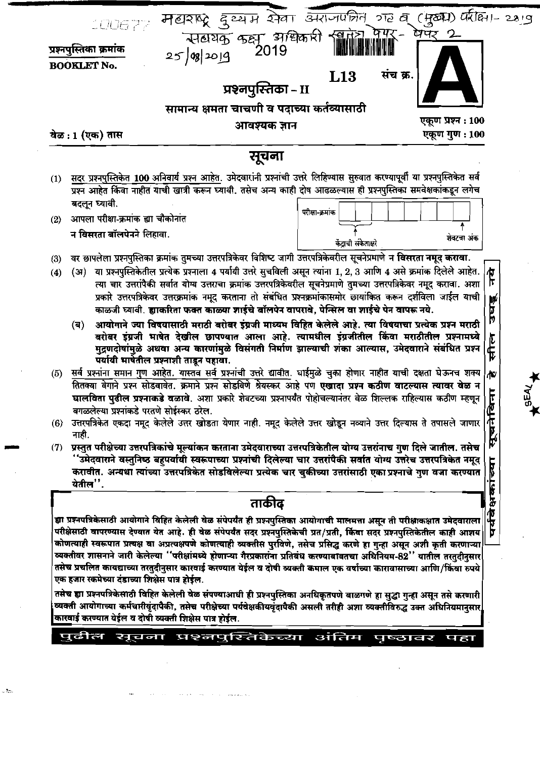|            | प्रश्नपुस्तिका – II<br>सामान्य क्षमता चाचणी व पदाच्या कर्तव्यासाठी<br>एकूण प्रश्न : 100<br>आवश्यक ज्ञान                                                                                                                                                                                                                                                                                                                                                                                                                                                                                                                                                                                                                                                                                                                                                 |
|------------|---------------------------------------------------------------------------------------------------------------------------------------------------------------------------------------------------------------------------------------------------------------------------------------------------------------------------------------------------------------------------------------------------------------------------------------------------------------------------------------------------------------------------------------------------------------------------------------------------------------------------------------------------------------------------------------------------------------------------------------------------------------------------------------------------------------------------------------------------------|
|            | एकूण गुण : 100<br>वेळ : 1 (एक) तास                                                                                                                                                                                                                                                                                                                                                                                                                                                                                                                                                                                                                                                                                                                                                                                                                      |
|            | सूचना                                                                                                                                                                                                                                                                                                                                                                                                                                                                                                                                                                                                                                                                                                                                                                                                                                                   |
| (1)        | सदर प्रश्नपुस्तिकेत 100 अनिवार्य प्रश्न आहेत. उमेदवारांनी प्रश्नांची उत्तरे लिहिण्यास सुरुवात करण्यापूर्वी या प्रश्नपुस्तिकेत सर्व<br>प्रश्न आहेत किंवा नाहीत याची खात्री करून घ्यावी. तसेच अन्य काही दोष आढळल्यास ही प्रश्नपुस्तिका समवेक्षकांकडून लगेच                                                                                                                                                                                                                                                                                                                                                                                                                                                                                                                                                                                                |
|            | बदलून घ्यावी.                                                                                                                                                                                                                                                                                                                                                                                                                                                                                                                                                                                                                                                                                                                                                                                                                                           |
| (2)        | परीक्षा-क्रमांक<br>आपला परीक्षा-क्रमांक ह्या चौकोनांत                                                                                                                                                                                                                                                                                                                                                                                                                                                                                                                                                                                                                                                                                                                                                                                                   |
|            | न विसरता बॉलपेनने लिहावा.                                                                                                                                                                                                                                                                                                                                                                                                                                                                                                                                                                                                                                                                                                                                                                                                                               |
|            | शेवटचा अंक<br>केंद्राची संकेताक्षरे                                                                                                                                                                                                                                                                                                                                                                                                                                                                                                                                                                                                                                                                                                                                                                                                                     |
| (3)<br>(4) | वर छापलेला प्रश्नपुस्तिका क्रमांक तुमच्या उत्तरपत्रिकेवर विशिष्ट जागी उत्तरपत्रिकेवरील सूचनेप्रमाणे न विसरता नमूद करावा.<br>या प्रश्नपुस्तिकेतील प्रत्येक प्रश्नाला 4 पर्यायी उत्तरे सुचविली असून त्यांना 1, 2, 3 आणि 4 असे क्रमांक दिलेले आहेत.<br>(31)<br><b>AT</b>                                                                                                                                                                                                                                                                                                                                                                                                                                                                                                                                                                                   |
|            | प्रकारे उत्तरपत्रिकेवर उत्तरक्रमांक नमूद करताना तो संबंधित प्रश्नक्रमांकासमोर छायांकित करून दर्शविला जाईल याची<br>उघडू<br>काळजी घ्यावी. ह्याकरिता फक्त काळ्या शाईचे बॉलपेन वापरावे, पेन्सिल वा शाईचे पेन वापरू नये.<br>आयोगाने ज्या विषयासाठी मराठी बरोबर इंग्रजी माध्यम विहित केलेले आहे. त्या विषयाचा प्रत्येक प्रश्न मराठी<br>(ब)<br>बरोबर इंग्रजी भाषेत देखील छापण्यात आला आहे. त्यामधील इंग्रजीतील किंवा मराठीतील प्रश्नामध्ये<br>सील<br>मुद्रणदोषांमुळे अथवा अन्य कारणांमुळे विसंगती निर्माण झाल्याची शंका आल्यास, उमेदवाराने संबंधित प्रश्न<br>पर्यायी भार्षेतील प्रश्नाशी ताडून पहावा.                                                                                                                                                                                                                                                          |
|            | (5) सर्व प्रश्नांन <u>ा स</u> मान गुण आहेत. यास्तव सर्व प्रश्नांची उत्तरे द्यावीत. घाईमुळे चुका होणार नाहीत याची दक्षता घेऊनच शक्य<br>Ψ                                                                                                                                                                                                                                                                                                                                                                                                                                                                                                                                                                                                                                                                                                                 |
|            | तितक्या वेगाने प्रश्न सोडवावेत. क्रमाने प्रश्न सोडविणे श्रेयस्कर आहे पण एखादा प्रश्न कठीण वाटल्यास त्यावर वेळ न                                                                                                                                                                                                                                                                                                                                                                                                                                                                                                                                                                                                                                                                                                                                         |
|            | घालविता पुढील प्रश्नाकडे वळावे. अशा प्रकारे शेवटच्या प्रश्नापर्यंत पोहोचल्यानंतर वेळ शिल्लक राहिल्यास कठीण म्हणून<br>居                                                                                                                                                                                                                                                                                                                                                                                                                                                                                                                                                                                                                                                                                                                                  |
| (6)        | वगळलेल्या प्रश्नांकडे परतणे सोईस्कर ठरेल.<br>۴<br>آ<br>उत्तरपत्रिकेत एकदा नमूद केलेले उत्तर खोडता येणार नाही. नमूद केलेले उत्तर खोड़ून नव्याने उत्तर दिल्यास ते तपासले जाणार                                                                                                                                                                                                                                                                                                                                                                                                                                                                                                                                                                                                                                                                            |
|            | <b>P</b><br>नाही.                                                                                                                                                                                                                                                                                                                                                                                                                                                                                                                                                                                                                                                                                                                                                                                                                                       |
| (7)        | प्रस्तुत परीक्षेच्या उत्तरपत्रिकांचे मूल्यांकन करताना उमेदवाराच्या उत्तरपत्रिकेतील योग्य उत्तरांनाच गुण दिले जातील. तसेच<br>''उमेदवाराने वस्तुनिष्ठ बहुपर्यायी स्वरूपाच्या प्रश्नांची दिलेल्या चार उत्तरांपैकी सर्वात योग्य उत्तरेच उत्तरपत्रिकेत नमूद<br>करावीत. अन्यथा त्यांच्या उत्तरपत्रिकेत सोडविलेल्या प्रत्येक चार चुकीच्या उत्तरांसाठी एका प्रश्नाचे गुण वजा करण्यात<br>येतील".                                                                                                                                                                                                                                                                                                                                                                                                                                                                 |
|            | ताकीद                                                                                                                                                                                                                                                                                                                                                                                                                                                                                                                                                                                                                                                                                                                                                                                                                                                   |
|            | 可改位<br>ह्या प्रश्नपत्रिकेसाठी आयोगाने विहित केलेली वेळ संपेपर्यंत ही प्रश्नपुस्तिका आयोगाची मालमत्ता असून ती परीक्षाकक्षात उमेदवाराला<br>परीक्षेसाठी वापरण्यास देण्यात येत आहे. ही वेळ संपेपर्यंत सदर प्रश्नपुस्तिकेची प्रत/प्रती, किंवा सदर प्रश्नपुस्तिकेतील काही आशय<br>Þ<br>कोणत्याही स्वरूपात प्रत्यक्ष वा अप्रत्यक्षपणे कोणत्याही व्यक्तीस पुरविणे, तसेच प्रसिद्ध करणे हा गुन्हा असून अशी कृती करणाऱ्या<br>व्यक्तीवर शासनाने जारी केलेल्या ''परीक्षांमध्ये होणाऱ्या गैरप्रकारांना प्रतिबंध करण्याबाबतचा अधिनियम-82'' यातील तरतुदीनुसार<br>तसेच प्रचलित कायद्याच्या तरतुदीनुसार कारवाई करण्यात येईल व दोषी व्यक्ती कमाल एक वर्षाच्या कारावासाच्या आणि/किंवा रुपये<br>एक हजार रकमेच्या दंडाच्या शिक्षेस पात्र होईल.<br>तसेच ह्या प्रश्नपत्रिकेसाठी विहित केलेली वेळ संपण्याआधी ही प्रश्नपुस्तिका अनधिकृतपणे बाळगणे हा सुद्धा गुन्हा असून तसे करणारी |

 $\downarrow$   $\stackrel{\star}{\sim}$ 

 $\langle \Theta \Theta \rangle_{\rm{max}}$  . The contract is a simple property of  $\sigma$  , which is a sequence of  $\sigma$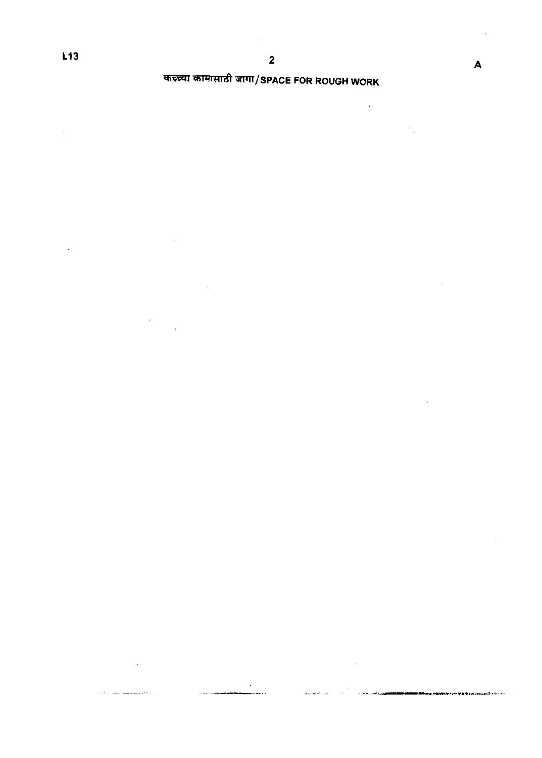÷,

l,

J

 $\ddot{\phantom{a}}$ 

 $\mathcal{L}_{\mathcal{A}}$ 

# कच्च्या कामासाठी जागा/SPACE FOR ROUGH WORK

 $\ddot{\phantom{0}}$ 

 $\mathcal{L}_{\mathcal{A}}$ 

 $\ddot{\phantom{0}}$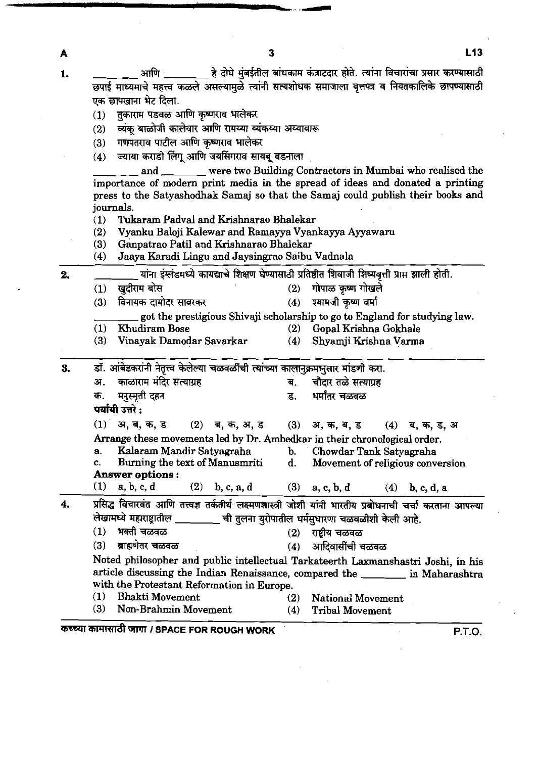- 1. 1. 310 अगणि हे दोघे मुंबईतील बांधकाम कंत्राटदार होते. त्यांना विचारांचा प्रसार करण्यासाठी छपाई माध्यमाचे महत्त्व कळले असल्यामुळे त्यांनी सत्यशोधक समाजाला वृत्तपत्र व नियतकालिके छापण्यासाठी एक छापखाना भेट दिला.<br>(1) - तकाराम पडवळ उ
	- तकाराम पडवळ आणि कृष्णराव भालेकर

A

- (2) व्यंकू बाळोजी कालेवार आणि रामय्या व्यंकय्या अय्यावारू<br>(3) गणपतराव पाटील आणि कृष्णराव भालेकर
- गणपतराव पाटील आणि कृष्णराव भालेकर
- $(4)$  ज्याया कराडी लिंगू आणि जयसिंगराव सायबू वडनाला

and were two Building Contractors in Mumbai who realised the importance of modem print media in the spread of ideas and donated a printing press to the Satyashodhak Samaj so that the Samaj could publish their **books** and journals.

- (1) Tukaram Padval and Krishnarao Bhalekar
- **(2)** Vyanku Baloji Kalewar and Ramayya Vyankayya Ayyawaru
- (3) Ganpatrao Patil and Krishnarao Bhalekar
- Jaaya Karadi Lingu and Jaysingrao Saibu Vadnala

2. <u>- - - - - - - यांना इंग्लंडमध्ये कायद्याचे शिक्षण घेण्यासाठी प्रतिष्ठीत शिवाजी शिष्यवृत्ती प्राप्त झाली होती.</u> 2) Vyanku Baloji Kalewar and Ramayya Vyankayya Ayyawaru<br>
3) Ganpatrao Patil and Krishnarao Bhalekar<br>
4) Jaaya Karadi Lingu and Jaysingrao Saibu Vadnala<br>
7 Tarih इंग्लंडमध्ये कायद्याचे शिक्षण घेण्यासाठी प्रतिष्ठीत शिवाजी श \_\_\_\_\_\_\_\_\_ याना इग्लडमध्ये कायद्याचे शिक्षण घण्यासाठी प्रतिष्ठीत शिवाजी शिष्यवृत्ती प्राप्त झीली होती.<br>(1) खुदीराम बोस<br>(3) विनायक दामोदर सावरकर (4) श्यामजी कृष्ण वर्मा<br>\_\_\_\_\_\_\_\_\_ go (1) Khudiram Bose (2) Gopal Krishna Gokhale<br>
(3) Vinayak Damodar Savarkar (4) Shyamji Krishna Varma Vinayak Damodar Savarkar (4) **3. si.~\*\*~\*ih~rnrn. a. memm . mdmm**  अ. काळाराम मंदिर सत्याग्रह<br>क. मनुस्मृती दहन<br>स्त्रांती न्डो : अर्थात दहन क. मनुस्मृती दहन<br>**पर्यायी उत्तरे :**<br>(1) अ. ब. क. ड (1) **a,,** (2) **q,a,a,3** (3) **a,\*,q,3 (4) 3,5,3,a**  Arrange these movements led by Dr. Arnbedkar in their chronological order. **a.** Kalaram Mandir Satyagraha b. Chowdar Tank Satyagraha c. Burning the text of Manusmriti d. Movement of religious conversion Answer options :<br>(1) a, b, c, d (2) (1) a, b, c, d (2) b, c, a, d (3) a, c, b, d (4) b, c, d, a (1) अ, अ, %,  $\leq$  (2) अ, %, अ,  $\leq$  (3) अ, %, अ,  $\leq$  (4) अ, %, अ, Arrange these movements led by Dr. Ambedkar in their chronological order.<br>
a. Kalaram Mandir Satyagraha b. Chowdar Tank Satyagraha<br>
c. Burning the tex \*~~PTrFgemmr-w\*. (1) a, b, c, d (2) b, c, a, d (3) a, c, b, d (4) b, c, d, a<br>प्रसिद्ध विचारवंत आणि तत्त्वज्ञ तर्कतीर्थ लक्ष्मणशास्त्री जोशी यांनी भारतीय प्रबोधनाची चर्चा करताना आपल्या<br>लेखामध्ये महाराष्ट्रातील \_\_\_\_\_\_\_\_\_ ची तुलना युरोपातील **ब्राह्मणेतर चळवळ** Noted philosopher and public intellectual Tarkateerth Lamnanshastri Joshi, in his article discussing the Indian Renaissance, compared the in Maharashtra with the Protestant Reformation in Europe. (1) Bhakti Movement **(2)** National Movement (3) Non-Brahmin Movement (4) Tribal Movement कच्च्या कामासाठी जागा *।* SPACE FOR ROUGH WORK विकास का स्थान का स्थान कर स्थान कर स्थान कर स्थान कर स्थान कर स्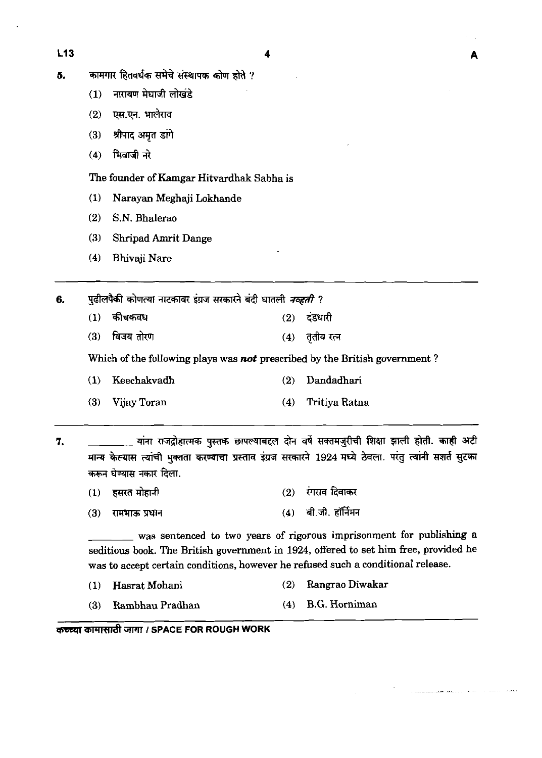A

- 5. कामगार हितवर्धक सभेचे संस्थापक कोण होते ?
	- नारायण मेघाजी लोखंडे  $(1)$
	- एस.एन. भालेराव  $(2)$
	- श्रीपाद अमृत डांगे  $(3)$
	- भिवाजी नरे  $(4)$

The founder of Kamgar Hitvardhak Sabha is

- **(1)** Narayan Meghaji Lokhande
- **(2)** S.N. Bhalerao
- **(3)** Shripad Amrit Dange
- **(4)** Bhivaji Nare

पढीलपैकी कोणत्या नाटकावर इंग्रज सरकारने बंदी घातली *नव्हती* ? 6.

- कीचकवध  $(1)$  $(2)$ टंडधारी
- विजय तोरण  $(3)$ तृतीय रत्न  $(4)$

Which of the following plays was **not** prescribed by the British government?

- **(1)** Keechakvadh **(2)** Dandadhari
- **(3)** Vijay Toran **(4)** Tritiya Ratna

<u>्</u> यांना राजद्रोहात्मक पुस्तक छापल्याबद्दल दोन वर्षे सक्तमजुरीची शिक्षा झाली होती. काही अटी 7. मान्य केल्यास त्यांची मुक्तता करण्याचा प्रस्ताव इंग्रज सरकारने 1924 मध्ये ठेवला. परंतु त्यांनी सशर्त सुटका करून घेण्यास नकार दिला.

- रंगराव दिवाकर हसरत मोहानी  $(2)$  $(1)$
- $(4)$  बी.जी. हॉर्निमन  $(3)$ रामभाऊ प्रधान

was sentenced to two years of rigorous imprisonment for publishing a seditious book. The British government in **1924,** offered to set him free, provided he was to accept certain conditions, however he refused such a conditional release.

- **(1)** Hasrat Mohani **(2)** Rangrao Diwakar
- (3) Rambhau **Pradhan (4)** B.G. Horniman

कच्च्या कामासाठी जागा *।* SPACE FOR ROUGH WORK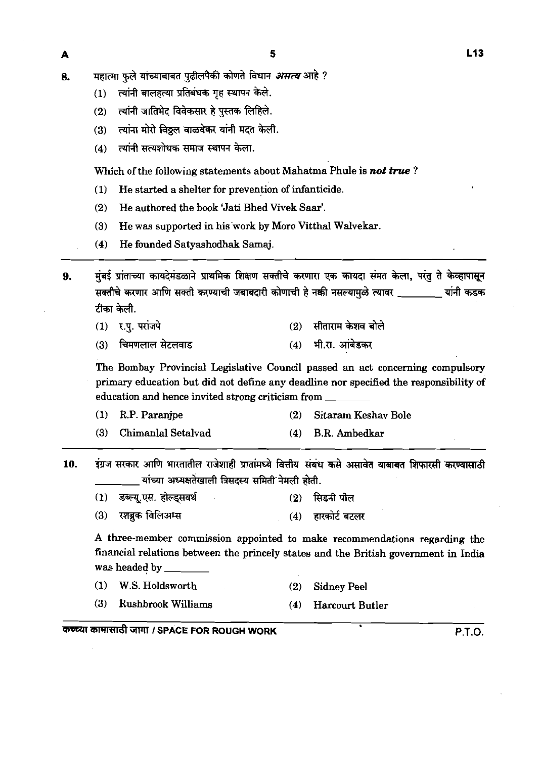- महात्मा फले यांच्याबाबत पढीलपैकी कोणते विधान *असत्य* आहे ? Я.
	- त्यांनी बालहत्या प्रतिबंधक गह स्थापन केले.  $(1)$
	- त्यांनी जातिभेद विवेकसार हे पुस्तक लिहिले.  $(2)$
	- त्यांना मोरो विठ्ठल वाळवेकर यांनी मदत केली.  $(3)$
	- त्यांनी सत्यशोधक समाज स्थापन केला.  $(4)$

Which of the following statements about Mahatma Phule is *not* true ?

- **(1)** He started a shelter for prevention of infanticide.
- (2) He authored the book 'Jati Bhed Vivek Saar'.
- **(3)** He was supported in his'work by Moro Vitthal Walvekar.
- **(4)** He founded Satyashodhak Sarnaj.

मंबई प्रांताच्या कायदेमंडळाने प्राथमिक शिक्षण सक्तीचे करणारा एक कायदा संमत केला. परंतु ते केव्हापासून  $9<sub>1</sub>$ सक्तीचे करणार आणि सक्ती करण्याची जबाबदारी कोणाची हे नक्की नसल्यामुळे त्यावर \_\_\_\_\_\_\_\_\_ यांनी कडक टीका केली.

- $(2)$  सीताराम केशव बोले (1) र.प. परांजपे
- $(4)$  भी.स. आंबेडकर चिमणलाल सेटलवाड  $(3)$

The Bombay Provincial Legislative Council passed an act concerning compulsory primary education but did not define any deadline nor specified the responsibility of education and hence invited strong criticism from

- **(1)** R.P. Paranjpe **(2)** Sitaram Keshav Bole
- **(3)** Chimanlal Setalvad **(4)** B.R. Ambedkar
- इंग्रज सरकार आणि भारतातील राजेशाही प्रातांमध्ये वित्तीय संबंध कसे असावेत याबाबत शिफारसी करण्यासाठी 10. यांच्या अध्यक्षतेखाली त्रिसदस्य समिती नेमली होती.
	- डब्ल्य.एस. होल्डसवर्थ  $(1)$  $(2)$ सिडनी पील
	- रशब्रक विलिअम्स (4) हारकोर्ट बटलर  $(3)$

A three-member commission appointed to make recommendations regarding the financial relations between the princely states and the British government in India was headed by

- **(1)** W.S. Holdsworth **(2)** Sidney Peel
- **(3)** Rushbrook Williams **(4)** Harcourt Butler

*UEXZTl ailWV&* ClPll **I SPACE FOR ROUGH WORK P.T.O.**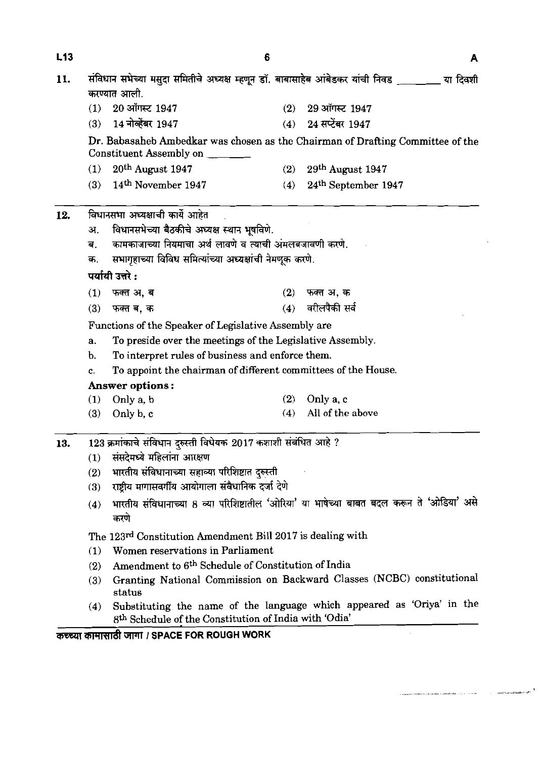| L13 | 6<br>A                                                                                                  |                                                                                                                                 |     |                     |  |  |  |  |  |
|-----|---------------------------------------------------------------------------------------------------------|---------------------------------------------------------------------------------------------------------------------------------|-----|---------------------|--|--|--|--|--|
| 11. | करण्यात आली.                                                                                            | संविधान सभेच्या मसुदा समितीचे अध्यक्ष म्हणून डॉ. बाबासाहेब आंबेडकर यांची निवड _________ या दिवशी                                |     |                     |  |  |  |  |  |
|     | (1)                                                                                                     | 20 ऑगस्ट 1947                                                                                                                   | (2) | 29 ऑगस्ट 1947       |  |  |  |  |  |
|     | (3)                                                                                                     | 14 नोव्हेंबर 1947                                                                                                               | (4) | 24 सप्टेंबर 1947    |  |  |  |  |  |
|     |                                                                                                         | Dr. Babasaheb Ambedkar was chosen as the Chairman of Drafting Committee of the<br>Constituent Assembly on ______                |     |                     |  |  |  |  |  |
|     | (1)                                                                                                     | 20th August 1947                                                                                                                | (2) | 29th August 1947    |  |  |  |  |  |
|     | (3)                                                                                                     | 14th November 1947                                                                                                              | (4) | 24th September 1947 |  |  |  |  |  |
| 12. |                                                                                                         | विधानसभा अध्यक्षाची कार्ये आहेत                                                                                                 |     |                     |  |  |  |  |  |
|     | अ.                                                                                                      | विधानसभेच्या बैठकीचे अध्यक्ष स्थान भूषविणे.                                                                                     |     |                     |  |  |  |  |  |
|     | ਕ.                                                                                                      | कामकाजाच्या नियमाचा अर्थ लावणे व त्याची अंमलबजावणी करणे.                                                                        |     |                     |  |  |  |  |  |
|     | क.                                                                                                      | सभागृहाच्या विविध समित्यांच्या अध्यक्षांची नेमणूक करणे.                                                                         |     |                     |  |  |  |  |  |
|     | पर्यायी उत्तरे :                                                                                        |                                                                                                                                 |     |                     |  |  |  |  |  |
|     | (1)                                                                                                     | फक्त अ, ब                                                                                                                       | (2) | फक्त अ. क           |  |  |  |  |  |
|     | (3)                                                                                                     | फक्त ब, क                                                                                                                       | (4) | वरीलपैकी सर्व       |  |  |  |  |  |
|     | Functions of the Speaker of Legislative Assembly are                                                    |                                                                                                                                 |     |                     |  |  |  |  |  |
|     | To preside over the meetings of the Legislative Assembly.<br>a.                                         |                                                                                                                                 |     |                     |  |  |  |  |  |
|     | To interpret rules of business and enforce them.<br>b.                                                  |                                                                                                                                 |     |                     |  |  |  |  |  |
|     | To appoint the chairman of different committees of the House.<br>c.                                     |                                                                                                                                 |     |                     |  |  |  |  |  |
|     | <b>Answer options:</b>                                                                                  |                                                                                                                                 |     |                     |  |  |  |  |  |
|     | (1)                                                                                                     | Only a, b                                                                                                                       | (2) | Only a, c           |  |  |  |  |  |
|     | (3)                                                                                                     | Only b, c                                                                                                                       | (4) | All of the above    |  |  |  |  |  |
| 13. | 123 क्रमांकाचे संविधान दुरुस्ती विधेयक 2017 कशाशी संबंधित आहे ?                                         |                                                                                                                                 |     |                     |  |  |  |  |  |
|     | संसदेमध्ये महिलांना आरक्षण<br>(1)                                                                       |                                                                                                                                 |     |                     |  |  |  |  |  |
|     | भारतीय संविधानाच्या सहाव्या परिशिष्टात दुरुस्ती<br>(2)                                                  |                                                                                                                                 |     |                     |  |  |  |  |  |
|     | राष्ट्रीय मागासवर्गीय आयोगाला संवैधानिक दर्जा देणे<br>(3)                                               |                                                                                                                                 |     |                     |  |  |  |  |  |
|     | भारतीय संविधानाच्या 8 व्या परिशिष्टातील 'ओरिया' या भाषेच्या बाबत बदल करून ते 'ओडिया' असे<br>(4)<br>करणे |                                                                                                                                 |     |                     |  |  |  |  |  |
|     |                                                                                                         | The 123 <sup>rd</sup> Constitution Amendment Bill 2017 is dealing with                                                          |     |                     |  |  |  |  |  |
|     | (1)                                                                                                     | Women reservations in Parliament                                                                                                |     |                     |  |  |  |  |  |
|     | Amendment to 6 <sup>th</sup> Schedule of Constitution of India<br>(2)                                   |                                                                                                                                 |     |                     |  |  |  |  |  |
|     | (3)                                                                                                     | Granting National Commission on Backward Classes (NCBC) constitutional<br>status                                                |     |                     |  |  |  |  |  |
|     | (4)                                                                                                     | Substituting the name of the language which appeared as 'Oriya' in the<br>8th Schedule of the Constitution of India with 'Odia' |     |                     |  |  |  |  |  |

mrm3ndt **W** *I* **SPACE FOR ROUGH WORK** 

.<br>A spinningsver for direct in a development of the second collection is the second to the deterministic of the

.<br>Senator Stranger in the Negative Provider

 $\sim$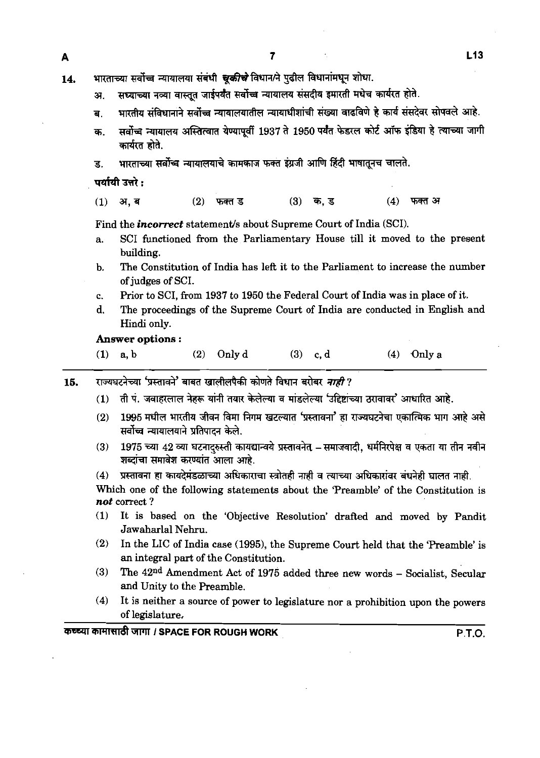- 14. भारताच्या सर्वोच्च न्यायालया संबंधी *चूकीचे* विधान/ने पुढील विधानांमधून शोधा.
	- अ. सध्याच्या नव्या वास्तूत जाईपर्यंत सर्वोच्च न्यायालय संसदीय इमारती मधेच कार्यरत होते.
	- ब. भारतीय संविधानाने सर्वोच्च न्यायालयातील न्यायाधीशांची संख्या वाढविणे हे कार्य संसदेवर सोपवले आहे.
	- सर्वोच्च न्यायालय अस्तित्वात येण्यापूर्वी 1937 ते 1950 पर्यंत फेडरल कोर्ट ऑफ इंडिया हे त्याच्या जागी क. कार्यरत होते.
	- भारताच्या सर्वोच्च न्यायालयाचे कामकाज फक्त इंग्रजी आणि हिंदी भाषातूनच चालते. ड.

पर्यायी उत्तरे :

 $(4)$  फक्त अ अ. ब  $(2)$  $(3)$  क, ड  $(1)$ फक्त ड

Find the *incorrect* statement's about Supreme Court of India (SCI).

- a. SCI functioned from the Parliamentary House till it moved to the present building.
- b. The Constitution of India has left it to the Parliament to increase the number of judges of SCI.
- c. Prior to SCI, from 1937 to 1950 the Federal Court of India was in place of it.
- d. The proceedings of the Supreme Court of India are conducted in English and Hindi only.

#### **Answer** *options* :

- (1) a, b (2)  $Only d$  (3) c, d (4)  $Only a$
- राज्यघटनेच्या 'प्रस्तावने' बाबत खालीलपैकी कोणते विधान बरोबर *नाही* ? 15.
	- ती पं. जवाहरलाल नेहरू यांनी तयार केलेल्या व मांडलेल्या 'उद्दिष्टांच्या ठरावावर' आधारित आहे.  $(1)$
	- 1995 मधील भारतीय जीवन विमा निगम खटल्यात 'प्रस्तावना' हा राज्यघटनेचा एकात्मिक भाग आहे असे  $(2)$ सर्वोच्च न्यायालयाने प्रतिपादन केले.
	- 1975 च्या 42 व्या घटनादरुस्ती कायद्यान्वये प्रस्तावनेत् समाजवादी, धर्मनिरपेक्ष व एकता या तीन नवीन  $(3)$ शब्दांचा समावेश करण्यांत आला आहे.
	- प्रस्तावना हा कायदेमंडळाच्या अधिकाराचा स्त्रोतही नाही व त्याच्या अधिकारांवर बंधनेही घालत नाही.  $(4)$

Which one of the following statements about the 'Preamble' of the Constitution is *not* correct ?

- (1) It is based on the 'Objective Resolution' drafted and moved by Pandit Jawaharlal Nehru.
- (2) In the LIC of India case (1995), the Supreme Court held that the 'Preamble' is an integral part of the Constitution.
- (3) The 42nd Amendment Act of 1975 added three new words Socialist, Secular and Unity to the Preamble.
- (4) It is neither a source of power to legislature nor a prohibition upon the powers of legislature,

कच्च्या कामासाठी जागा *।* SPACE FOR ROUGH WORK **P.T.O.** P.T.O.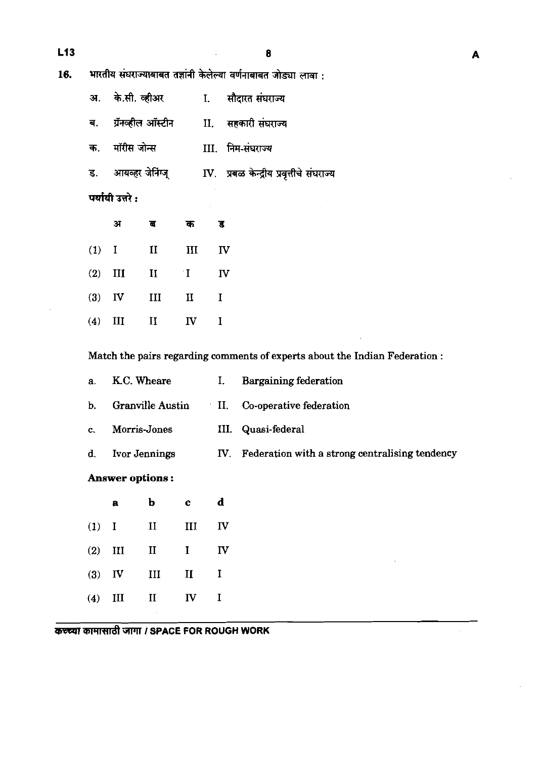$\bf{8}$ 

 $16.$ भारतीय संघराज्याबाबत तज्ञांनी केलेल्या वर्णनाबाबत जोड्या लावा :

|                  | अ. के.सी. व्हीअर                             |  | I. सौदारत संघराज्य                                                 |  |  |
|------------------|----------------------------------------------|--|--------------------------------------------------------------------|--|--|
|                  | ब. - ग्रॅनव्हील ऑस्टीन - II. सहकारी संघराज्य |  |                                                                    |  |  |
|                  | क. मॉरीस जोन्स                               |  | III. निम-संघराज्य                                                  |  |  |
|                  |                                              |  | ड. आयव्हर जेनिंग्ज्       IV. प्रबळ केन्द्रीय प्रवृत्तीचे संघराज्य |  |  |
| पर्यायी उत्तरे : |                                              |  |                                                                    |  |  |

|          | अ         | ਰ                    | क                       | ड  |
|----------|-----------|----------------------|-------------------------|----|
| $(1)$ I  |           | $\scriptstyle\rm II$ | III                     | IV |
|          | $(2)$ III | $\mathbf{I}$         | $\mathbf{T}^*$          | IV |
| $(3)$ IV |           | III                  | $\rm{II}$               | I  |
| (4)      | Ш         | $\mathbf{I}$         | $\mathbf{I} \mathbf{V}$ | I  |

Match the pairs regarding comments of experts about the Indian Federation:

|                        |              |              |                         | <b>Bargaining federation</b>                       |
|------------------------|--------------|--------------|-------------------------|----------------------------------------------------|
| Granville Austin       |              |              | Co-operative federation |                                                    |
| Morris-Jones           |              |              | III. Quasi-federal      |                                                    |
|                        |              |              |                         | IV. Federation with a strong centralising tendency |
| <b>Answer options:</b> |              |              |                         |                                                    |
| $\mathbf{a}$           | $\mathbf b$  | $\mathbf{c}$ | $\mathbf d$             |                                                    |
| п                      | II           | III          | $\mathbf{I}$            |                                                    |
| III                    | $\mathbf{I}$ | I            | $\mathbf{I}$            |                                                    |
|                        |              | K.C. Wheare  | Ivor Jennings           | Ι.<br>$\blacksquare$                               |

# कच्च्या कामासाठी जागा / SPACE FOR ROUGH WORK

 $\mathbf{III}$ 

 $\mathbf{II}$ 

 $\mathbf{II}$ 

 ${\bf IV}$ 

 $\mathbf I$ 

 $\mathbf I$ 

 $(3)$  IV

 $(4)$  III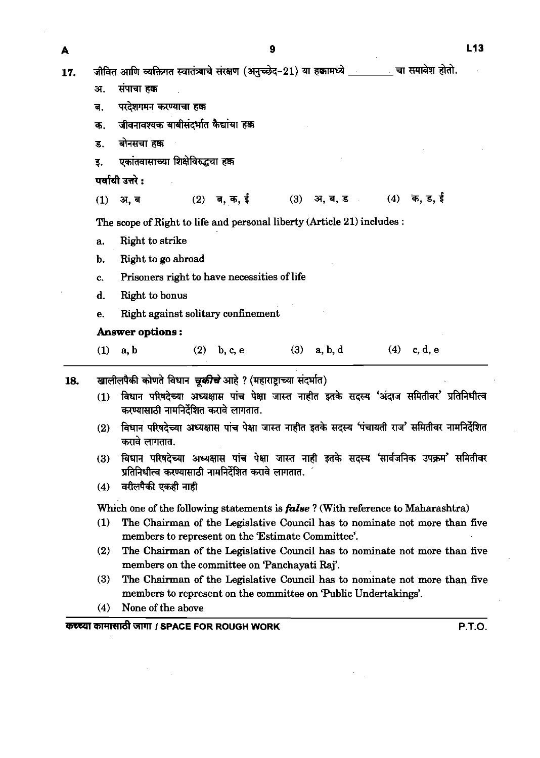17.

जीवित आणि व्यक्तिगत स्वातंत्र्याचे संरक्षण (अनच्छेद-21) या हक्कामध्ये खाल समावेश होतो. संपाचा हक अ. परदेशगमन करण्याचा हक्क  $\overline{d}$ . जीवनावश्यक बाबीसंदर्भात कैद्यांचा हक्क क. बोनसचा हक्क ड. एकांतवासाच्या शिक्षेविरुद्धचा हक्क  $\overline{\mathbf{S}}$ . पर्यायी उत्तरे :  $(4)$  क, ड, ई  $(2)$  ब, क, ई  $(3)$  37. ब. ड  $\mathcal{L}_{\mathrm{in}}$  $(1)$ अ. ब The scope of Right to life and personal liberty (Article 21) includes : a. Right to strike b. Right to go abroad c. Prisoners right to have necessities of life d. Right to bonus e. Right against solitary confinement **Answer options** : (1) a, b (2) b, c, e (3) a, b, d (4) c, d, e 18. **खालीलपैकी कोणते विधान चुकीचे** आहे ? (महाराष्टाच्या संदर्भात) (1) विधान परिषदेच्या अध्यक्षास पांच पेक्षा जास्त नाहीत इतके सदस्य 'अंदाज समितीवर' प्रतिनिधीत्व **करण्यासाठी नामनिर्देशित करावे लागतात.** (2) **kTR+mlJK44mmaawm7;rrffa\*w~m'\*~ dm.**  (3) विधान परिषदेच्या अध्यक्षास पांच पेक्षा जास्त नाही इतके सदस्य 'सार्वजनिक उपक्रम**' समितीवर y**तिनिधीत्व करण्यासाठी नामनिर्देशित करावे लागतात.  $(4)$  वरीलपैकी एकही नाही Which one of the following statements is *fabe* ? (With reference to Maharashtra) (1) The Chairman of the Legislative Council has to nominate not more than five members to represent on the 'Estimate Committee'. (2) The Chairman of the Legislative Council has to nominate not more than five members on the committee on 'Panchayati **Raj'.**  (3) The Chairman of the Legislative Council has to nominate not more than five members to represent on the committee on 'Public Undertakings'. (4) None of the above **WWITfd** TPll **I SPACE FOR ROUGH WORK P:T;O.**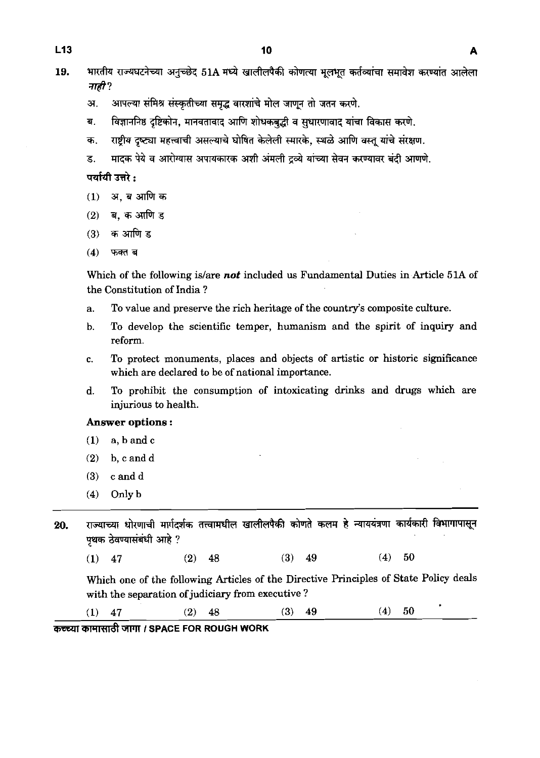- 19. भारतीय राज्यघटनेच्या अनुच्छेद 51A मध्ये खालीलपैकी कोणत्या मूलभूत कर्तव्यांचा समावेश करण्यांत आलेला नाही ?
	- अ. अापल्या संमिश्र संस्कृतीच्या समृद्ध वारशांचे मोल जाणून तो जतन करणे.
	- ब. विज्ञाननिष्ठ दृष्टिकोन, मानवतावाद आणि शोधकबद्धी व सुधारणावाद यांचा विकास करणे.
	- क. राष्टीय दृष्ट्या महत्त्वाची असल्याचे घोषित केलेली स्मारके. स्थळे आणि वस्तु यांचे संरक्षण.
	- ड. मादक पेये व आरोग्यास अपायकारक अशी अंमली दव्ये यांच्या सेवन करण्यावर बंदी आणणे.

पर्यायी उत्तरे $\cdot$ 

- अ. ब आणि क  $(1)$
- ब. क आणि ड  $(2)$
- क आणि ड  $(3)$
- $(4)$ फक्त ब

Which of the following islare not included us Fundamental Duties in Article **51A** of the Constitution of India ?

- a. To value and preserve the rich heritage of the country's composite culture.
- b. To develop the scientific temper, humanism and the spirit of inquiry and reform.
- c. To protect monuments, places and objects of artistic or historic significance which are declared to be of national importance.
- d. To prohibit the consumption of intoxicating drinks and drugs which are injurious to health.

#### **Answer** options :

- **(1)** a, **b** and c
- **(2)** b, candd
- **(3)** c and **<sup>d</sup>**
- **(4)** Only **b**

20. राज्याच्या धोरणाची मार्गदर्शक तत्त्वामधील खालीलपैकी कोणते कलम हे न्याययंत्रणा कार्यकारी विभागापासून पृथक ठेवण्यासंबंधी आहे ?

**(1) 47 (2) 48 (3) 49 (4) 50** 

Which one of the following Articles of the Directive Principles of State Policy deals with the separation of judiciary from executive?

**(1) 47 (2) 48 (3) 49 (4) 50** 

<u>(1) 47 (2) 48 (2) assessed by</u> a set of the set of the set of the set of the set of the set of the set of the set of the set of the set of the set of the set of the set of the set of the set of the set of the set of the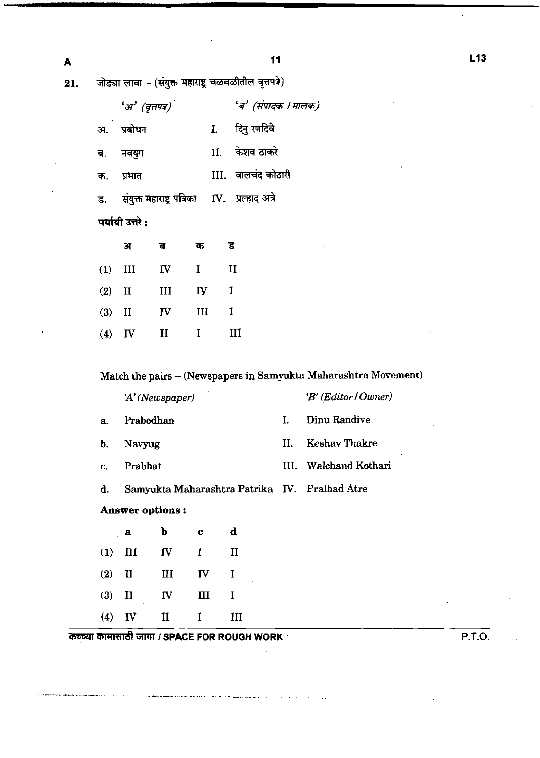जोड्या लावा - (संयुक्त महाराष्ट्र चळवळीतील वृत्तपत्रे) 21.

|    | $\mathcal{F}$ ा (वृत्तपत्र)                      | 'ब' (संपादक । मालक) |
|----|--------------------------------------------------|---------------------|
| अ. | प्रबोधन                                          | I. दिनु रणदिवे      |
|    | ब. नवयुग                                         | II केशव ठाकरे       |
| क. | प्रभात                                           | III. वालचंद कोठारी  |
|    | ड. संयुक्त महाराष्ट्र पत्रिका IV. प्रल्हाद अत्रे |                     |
|    | पर्यायी उत्तरे :                                 |                     |
|    | क<br>ਜ਼                                          |                     |

|          | $(1)$ III | $\mathbf{I}$ V | $\mathbf{I}$            | $\mathbf{H}$ |
|----------|-----------|----------------|-------------------------|--------------|
| $(2)$ II |           | III            | $\mathbf{I} \mathbf{y}$ | $\mathbf{I}$ |
| $(3)$ II |           | $\mathbf{N}$   | III                     | $\mathbf{I}$ |
|          | $(4)$ IV  | $\mathbf{I}$   | $\mathbf{I}$            | III          |

Match the pairs - (Newspapers in Samyukta Maharashtra Movement)

'A' (Newspaper) 'B' (Editor / Owner)  $\mathbf{I}$ . Dinu Randive Prabodhan a. **Keshav Thakre**  $II.$ b. Navyug III. Walchand Kothari  $\mathbf{c}$ . Prabhat Samyukta Maharashtra Patrika IV. Pralhad Atre d. Answer options:

|  | a b c d           |  |
|--|-------------------|--|
|  | $(1)$ III IV I II |  |
|  | $(2)$ II III IV I |  |
|  | $(3)$ II IV III I |  |
|  | $(4)$ IV II I III |  |

कच्च्या कामासाठी जागा / SPACE FOR ROUGH WORK

.<br>Andreas de la compagnie de la compagnie de la compagnie de la compagnie de la compagnie de la compagnie de la

P.T.O.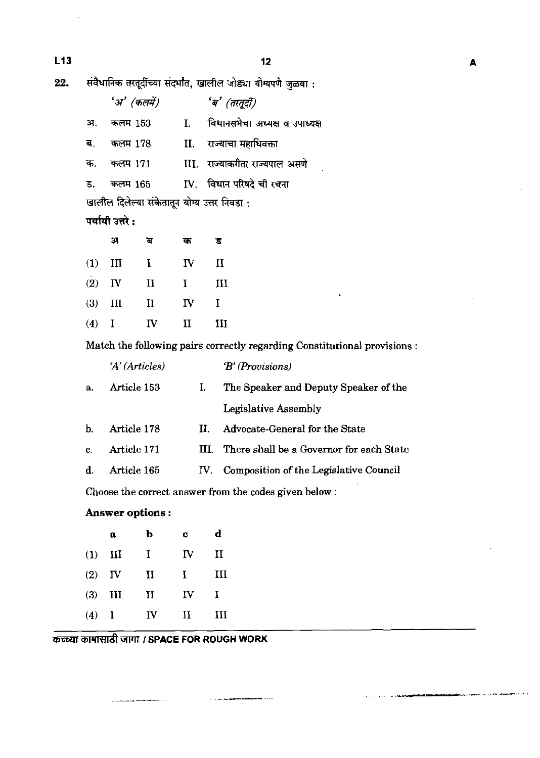संवैधानिक तरतूर्दीच्या संदर्भांत, खालील जोड्या योग्यपणे जुळवा : 22.

|    | 'अ' (कलमें) | 'ब' (तरतूदी)                   |
|----|-------------|--------------------------------|
| अ. | कलम 153     | विधानसभेचा अध्यक्ष व उपाध्यक्ष |
| ब. | कलम 178     | II. राज्याचा महाधिवक्ता        |
| क. | कलम 171     | III. राज्याकरीता राज्यपाल असणे |
| ड. | कलम 165     | IV. विधान परिषदे ची रचना       |

खालील दिलेल्या संकेतातून योग्य उत्तर निवडा :

# पर्यायी उत्तरे :

|           | ЭТ        | ਕ            | क            | τ            |
|-----------|-----------|--------------|--------------|--------------|
|           | $(1)$ III | $\bf{I}$     | $\mathbf{I}$ | $\mathbf{I}$ |
|           | $(2)$ IV  | $\mathbf{I}$ | $\mathbf{I}$ | III          |
| $(3)$ III |           | $\rm{II}$    | IV           | L            |
| $(4)$ I   |           | IV           | $\mathbf{I}$ | III          |

Match the following pairs correctly regarding Constitutional provisions :

|    | A (Articles) |     | $B'$ (Provisions)                        |
|----|--------------|-----|------------------------------------------|
| a. | Article 153  | L.  | The Speaker and Deputy Speaker of the    |
|    |              |     | <b>Legislative Assembly</b>              |
| b. | Article 178  | П.  | Advocate-General for the State           |
| c. | Article 171  | Ш   | There shall be a Governor for each State |
| d. | Article 165  | IV. | Composition of the Legislative Council   |
|    |              |     |                                          |

 $\label{eq:1} \mathcal{L}(\mathcal{L}^{\text{c}}) = \mathcal{L}(\mathcal{L}^{\text{c}}) = \mathcal{L}(\mathcal{L}^{\text{c}}) = \mathcal{L}(\mathcal{L}^{\text{c}}) = \mathcal{L}(\mathcal{L}^{\text{c}}) = \mathcal{L}(\mathcal{L}^{\text{c}}) = \mathcal{L}(\mathcal{L}^{\text{c}})$ 

Choose the correct answer from the codes given below :

# Answer options:

|     | a              | b            | C  | d            |
|-----|----------------|--------------|----|--------------|
| (1) | $\mathbf{H}$   | T            | IV | $\mathbf{I}$ |
| (2) | $-\mathbf{IV}$ | и            | L  | Ш            |
| (3) | ИI             | $\mathbf{I}$ | ΓV | $\mathbf I$  |
| (4) | - 1            | $\mathbf{I}$ | и  | ш            |

कच्च्या कामासाठी जागा / SPACE FOR ROUGH WORK

 $L13$ 

.<br>Biolo<del>gia d</del>e 1970 e 19<sub>71 d</sub>e de de festival **al 1980** e de 1987 d

.<br>الانتقام الي الي الي الي الي الي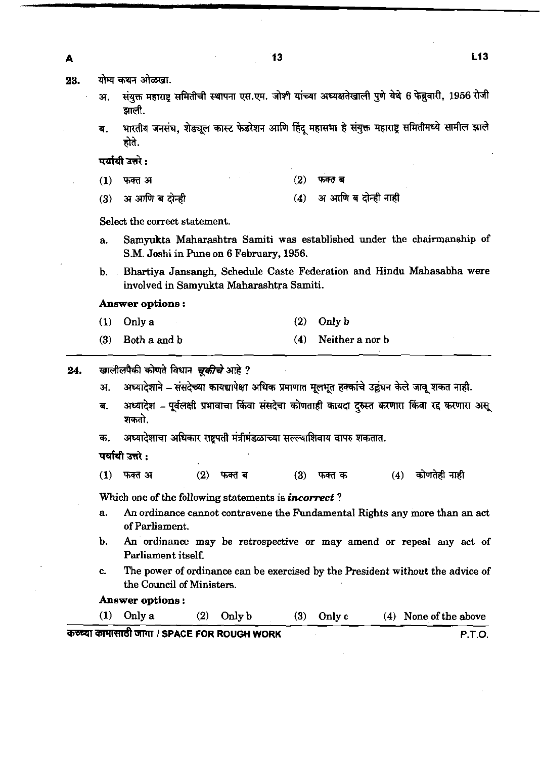योग्य कथन ओळखा. 23.

 $\blacktriangle$ 

- संयुक्त महाराष्ट्र समितीची स्थापना एस.एम. जोशी यांच्या अध्यक्षतेखाली पुणे येथे 6 फेब्रुवारी, 1956 रोजी अ. झाली.
- भारतीय जनसंघ, शेड्यूल कास्ट फेडरेशन आणि हिंदू महासभा हे संयुक्त महाराष्ट्र समितीमध्ये सामील झाले ंब. होते.

 $(2)$ 

फक्त ब

पर्यायी उत्तरे :

- $(1)$ फक्त अ
- अ आणि ब दोन्ही नाही अ आणि ब दोन्ही  $(4)$  $(3)$

Select the correct statement.

- a. Samyukta Maharashtra Samiti was established under the chairmanship of S.M. Joshi in Pune on **6** February, **1956.**
- b. Bhartiya Jansangh, Schedule Caste Federation and Hindu Mahasabha were involved in Samyukta Maharashtra Samiti.

#### **Answer options** :

- **(1)** Only a **(2)** Only b
- **(3)** Both a and b **(4)** Neither a nor b

24. खालीलपैकी कोणते विधान *चुकीचे* आहे ?

- अ. अध्यादेशाने संसदेच्या कायद्यापेक्षा अधिक प्रमाणात मूलभूत हक्कांचे उल्लंघन केले जावू शकत नाही.
- ब. अध्यादेश पूर्वलक्षी प्रभावाचा किंवा संसदेचा कोणताही कायदा दुरुस्त करणारा किंवा रद करणारा असू शकतो.
- अध्यादेशाचा अधिकार राष्ट्रपती मंत्रीमंडळाच्या सल्ल्याशिवाय वापरु शकतात. क.

पर्यायी उत्तरे :

 $(1)$  फक्त अ  $(2)$ कोणतेही नाही फक्त ब  $(3)$ फक्त क  $(4)$ 

Which one of the following statements is **incorrect**?

- a. An ordinance cannot contravene the Fundamental Rights any more than an act of Parliament.
- b. An ordinance may be retrospective or may amend or repeal any act of Parliament itself.
- c. The power of ordinance can be exercised by the President without the advice of the Council of Ministers.

**Answer options** :

**(1)** Only a **(2)** Only b **(3)** Only c **(4)** None of the above *FFlRT&* WVI I **SPACE FOR ROUGH WORK P.T.O.**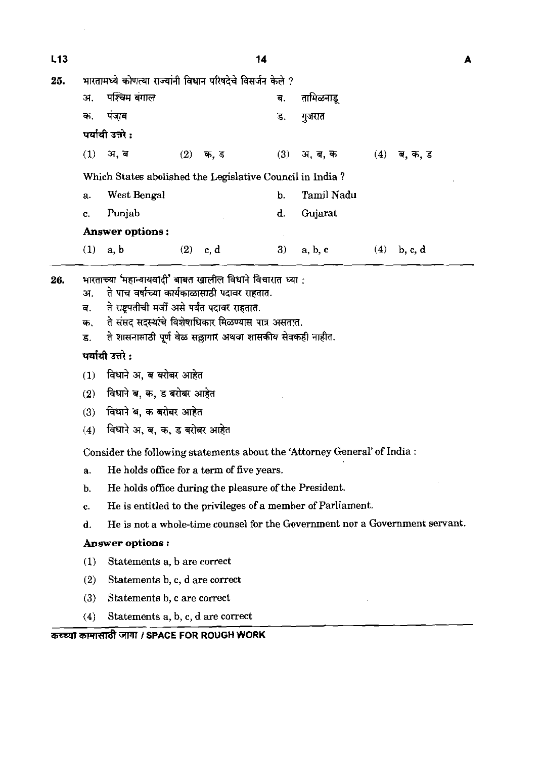| L13 |                                                              |                                                                                                                                                                                                                                                                                                                                                                                                                                                                                                                                                                                                        |     |            | 14  |            |     |               | A |
|-----|--------------------------------------------------------------|--------------------------------------------------------------------------------------------------------------------------------------------------------------------------------------------------------------------------------------------------------------------------------------------------------------------------------------------------------------------------------------------------------------------------------------------------------------------------------------------------------------------------------------------------------------------------------------------------------|-----|------------|-----|------------|-----|---------------|---|
| 25. |                                                              | भारतामध्ये कोणत्या राज्यांनी विधान परिषदेचे विसर्जन केले ?                                                                                                                                                                                                                                                                                                                                                                                                                                                                                                                                             |     |            |     |            |     |               |   |
|     | अ.                                                           | पश्चिम बंगाल                                                                                                                                                                                                                                                                                                                                                                                                                                                                                                                                                                                           |     |            | ब.  | तामिळनाडू  |     |               |   |
|     | क.                                                           | पंजाब                                                                                                                                                                                                                                                                                                                                                                                                                                                                                                                                                                                                  |     |            | ड.  | गुजरात     |     |               |   |
|     |                                                              | पर्यायी उत्तरे :                                                                                                                                                                                                                                                                                                                                                                                                                                                                                                                                                                                       |     |            |     |            |     |               |   |
|     |                                                              | $(1)$ अ, ब                                                                                                                                                                                                                                                                                                                                                                                                                                                                                                                                                                                             | (2) | क, ड       | (3) | अ. ब. क    | (4) | ब, क, ड       |   |
|     |                                                              | Which States abolished the Legislative Council in India?                                                                                                                                                                                                                                                                                                                                                                                                                                                                                                                                               |     |            |     |            |     |               |   |
|     | a.                                                           | West Bengal                                                                                                                                                                                                                                                                                                                                                                                                                                                                                                                                                                                            |     |            | b.  | Tamil Nadu |     |               |   |
|     | c.                                                           | Punjab                                                                                                                                                                                                                                                                                                                                                                                                                                                                                                                                                                                                 |     |            | d.  | Gujarat    |     |               |   |
|     |                                                              | <b>Answer options:</b>                                                                                                                                                                                                                                                                                                                                                                                                                                                                                                                                                                                 |     |            |     |            |     |               |   |
|     |                                                              | $(1)$ a, b                                                                                                                                                                                                                                                                                                                                                                                                                                                                                                                                                                                             |     | $(2)$ c, d | 3)  | a, b, c    |     | $(4)$ b, c, d |   |
| 26. | अ.<br>ब.<br>क.<br>ड.<br>(1)<br>(2)<br>(3)<br>(4)<br>a.<br>b. | भारताच्या 'महान्यायवादी' बाबत खालील विधाने विचारात ध्या :<br>ते पाच वर्षाच्या कार्यकाळासाठी पदावर राहतात.<br>ते राष्ट्रपतीची मर्जी असे पर्यंत पदावर राहतात.<br>ते संसद सदस्यांचे विशेषाधिकार मिळण्यास पात्र असतात.<br>ते शासनासाठी पूर्ण वेळ सल्लागार अथवा शासकीय सेवकही नाहीत.<br>पर्यायी उत्तरे :<br>विधाने अ, ब बरोबर आहेत<br>विधाने ब, क, ड बरोबर आहेत<br>विधाने ब, क बरोबर आहेत<br>विधाने अ, ब, क, ड बरोबर आहेत<br>Consider the following statements about the 'Attorney General' of India:<br>He holds office for a term of five years.<br>He holds office during the pleasure of the President. |     |            |     |            |     |               |   |
|     | c.                                                           | He is entitled to the privileges of a member of Parliament.                                                                                                                                                                                                                                                                                                                                                                                                                                                                                                                                            |     |            |     |            |     |               |   |
|     | d.                                                           | He is not a whole-time counsel for the Government nor a Government servant.                                                                                                                                                                                                                                                                                                                                                                                                                                                                                                                            |     |            |     |            |     |               |   |
|     |                                                              | Answer options :                                                                                                                                                                                                                                                                                                                                                                                                                                                                                                                                                                                       |     |            |     |            |     |               |   |
|     | (1)                                                          | Statements a, b are correct                                                                                                                                                                                                                                                                                                                                                                                                                                                                                                                                                                            |     |            |     |            |     |               |   |
|     | (2)                                                          | Statements b, c, d are correct                                                                                                                                                                                                                                                                                                                                                                                                                                                                                                                                                                         |     |            |     |            |     |               |   |
|     | (3)                                                          | Statements b, c are correct                                                                                                                                                                                                                                                                                                                                                                                                                                                                                                                                                                            |     |            |     |            |     |               |   |
|     | (4)                                                          | Statements a, b, c, d are correct                                                                                                                                                                                                                                                                                                                                                                                                                                                                                                                                                                      |     |            |     |            |     |               |   |
|     |                                                              | कच्च्या कामासाठी जागा / SPACE FOR ROUGH WORK                                                                                                                                                                                                                                                                                                                                                                                                                                                                                                                                                           |     |            |     |            |     |               |   |

 $\mathcal{L}(\mathcal{A})$  .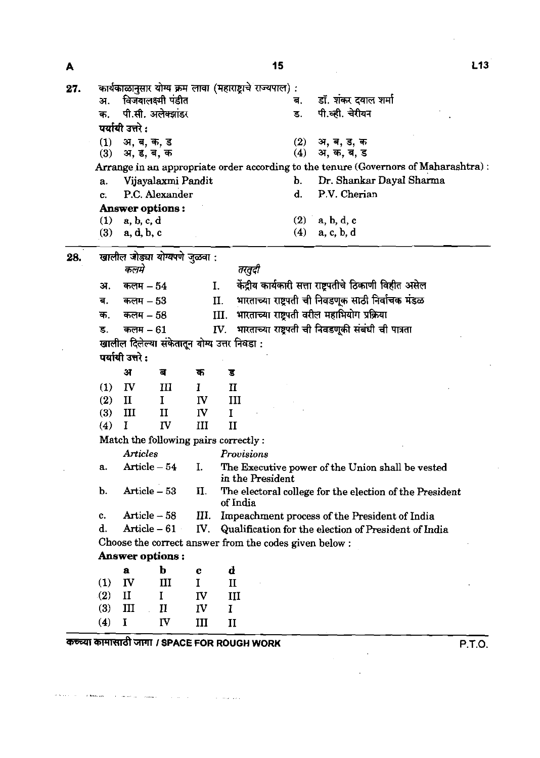| कार्यकाळानुसार योग्य क्रम लावा (महाराष्ट्राचे राज्यपाल):<br>27.<br>विजयालक्ष्मी पंडीत<br>डॉ. शंकर दयाल शर्मा<br>अ.<br>ब.<br>पी.सी. अलेक्झांडर<br>पी.व्ही. चेरीयन<br>ड.<br>क.<br>पर्यायी उत्तरे :<br>अ, ब, ड, क<br>(1)<br>अ, ब, क, ड<br>(2)<br>(4)<br>अ, क, ब, ड<br>(3)<br>अ, ड, ब, क<br>Arrange in an appropriate order according to the tenure (Governors of Maharashtra):<br>Dr. Shankar Dayal Sharma<br>Vijayalaxmi Pandit<br>b.<br>a.<br>P.V. Cherian<br>P.C. Alexander<br>d.<br>c.<br><b>Answer options:</b><br>$(1)$ a, b, c, d<br>$(2)$ a, b, d, c<br>(4)<br>a, c, b, d<br>(3)<br>a, d, b, c<br>खालील जोड्या योग्यपणे जुळवा :<br>28.<br>कलमे<br>तरतुदी<br>केंद्रीय कार्यकारी सत्ता राष्ट्रपतीचे ठिकाणी विहीत असेल<br>कलम $-54$<br>I.<br>अ.<br>भारताच्या राष्ट्रपती ची निवडणूक साठी निर्वाचक मंडळ<br>II.<br>कलम $-53$<br>ब.<br>भारताच्या राष्ट्रपती वरील महाभियोग प्रक्रिया<br>III.<br>क.<br>कलम – 58<br>भारताच्या राष्ट्रपती ची निवडणूकी संबंधी ची पात्रता<br>IV.<br>कलम $-61$<br>ड.<br>खालील दिलेल्या संकेतातून योग्य उत्तर निवडा :<br>पर्यायी उत्तरे :<br>अ<br>ब<br>क<br>ड<br>$\left(1\right)$<br>$\mathbf{I}$<br>III<br>$\mathbf{I}$<br>Ι.<br>(2)<br>$\mathbf{I}$<br>$\mathbf{I}$<br>IV<br>III<br>(3)<br>III<br>IV<br>II<br>T<br>$\Gamma$<br>III<br>(4)<br>$\mathbf{I}$<br>Match the following pairs correctly:<br><b>Articles</b><br>Provisions<br>Article - 54<br>The Executive power of the Union shall be vested<br>I.<br>a.<br>in the President<br>Article - 53<br>b.<br>II.<br>The electoral college for the election of the President<br>of India<br>Article $-58$<br>III.<br>Impeachment process of the President of India<br>c.<br>d.<br>Article $-61$<br>Qualification for the election of President of India<br>$N_{\rm \star}$<br>Choose the correct answer from the codes given below :<br>Answer options:<br>b<br>d<br>a<br>c<br>IV<br>(1)<br>Ш<br>$\mathbf I$<br>$\mathbf{I}$<br>$\mathbf{I}$<br>$\mathbf I$<br>(2)<br>IV<br>III | А |  |  | 15 | L <sub>13</sub> |
|-----------------------------------------------------------------------------------------------------------------------------------------------------------------------------------------------------------------------------------------------------------------------------------------------------------------------------------------------------------------------------------------------------------------------------------------------------------------------------------------------------------------------------------------------------------------------------------------------------------------------------------------------------------------------------------------------------------------------------------------------------------------------------------------------------------------------------------------------------------------------------------------------------------------------------------------------------------------------------------------------------------------------------------------------------------------------------------------------------------------------------------------------------------------------------------------------------------------------------------------------------------------------------------------------------------------------------------------------------------------------------------------------------------------------------------------------------------------------------------------------------------------------------------------------------------------------------------------------------------------------------------------------------------------------------------------------------------------------------------------------------------------------------------------------------------------------------------------------------------------------------------------------------------------------------------------------------------|---|--|--|----|-----------------|
|                                                                                                                                                                                                                                                                                                                                                                                                                                                                                                                                                                                                                                                                                                                                                                                                                                                                                                                                                                                                                                                                                                                                                                                                                                                                                                                                                                                                                                                                                                                                                                                                                                                                                                                                                                                                                                                                                                                                                           |   |  |  |    |                 |
|                                                                                                                                                                                                                                                                                                                                                                                                                                                                                                                                                                                                                                                                                                                                                                                                                                                                                                                                                                                                                                                                                                                                                                                                                                                                                                                                                                                                                                                                                                                                                                                                                                                                                                                                                                                                                                                                                                                                                           |   |  |  |    |                 |
|                                                                                                                                                                                                                                                                                                                                                                                                                                                                                                                                                                                                                                                                                                                                                                                                                                                                                                                                                                                                                                                                                                                                                                                                                                                                                                                                                                                                                                                                                                                                                                                                                                                                                                                                                                                                                                                                                                                                                           |   |  |  |    |                 |
|                                                                                                                                                                                                                                                                                                                                                                                                                                                                                                                                                                                                                                                                                                                                                                                                                                                                                                                                                                                                                                                                                                                                                                                                                                                                                                                                                                                                                                                                                                                                                                                                                                                                                                                                                                                                                                                                                                                                                           |   |  |  |    |                 |
|                                                                                                                                                                                                                                                                                                                                                                                                                                                                                                                                                                                                                                                                                                                                                                                                                                                                                                                                                                                                                                                                                                                                                                                                                                                                                                                                                                                                                                                                                                                                                                                                                                                                                                                                                                                                                                                                                                                                                           |   |  |  |    |                 |
|                                                                                                                                                                                                                                                                                                                                                                                                                                                                                                                                                                                                                                                                                                                                                                                                                                                                                                                                                                                                                                                                                                                                                                                                                                                                                                                                                                                                                                                                                                                                                                                                                                                                                                                                                                                                                                                                                                                                                           |   |  |  |    |                 |
|                                                                                                                                                                                                                                                                                                                                                                                                                                                                                                                                                                                                                                                                                                                                                                                                                                                                                                                                                                                                                                                                                                                                                                                                                                                                                                                                                                                                                                                                                                                                                                                                                                                                                                                                                                                                                                                                                                                                                           |   |  |  |    |                 |
|                                                                                                                                                                                                                                                                                                                                                                                                                                                                                                                                                                                                                                                                                                                                                                                                                                                                                                                                                                                                                                                                                                                                                                                                                                                                                                                                                                                                                                                                                                                                                                                                                                                                                                                                                                                                                                                                                                                                                           |   |  |  |    |                 |
|                                                                                                                                                                                                                                                                                                                                                                                                                                                                                                                                                                                                                                                                                                                                                                                                                                                                                                                                                                                                                                                                                                                                                                                                                                                                                                                                                                                                                                                                                                                                                                                                                                                                                                                                                                                                                                                                                                                                                           |   |  |  |    |                 |
|                                                                                                                                                                                                                                                                                                                                                                                                                                                                                                                                                                                                                                                                                                                                                                                                                                                                                                                                                                                                                                                                                                                                                                                                                                                                                                                                                                                                                                                                                                                                                                                                                                                                                                                                                                                                                                                                                                                                                           |   |  |  |    |                 |
|                                                                                                                                                                                                                                                                                                                                                                                                                                                                                                                                                                                                                                                                                                                                                                                                                                                                                                                                                                                                                                                                                                                                                                                                                                                                                                                                                                                                                                                                                                                                                                                                                                                                                                                                                                                                                                                                                                                                                           |   |  |  |    |                 |
|                                                                                                                                                                                                                                                                                                                                                                                                                                                                                                                                                                                                                                                                                                                                                                                                                                                                                                                                                                                                                                                                                                                                                                                                                                                                                                                                                                                                                                                                                                                                                                                                                                                                                                                                                                                                                                                                                                                                                           |   |  |  |    |                 |
|                                                                                                                                                                                                                                                                                                                                                                                                                                                                                                                                                                                                                                                                                                                                                                                                                                                                                                                                                                                                                                                                                                                                                                                                                                                                                                                                                                                                                                                                                                                                                                                                                                                                                                                                                                                                                                                                                                                                                           |   |  |  |    |                 |
|                                                                                                                                                                                                                                                                                                                                                                                                                                                                                                                                                                                                                                                                                                                                                                                                                                                                                                                                                                                                                                                                                                                                                                                                                                                                                                                                                                                                                                                                                                                                                                                                                                                                                                                                                                                                                                                                                                                                                           |   |  |  |    |                 |
|                                                                                                                                                                                                                                                                                                                                                                                                                                                                                                                                                                                                                                                                                                                                                                                                                                                                                                                                                                                                                                                                                                                                                                                                                                                                                                                                                                                                                                                                                                                                                                                                                                                                                                                                                                                                                                                                                                                                                           |   |  |  |    |                 |
|                                                                                                                                                                                                                                                                                                                                                                                                                                                                                                                                                                                                                                                                                                                                                                                                                                                                                                                                                                                                                                                                                                                                                                                                                                                                                                                                                                                                                                                                                                                                                                                                                                                                                                                                                                                                                                                                                                                                                           |   |  |  |    |                 |
|                                                                                                                                                                                                                                                                                                                                                                                                                                                                                                                                                                                                                                                                                                                                                                                                                                                                                                                                                                                                                                                                                                                                                                                                                                                                                                                                                                                                                                                                                                                                                                                                                                                                                                                                                                                                                                                                                                                                                           |   |  |  |    |                 |
|                                                                                                                                                                                                                                                                                                                                                                                                                                                                                                                                                                                                                                                                                                                                                                                                                                                                                                                                                                                                                                                                                                                                                                                                                                                                                                                                                                                                                                                                                                                                                                                                                                                                                                                                                                                                                                                                                                                                                           |   |  |  |    |                 |
|                                                                                                                                                                                                                                                                                                                                                                                                                                                                                                                                                                                                                                                                                                                                                                                                                                                                                                                                                                                                                                                                                                                                                                                                                                                                                                                                                                                                                                                                                                                                                                                                                                                                                                                                                                                                                                                                                                                                                           |   |  |  |    |                 |
|                                                                                                                                                                                                                                                                                                                                                                                                                                                                                                                                                                                                                                                                                                                                                                                                                                                                                                                                                                                                                                                                                                                                                                                                                                                                                                                                                                                                                                                                                                                                                                                                                                                                                                                                                                                                                                                                                                                                                           |   |  |  |    |                 |
|                                                                                                                                                                                                                                                                                                                                                                                                                                                                                                                                                                                                                                                                                                                                                                                                                                                                                                                                                                                                                                                                                                                                                                                                                                                                                                                                                                                                                                                                                                                                                                                                                                                                                                                                                                                                                                                                                                                                                           |   |  |  |    |                 |
|                                                                                                                                                                                                                                                                                                                                                                                                                                                                                                                                                                                                                                                                                                                                                                                                                                                                                                                                                                                                                                                                                                                                                                                                                                                                                                                                                                                                                                                                                                                                                                                                                                                                                                                                                                                                                                                                                                                                                           |   |  |  |    |                 |
|                                                                                                                                                                                                                                                                                                                                                                                                                                                                                                                                                                                                                                                                                                                                                                                                                                                                                                                                                                                                                                                                                                                                                                                                                                                                                                                                                                                                                                                                                                                                                                                                                                                                                                                                                                                                                                                                                                                                                           |   |  |  |    |                 |
|                                                                                                                                                                                                                                                                                                                                                                                                                                                                                                                                                                                                                                                                                                                                                                                                                                                                                                                                                                                                                                                                                                                                                                                                                                                                                                                                                                                                                                                                                                                                                                                                                                                                                                                                                                                                                                                                                                                                                           |   |  |  |    |                 |
|                                                                                                                                                                                                                                                                                                                                                                                                                                                                                                                                                                                                                                                                                                                                                                                                                                                                                                                                                                                                                                                                                                                                                                                                                                                                                                                                                                                                                                                                                                                                                                                                                                                                                                                                                                                                                                                                                                                                                           |   |  |  |    |                 |
|                                                                                                                                                                                                                                                                                                                                                                                                                                                                                                                                                                                                                                                                                                                                                                                                                                                                                                                                                                                                                                                                                                                                                                                                                                                                                                                                                                                                                                                                                                                                                                                                                                                                                                                                                                                                                                                                                                                                                           |   |  |  |    |                 |
|                                                                                                                                                                                                                                                                                                                                                                                                                                                                                                                                                                                                                                                                                                                                                                                                                                                                                                                                                                                                                                                                                                                                                                                                                                                                                                                                                                                                                                                                                                                                                                                                                                                                                                                                                                                                                                                                                                                                                           |   |  |  |    |                 |
|                                                                                                                                                                                                                                                                                                                                                                                                                                                                                                                                                                                                                                                                                                                                                                                                                                                                                                                                                                                                                                                                                                                                                                                                                                                                                                                                                                                                                                                                                                                                                                                                                                                                                                                                                                                                                                                                                                                                                           |   |  |  |    |                 |
|                                                                                                                                                                                                                                                                                                                                                                                                                                                                                                                                                                                                                                                                                                                                                                                                                                                                                                                                                                                                                                                                                                                                                                                                                                                                                                                                                                                                                                                                                                                                                                                                                                                                                                                                                                                                                                                                                                                                                           |   |  |  |    |                 |
|                                                                                                                                                                                                                                                                                                                                                                                                                                                                                                                                                                                                                                                                                                                                                                                                                                                                                                                                                                                                                                                                                                                                                                                                                                                                                                                                                                                                                                                                                                                                                                                                                                                                                                                                                                                                                                                                                                                                                           |   |  |  |    |                 |
|                                                                                                                                                                                                                                                                                                                                                                                                                                                                                                                                                                                                                                                                                                                                                                                                                                                                                                                                                                                                                                                                                                                                                                                                                                                                                                                                                                                                                                                                                                                                                                                                                                                                                                                                                                                                                                                                                                                                                           |   |  |  |    |                 |
|                                                                                                                                                                                                                                                                                                                                                                                                                                                                                                                                                                                                                                                                                                                                                                                                                                                                                                                                                                                                                                                                                                                                                                                                                                                                                                                                                                                                                                                                                                                                                                                                                                                                                                                                                                                                                                                                                                                                                           |   |  |  |    |                 |
|                                                                                                                                                                                                                                                                                                                                                                                                                                                                                                                                                                                                                                                                                                                                                                                                                                                                                                                                                                                                                                                                                                                                                                                                                                                                                                                                                                                                                                                                                                                                                                                                                                                                                                                                                                                                                                                                                                                                                           |   |  |  |    |                 |
|                                                                                                                                                                                                                                                                                                                                                                                                                                                                                                                                                                                                                                                                                                                                                                                                                                                                                                                                                                                                                                                                                                                                                                                                                                                                                                                                                                                                                                                                                                                                                                                                                                                                                                                                                                                                                                                                                                                                                           |   |  |  |    |                 |
|                                                                                                                                                                                                                                                                                                                                                                                                                                                                                                                                                                                                                                                                                                                                                                                                                                                                                                                                                                                                                                                                                                                                                                                                                                                                                                                                                                                                                                                                                                                                                                                                                                                                                                                                                                                                                                                                                                                                                           |   |  |  |    |                 |
|                                                                                                                                                                                                                                                                                                                                                                                                                                                                                                                                                                                                                                                                                                                                                                                                                                                                                                                                                                                                                                                                                                                                                                                                                                                                                                                                                                                                                                                                                                                                                                                                                                                                                                                                                                                                                                                                                                                                                           |   |  |  |    |                 |
|                                                                                                                                                                                                                                                                                                                                                                                                                                                                                                                                                                                                                                                                                                                                                                                                                                                                                                                                                                                                                                                                                                                                                                                                                                                                                                                                                                                                                                                                                                                                                                                                                                                                                                                                                                                                                                                                                                                                                           |   |  |  |    |                 |
|                                                                                                                                                                                                                                                                                                                                                                                                                                                                                                                                                                                                                                                                                                                                                                                                                                                                                                                                                                                                                                                                                                                                                                                                                                                                                                                                                                                                                                                                                                                                                                                                                                                                                                                                                                                                                                                                                                                                                           |   |  |  |    |                 |
| (3)<br>III<br>$\mathbf{I}$<br>IV<br>$\mathbf{I}$                                                                                                                                                                                                                                                                                                                                                                                                                                                                                                                                                                                                                                                                                                                                                                                                                                                                                                                                                                                                                                                                                                                                                                                                                                                                                                                                                                                                                                                                                                                                                                                                                                                                                                                                                                                                                                                                                                          |   |  |  |    |                 |
| (4)<br>$\bf{I}$<br>IV<br>III<br>II                                                                                                                                                                                                                                                                                                                                                                                                                                                                                                                                                                                                                                                                                                                                                                                                                                                                                                                                                                                                                                                                                                                                                                                                                                                                                                                                                                                                                                                                                                                                                                                                                                                                                                                                                                                                                                                                                                                        |   |  |  |    |                 |

कच्च्या कामासाठी जागा / SPACE FOR ROUGH WORK P.T.O.

والأقوام فتحدد والمستحدث والمتحدث والمستعمل والمستقر والمستعمل والمستعملة والمستحدث

 $\label{eq:2} \frac{1}{\sqrt{2}}\int_{\mathbb{R}^3}\frac{1}{\sqrt{2}}\left(\frac{1}{\sqrt{2}}\right)^2\frac{1}{\sqrt{2}}\left(\frac{1}{\sqrt{2}}\right)^2\frac{1}{\sqrt{2}}\left(\frac{1}{\sqrt{2}}\right)^2.$ 

 $L13$ 

 $\hat{\mathcal{A}}$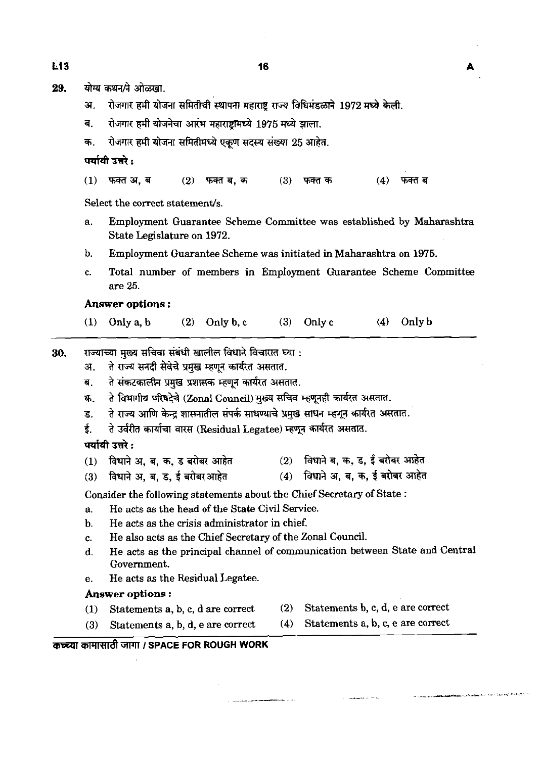योग्य कथन/ने ओळखा. 29.

- रोजगार हमी योजना समितीची स्थापना महाराष्ट्र राज्य विधिमंडळाने 1972 मध्ये केली. 31.
- रोजगार हमी योजनेचा आरंभ महाराष्ट्रामध्ये 1975 मध्ये झाला. ब.
- रोजगार हमी योजना समितीमध्ये एकण सदस्य संख्या 25 आहेत. क.

पर्यायी उत्तरे :

 $(1)$ फक्त अ. ब  $(2)$  फक्त ब. क  $(3)$ फक्त क  $(4)$ फक्त ब

Select the correct statement/s.

- a. Employment Guarantee Scheme Committee was established by Maharashtra State Legislature on 1972.
- b. Employment Guarantee Scheme **was** initiated in Maharashtra on 1975.
- c. Total number of members in Employment Guarantee Scheme Committee are 25.

#### **Answer options** :

(1) Only a, b **(2)** Only b, c **(3)** Only c (4) Only b

30. राज्याच्या मुख्य सचिवा संबंधी खालील विधाने विचारात घ्या :

अ. ते राज्य सनदी सेवेचे प्रमुख म्हणून कार्यरत असतात.

ब. ते संकटकालीन प्रमुख प्रशासक म्हणून कार्यरत असतात.

- 
- राज्याच्या मुख्य साचवा सबधा खालाल विधान ावचारात घ्या :<br>अ. ते राज्य सनदी सेवेचे प्रमुख म्हणून कार्यरत असतात.<br>ब. ते संकटकालीन प्रमुख प्रशासक म्हणून कार्यरत असतात.<br>इ. ते राज्य आणि केन्द्र शासनातील संपर्क साधण्याच

ई. ते उर्वरीत कार्याचा वारस (Residua<br>**पर्यायी उत्तरे :**<br>(1) विधाने अ. ब. क. ड बरोबर आहेत

- ड. ते राज्य आणि केन्द्र शासनातील संपर्क साधण्याचे प्रमुख साधन म्हणून कार्यरत असतात.<br>ई. ते उर्वरीत कार्याचा वारस (Residual Legatee) म्हणून कार्यरत असतात.<br>पर्यायी उत्तरे :<br>(1) विधाने अ, ब, ब, ड, ई बरोबर आहेत
- (3) kd **57, T,** 3, **f** *+ram&* (4) f&Vd 57, **a, R, if** dm **m&i**

Consider the following statements about the Chief Secretary of State :

- **a.** He acts as the head of the State Civil Service.
- b. He acts as the crisis administrator in chief.
- c. He also acts as the Chief Secretary of the Zonal Council.
- **d.** He ads as the principal channel of communication between State and Central Government.
- e. He acts as the Residual Legatee.

#### **Answer options** :

- (1) Statements a, b, c, d are correct (2) Statements b, c, d, e are correct
- (3) Statements a, b, d, e are correct (4) Statements a, b, c, e are correct
- 
- 

#### **कच्च्या कामासाठी जागा / SPACE FOR ROUGH WORK**

Ė13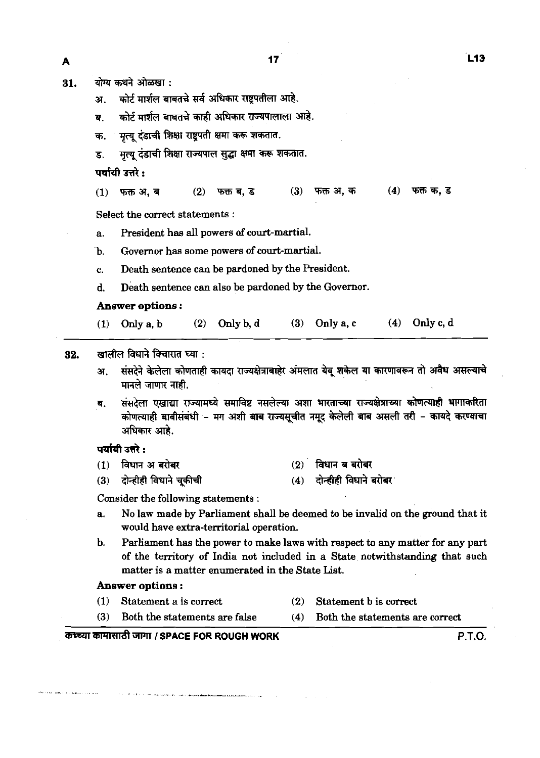**A**<br>31. योग्य कथने ओळखा :

अ. कोर्ट मार्शल बाबतचे सर्व अधिकार राष्ट्रपतीला आहे.

ब. कोर्ट मार्शल बाबतचे काही अधिकार राज्यपालाला आहे.

मृत्यू दंडाची शिक्षा राष्ट्रपती क्षमा करू शकतात. क.

मृत्यू दंडाची शिक्षा राज्यपाल सुद्धा क्षमा करू शकतात. ड.

पर्यायी उत्तरे :

फक्त क. ड फक्त ब. ड  $(3)$ फक्त अ, क  $(4)$  $(1)$  फक्त अ. ब  $(2)$ 

Select the correct statements :

a. President has all powers **of** court-martial.

b. Governor has some powers of court-martial.

c. Death sentence can be pardoned by the President.

d. Death sentence can also be pardoned by the Governor.

#### **Answer options** :

(1) Only a, b (2) Only b, d (3) Only a, c (4) Only c, d

**32.** खालील विधाने विचारात घ्या :

- अ. संसदेने केलेला कोणताही कायदा राज्यक्षेत्राबाहेर अंमलात येव शकेल या कारणावरून तो अवैध असल्याचे मानले जाणार नाही.
- संसदेला एखाद्या राज्यामध्ये समाविष्ट नसलेल्या अशा भारताच्या राज्यक्षेत्राच्या कोणत्याही भागाकरिता  $\overline{d}$ . कोणत्याही बाबीसंबंधी - मग अशी बाब राज्यसूचीत नमूद केलेली बाब असली तरी - कायदे करण्याचा अधिकार आहे.

#### पर्यायी उत्तरे :

- विधान अ बरोबर  $(2)$  विधान ब बरोबर  $(1)$
- दोन्हीही विधाने बरोबर दोन्हीही विधाने चुकीची  $(3)$  $(4)$

Consider the following statements :

- a. No law made by Parliament shall be deemed to be invalid on the ground that it would have extra-territorial operation.
- b. Parliament has the power to make laws with respect to any matter for any part of the temtory of India not included in a State notwithstanding that such matter is a matter enumerated in the State List.

#### **Answer options** :

- (1) Statement a is correct **(2)** Statement b is correct
- (3) Both the statements are false (4) Both the statements are correct

#### कच्च्या कामासाठी जागा / SPACE FOR ROUGH WORK **I MACK AND THE RESEARCH P.T.O.**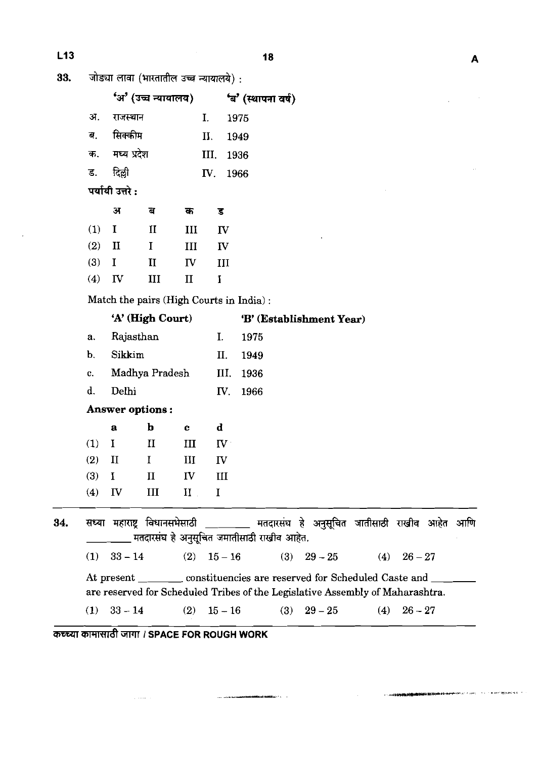$\sim$ 

| L13 |     |                         |                                         |              |                         | 18                                         |                                                                                     |           | Α |
|-----|-----|-------------------------|-----------------------------------------|--------------|-------------------------|--------------------------------------------|-------------------------------------------------------------------------------------|-----------|---|
| 33. |     |                         | जोड्या लावा (भारतातील उच्च न्यायालये) : |              |                         |                                            |                                                                                     |           |   |
|     |     |                         | 'अ' (उच्च न्यायालय)                     |              |                         | 'ब' (स्थापना वर्ष)                         |                                                                                     |           |   |
|     | अ.  | राजस्थान                |                                         |              | I.                      | 1975                                       |                                                                                     |           |   |
|     | ब.  | सिक्कीम                 |                                         |              | Н.                      | 1949                                       |                                                                                     |           |   |
|     | क.  | मध्य प्रदेश             |                                         |              | III.                    | 1936                                       |                                                                                     |           |   |
|     | ड.  | दिल्ली                  |                                         |              | IV.                     | 1966                                       |                                                                                     |           |   |
|     |     | पर्यायी उत्तरे :        |                                         |              |                         |                                            |                                                                                     |           |   |
|     |     | Я                       | ৰ                                       | क            | ड                       |                                            |                                                                                     |           |   |
|     | (1) | $\mathbf I$             | $\mathbf{I}$                            | III          | $\mathbf{I}$            |                                            |                                                                                     |           |   |
|     | (2) | $\mathbf{I}$            | $\mathbf I$                             | Ш            | $\mathbf{I}$            |                                            |                                                                                     |           |   |
|     | (3) | $\bf{I}$                | $\mathbf{I}$                            | $\mathbf{I}$ | III                     |                                            |                                                                                     |           |   |
|     | (4) | IV                      | III                                     | $\mathbf{I}$ | $\mathbf I$             |                                            |                                                                                     |           |   |
|     |     |                         |                                         |              |                         | Match the pairs (High Courts in India):    |                                                                                     |           |   |
|     |     |                         | 'A' (High Court)                        |              |                         |                                            | 'B' (Establishment Year)                                                            |           |   |
|     | a.  |                         | Rajasthan                               |              | I.                      | 1975                                       |                                                                                     |           |   |
|     | b.  | Sikkim                  |                                         |              | II.                     | 1949                                       |                                                                                     |           |   |
|     | c.  |                         | Madhya Pradesh                          |              | III.                    | 1936                                       |                                                                                     |           |   |
|     | d.  | Delhi                   |                                         |              | IV.                     | 1966                                       |                                                                                     |           |   |
|     |     |                         | Answer options:                         |              |                         |                                            |                                                                                     |           |   |
|     |     | $\mathbf{a}$            | $\mathbf b$                             | $\mathbf c$  | d                       |                                            |                                                                                     |           |   |
|     | (1) | I                       | $\mathbf{I}$                            | ш            | $\mathbf{I} \mathbf{V}$ |                                            |                                                                                     |           |   |
|     | (2) | $\rm II$                | $\bf{I}$                                | Ш            | IV                      |                                            |                                                                                     |           |   |
|     | (3) | $\bf{I}$                | $\mathbf{I}$                            | IV           | III                     |                                            |                                                                                     |           |   |
|     | (4) | $\mathbf{I} \mathbf{V}$ | Ш                                       | $\mathbf{I}$ | $\mathbf I$             |                                            |                                                                                     |           |   |
| 34. |     |                         |                                         |              |                         | मतदारसंघ हे अनुसूचित जमातीसाठी राखीव आहेत. | सध्या महाराष्ट्र विधानसभेसाठी ________ मतदारसंघ हे अनुसूचित जातीसाठी राखीव आहेत आणि |           |   |
|     |     | $(1)$ 33 – 14           |                                         |              |                         | (2) $15-16$                                | (3) $29-25$ (4) $26-27$                                                             |           |   |
|     |     |                         |                                         |              |                         |                                            | At present __________ constituencies are reserved for Scheduled Caste and _______   |           |   |
|     |     |                         |                                         |              |                         |                                            | are reserved for Scheduled Tribes of the Legislative Assembly of Maharashtra.       |           |   |
|     |     |                         | (1) $33-14$ (2)                         |              |                         |                                            | $15-16$ (3) $29-25$ (4)                                                             | $26 - 27$ |   |
|     |     |                         |                                         |              |                         |                                            |                                                                                     |           |   |

an<br>Alamah kadadooyin Saraadka

 $\bar{\nu}$  are considered in the  $\bar{\nu}$ 

**A**<sub>c</sub> *a*<sub>c</sub> *a*<sub>1</sub> *a*<sub>1</sub> *i*<sub>1</sub> *s A*<sub>2</sub> *k s P<sub>4</sub> <i>x i*<sub>1</sub> *s PACE FOR ROUGH WORK* 

 $\hat{\mathcal{L}}_{\text{c}}$  is a single set of  $\hat{\mathcal{L}}$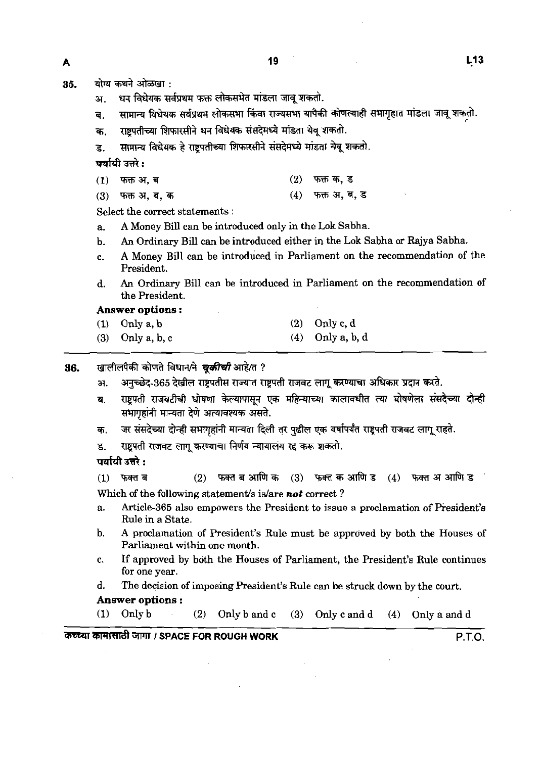19

35. योग्य कथने ओळखा:

- अ. धन विधेयक सर्वप्रथम फक्त लोकसभेत मांडला जावू शकतो.
- ब. सामान्य विधेयक सर्वप्रथम लोकसभा किंवा राज्यसभा यापैकी कोणत्याही सभागृहात मांडला जावू शकतो.
- क. राष्ट्रपतीच्या शिफारसीने धन विधेयक संसदेमध्ये मांडता येव शकतो.
- s. सामान्य विधेयक हे राष्ट्रपतीच्या शिफारसीने संसदेमध्ये मांडता येवू शकतो.

**wafdt उत्तरे :** 

| .               |                 |
|-----------------|-----------------|
| $(1)$ फक्त अ, ब | $(2)$ फक्त क, ड |

(3) = ~r, **a,a,** (4) viifr **a,% <sup>J</sup>**

Select the correct statements :

- a. A Money Bill can be introduced only in the Lok Sabha.
- b. An Ordinary Bill can be introduced either in the Lok Sabha or Rajya Sabha.
- c. A Money Bill can be introduced in Parliament on the recommendation of the President.
- d. An Ordinary Bill can be introduced in Parliament on the recommendation of the President.

**Answer options** :

- (1) Only a, b (2) Only c, d
- (3) Only a, b, c (4) Only a, b, d
- 36. **खालीलपैकी कोणते विधान/ने चूकीची** आहे/त ?
	- 31. अनुच्छेद-365 देखील राष्ट्रपतीस राज्यात राष्ट्रपती राजवट लागू करण्याचा अधिकार प्रदान करते.
	- ब. राष्टपती राजवटीची घोषणा केल्यापासून एक महिन्याच्या कालावधीत त्या घोषणेला संसदेच्या दोन्ही सभागृहांनी मान्यता देणे अत्यावश्यक असते.
	- जर संसदेच्या दोन्ही सभागृहांनी मान्यता दिली तर पुढील एक वर्षापर्यंत राष्ट्रपती राजवट लागू राहते. क.
	- राष्ट्रपती राजवट लागू करण्याचा निर्णय न्यायालय रद्द करू शकतो.  $\overline{\mathbf{g}}$

पर्यायी उत्तरे :

 $(2)$  फक्त ब आणि क $(3)$ फक्त क आणि ड  $(4)$ फक्त अ आणि ड फक्त ब  $(1)$ Which of the following statement's is/are not correct?

- a. Article-365 also empowers the President to issue a proclamation of Resident's Rule in a State.
- b. A proclamation of President's Rule must be approved by both the Houses of Parliament within one month.
- c. If approved by both the Houses of Parliament, the President's Rule continues for one year.
- d. The decision of imposing President's Rule can be struck down by the court.
- **Answer options** :

(1) Only b (2) Only b and c (3) Only c and d (4) Only a and d  $\frac{1}{2}$ 

# 3~ll~81rn **I SPACE FOR ROUGH WORK** P.TO.

A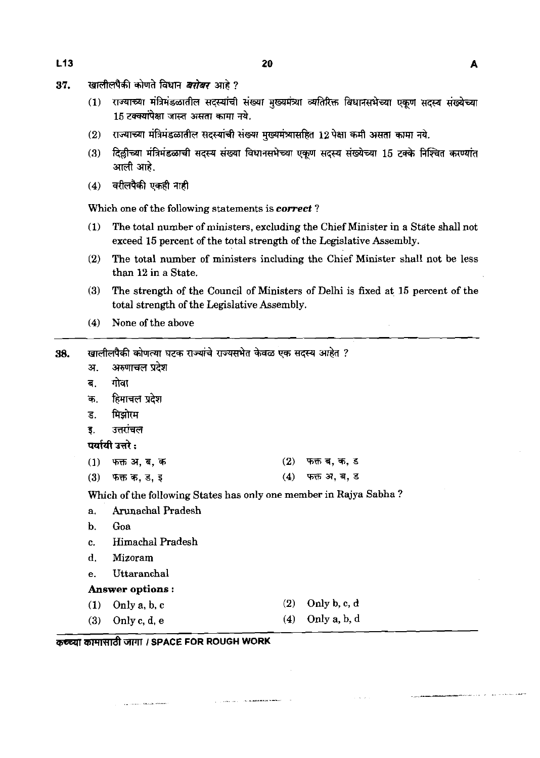- खालीलपैकी कोणते विधान *बरोबर* आहे ? 37.
	- राज्याच्या मंत्रिमंडळातील सदस्यांची संख्या मुख्यमंत्र्या व्यतिरिक्त विधानसभेच्या एकूण सदस्य संख्येच्या  $(1)$ 15 टक्क्यांपेक्षा जास्त असता कामा नये.
	- राज्याच्या मंत्रिमंडळातील सदस्यांची संख्या मुख्यमंत्र्यासहित 12 पेक्षा कमी असता कामा नये.  $(2)$
	- दिल्लीच्या मंत्रिमंडळाची सदस्य संख्या विधानसभेच्या एकूण सदस्य संख्येच्या 15 टक्के निश्चित करण्यांत  $(3)$ आली आहे.
	- वरीलपैकी एकही नाही  $(4)$

Which one of the following statements is **correct** ?

- (1) The total number of ministers, excluding the Chief Minister in a State shall not exceed **15** percent of the total strength of the Legislative Assembly.
- **(2)** The total number of ministers including the Chief Minister shall not be less than **12** in a State.
- **(3)** The strength of the Council of Ministers of Delhi is fixed at **1.5** percent of the total strength of the Legislative Assembly.
- **(4)** None of the above

| 38. |                | खालीलपैकी कोणत्या घटक राज्यांचे राज्यसभेत केवळ एक सदस्य आहेत ?    |     |              |  |
|-----|----------------|-------------------------------------------------------------------|-----|--------------|--|
|     | अ.             | अरुणाचल प्रदेश                                                    |     |              |  |
|     | ब.             | गोवा                                                              |     |              |  |
|     | क.             | हिमाचल प्रदेश                                                     |     |              |  |
|     | ड.             | मिझोरम                                                            |     |              |  |
|     | इ.             | उत्तरांचल                                                         |     |              |  |
|     |                | पर्यायी उत्तरे :                                                  |     |              |  |
|     |                | (1) फक्त अ, ब, क                                                  | (2) | फक्त ब, क, ड |  |
|     | (3)            | फक्त क, ड, इ                                                      | (4) | फक्त अ, ब, ड |  |
|     |                | Which of the following States has only one member in Rajya Sabha? |     |              |  |
|     | a.             | Arunachal Pradesh                                                 |     |              |  |
|     | $\mathbf{b}$ . | Goa                                                               |     |              |  |
|     | $\mathbf{c}$ . | Himachal Pradesh                                                  |     |              |  |
|     | d.             | Mizoram                                                           |     |              |  |
|     | e.             | Uttaranchal                                                       |     |              |  |
|     |                | Answer options:                                                   |     |              |  |
|     |                | $(1)$ Only a, b, c                                                | (2) | Only b, c, d |  |
|     |                | $(3)$ Only c, d, e                                                | (4) | Only a, b, d |  |
|     |                |                                                                   |     |              |  |

**The company's construction of the company of the contract of the company of the company of the company** 

**A**<sup>E</sup> कामासाठी जागा / SPACE FOR ROUGH WORK

.<br>Tanzania alikuwa mwaka wa 1990 hadi wa 1990 hadi wa 1990 hadi wa 1991 hadi wa 1991 hadi wa 1992 hadi wa 1992 h

 $L13$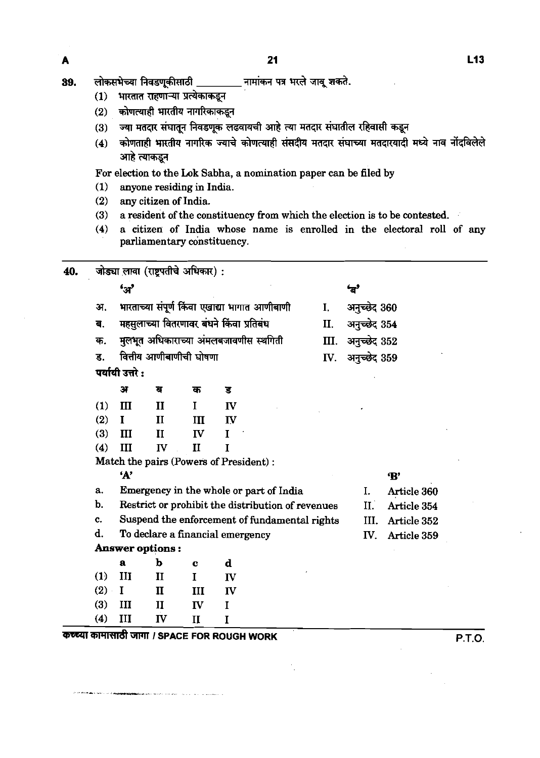- (1) शारतात राहणाऱ्या प्रत्येकाकडून<br>(2) कोणत्याही भारतीय नागरिकाकडून
- 
- (3) ज्या मतदार संघातून निवडणूक लढवायची आहे त्या मतदार संघातील र<mark>हिवासी कडून</mark><br>(4) कोणताही भारतीय नागरिक ज्याचे कोणत्याही संसदीय मतदार संघाच्या मतदारयादी
- (4) कोणताही भारतीय नागरिक ज्याचे कोणत्याही संसदीय मतदार संघाच्या मतदारयादी मध्ये नाव नोदविलेले -ना नतदार समापू<br>कोणताही भारतीय<br>आहे त्याकडून

For election to the **Lok** Sabha, a nomination paper can be filed by

**(1)** anyone residing in India.

**Confidencial contracts** and the contracts of the contracts of

- (2) any citizen of India.
- (3) a resident of the constituency from which the election is to be contested.
- (4) a citizen of India whose name is enrolled in the electoral roll of any parliamentary constituency.

| 40. |     |                  | जोड्या लावा (राष्ट्रपतीचे अधिकार) :          |              |             |                                                   |      |              |               |        |
|-----|-----|------------------|----------------------------------------------|--------------|-------------|---------------------------------------------------|------|--------------|---------------|--------|
|     |     | $\mathbf{G}$     |                                              |              |             |                                                   |      | یے           |               |        |
|     | अ.  |                  |                                              |              |             | भारताच्या संपूर्ण किंवा एखाद्या भागात आणीबाणी     | I.   | अनुच्छेद 360 |               |        |
|     | ब.  |                  | महसुलाच्या वितरणावर बंधने किंवा प्रतिबंध     |              |             |                                                   | II.  | अनुच्छेद 354 |               |        |
|     | क.  |                  |                                              |              |             | मुलभूत अधिकाराच्या अंमलबजावणीस स्थगिती            | III. | अनुच्छेद 352 |               |        |
|     | ड.  |                  | वित्तीय आणीबाणीची घोषणा                      |              |             |                                                   | IV.  | अनुच्छेद 359 |               |        |
|     |     | पर्यायी उत्तरे : |                                              |              |             |                                                   |      |              |               |        |
|     |     | अ                | র                                            | क            | ड           |                                                   |      |              |               |        |
|     | (1) | III              | $\mathbf{I}$                                 | I            | IV          |                                                   |      |              |               |        |
|     | (2) | $\mathbf I$      | $\mathbf{I}$                                 | Ш            | IV          |                                                   |      |              |               |        |
|     | (3) | III              | $\mathbf{I}$                                 | $\mathbf{I}$ | $\mathbf I$ |                                                   |      |              |               |        |
|     | (4) | III              | IV                                           | II           | T           |                                                   |      |              |               |        |
|     |     |                  | Match the pairs (Powers of President):       |              |             |                                                   |      |              |               |        |
|     |     | A'               |                                              |              |             |                                                   |      |              | $\mathbf{B}'$ |        |
|     | a.  |                  |                                              |              |             | Emergency in the whole or part of India           |      | I.           | Article 360   |        |
|     | b.  |                  |                                              |              |             | Restrict or prohibit the distribution of revenues |      | II.          | Article 354   |        |
|     | c.  |                  |                                              |              |             | Suspend the enforcement of fundamental rights     |      | III.         | Article 352   |        |
|     | d.  |                  | To declare a financial emergency             |              |             |                                                   |      | IV.          | Article 359   |        |
|     |     |                  | Answer options:                              |              |             |                                                   |      |              |               |        |
|     |     | a                | ь                                            | c            | d           |                                                   |      |              |               |        |
|     | (1) | III              | $\mathbf{I}$                                 | $\mathbf{I}$ | IV          |                                                   |      |              |               |        |
|     | (2) | I                | $\mathbf I$                                  | III          | IV          |                                                   |      |              |               |        |
|     | (3) | III              | $\mathbf{I}$                                 | $\mathbf{I}$ | $\mathbf I$ |                                                   |      |              |               |        |
|     | (4) | III              | IV                                           | $\mathbf{I}$ | I           |                                                   |      |              |               |        |
|     |     |                  | कच्च्या कामासाठी जागा / SPACE FOR ROUGH WORK |              |             |                                                   |      |              |               | P.T.O. |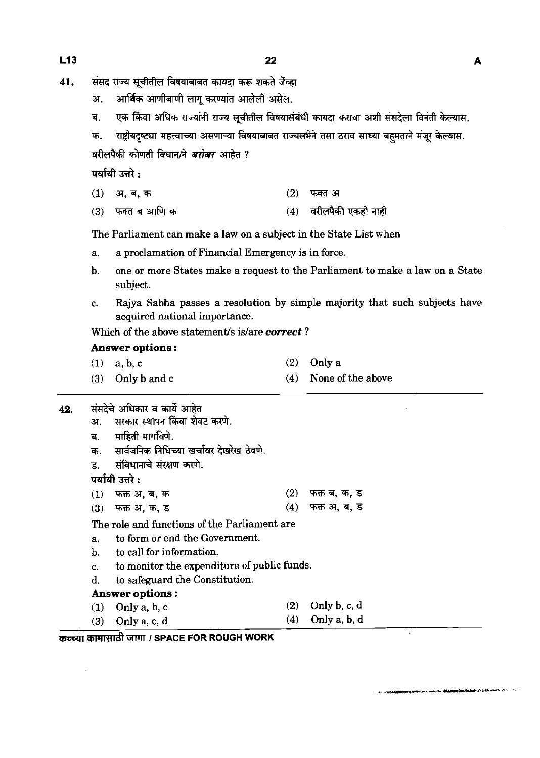- 41. संसद राज्य सूचीतील विषयाबाबत कायदा करू शकते जेंव्हा
	- आर्थिक आणीबाणी लागू करण्यांत आलेली असेल. अ.
	- एक किंवा अधिक राज्यांनी राज्य सूचीतील विषयासंबंधी कायदा करावा अशी संसदेला विनंती केल्यास. ब.
	- राष्ट्रीयदृष्ट्या महत्त्वाच्या असणाऱ्या विषयाबाबत राज्यसभेने तसा ठराव साध्या बहमताने मंजूर केल्यास. क. वरीलपैकी कोणती विधान/ने *बरोबर* आहेत ?

पर्यायी उत्तरे:

- $(1)$ ्अ, **ब,** क  $(2)$  फक्त अ
- फक्त ब आणि क (4) वरीलपैकी एकही नाही  $(3)$

The Parliament can make a law on a subject in the State List when

- a. a proclamation of Financial Emergency is in force.
- b. one or more States make a request to the Parliament to make a law on a State subject.
- c. Rajya Sabha passes a resolution by simple majority that such subjects have acquired national importance.

Which of the above statement/s is/are correct?

#### **Answer options** :

- (1) a, b, c (2) Only a
- **(3)** Only b and c (4) None of the above
- संसदेचे अधिकार व कार्ये आहेत 42.
	- सरकार स्थापन किंवा शेवट करणे. अ.
	- माहिती मार्गविणे. ब.
	- सार्वजनिक निधिच्या खर्चावर देखरेख ठेवणे. क.
	- संविधानाचे संरक्षण करणे. ड.

पर्यायी उत्तरे:

- फक्त अ, ब, क  $(2)$ फक्त ब, क, ड  $(1)$
- $(4)$  फक्त अ, ब, ड फक्त अ, क, ड  $(3)$

The role and functions of the Parliament are

- a. to form or end the Government.
- b. to call for information.
- c. to monitor the expenditure of public funds.
- d. to safeguard the Constitution.

#### **Answer options** :

- (1) Only a, b, c (2) Only b, c, d (3) Only a, c, d (4) Only a, b, d Answer options :<br>
(1) Only a, b, c (2) Only b, c, d<br>
(3) Only a, c, d (4) Only a, b, d<br> **THE ROUGH WORK COUGH WORK COUGH WORK**
-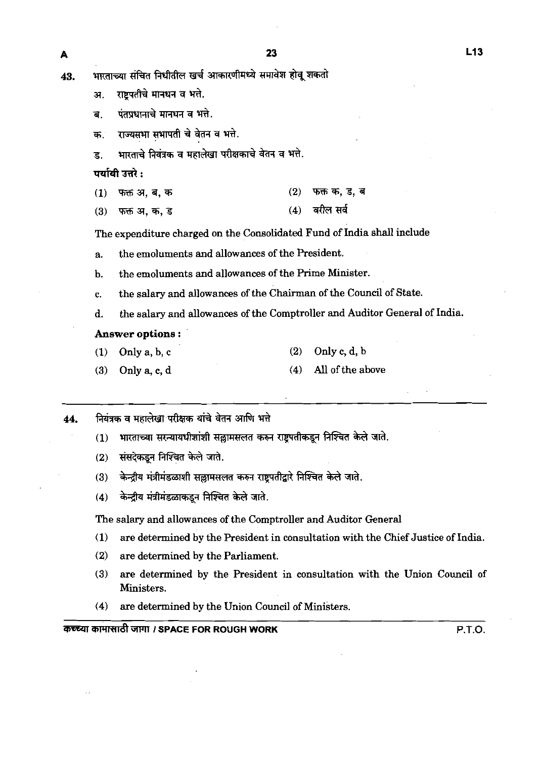$\overline{\mathbf{A}}$ 

- राष्ट्रपतीचे मानधन व भत्ते. 31.
- पंतप्रधानाचे मानधन व भत्ते. ਰ
- राज्यसभा सभापती चे वेतन व भत्ते. क्र
- भारताचे नियंत्रक व महालेखा परीक्षकाचे वेतन व भत्ते.  $\mathbf{g}$

पर्यायी उत्तरे :

- फक्त क, ड, ब  $(1)$ फक्त अ, ब, क  $(2)$
- $(4)$  atlल सर्व  $(3)$ फक्त अ, क, ड

The expenditure charged on the Consolidated Fund of India shall include

- a. the emoluments and allowances of the Resident.
- b. the emoluments and allowances of the Prime Minister.
- c. the salary and allowances of the Chairman of the Council of State.
- d. the salary and allowances of the Comptroller and Auditor General of India.

#### **Answer options** :

- **(1)** Only a, b, c **(2)** Only c, d, b
- **(3)** Only a, c, d **(4)** All of the above
- नियंत्रक व महालेखा परीक्षक यांचे वेतन आणि भत्ते 44.
	- भारताच्या सरन्यायधीशांशी सल्लामसलत करून राष्टपतीकडून निश्चित केले जाते.  $(1)$
	- संसदेकडन निश्चित केले जाते.  $(2)$
	- केन्द्रीय मंत्रीमंडळाशी सल्लामसलत करुन राष्ट्रपतीद्वारे निश्चित केले जाते.  $(3)$
	- केन्द्रीय मंत्रीमंडळाकडून निश्चित केले जाते.  $(4)$

The salary and allowances of the Comptroller and Auditor General

- **(1)** are determined by the Resident in consultation with the Chief Justice of India.
- **(2)** are determined by the Parliament.
- **(3)** are determined by the President in consultation with the Union Council of Ministers.
- **(4)** are determined by the Union Council of Ministers.

Wi'4Rd **I SPACE FOR ROUGH WORK P.T.O.**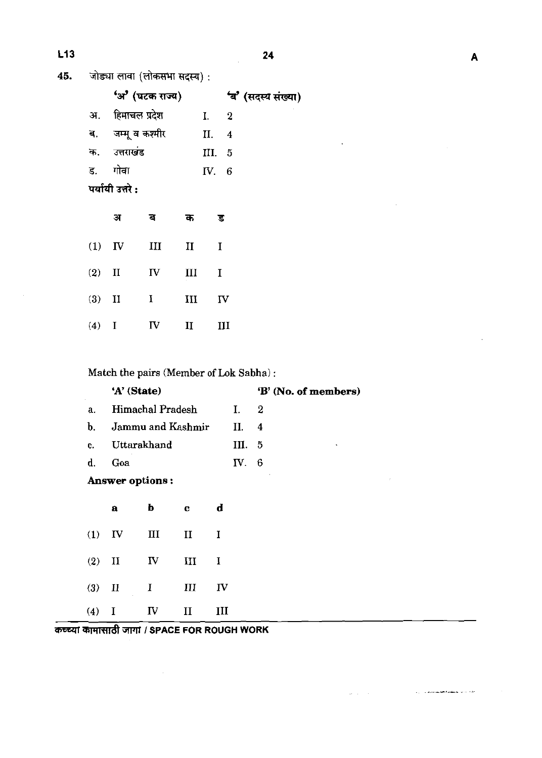$\ddot{\phantom{a}}$ 

 $\bar{z}$ 

 $\omega_{\rm{max}} = \omega$ 

 $\hat{L}_{\rm{max}}$  and the state condition of the state  $\hat{L}_{\rm{max}}$  ,  $\hat{L}_{\rm{max}}$  ,  $\hat{L}_{\rm{max}}$  ,  $\hat{L}_{\rm{max}}$ 

जोड्या लावा (लोकसभा सदस्य) : 45.

|    | 'अ' (घटक राज्य)   |        | 'ब' (सदस्य संख्या) |
|----|-------------------|--------|--------------------|
|    | अ. हिमाचल प्रदेश  | Ι.     | $\mathbf{2}$       |
|    | ब. जम्मू व कश्मीर | II. 4  |                    |
|    | क. उत्तराखंड      | III. 5 |                    |
| ड. | गोवा              | IV. 6  |                    |
|    |                   |        |                    |

पर्यायी उत्तरे:

|          | अ | ਕ   | क            | ड              |
|----------|---|-----|--------------|----------------|
| $(1)$ IV |   | III | $\mathbf{I}$ | I              |
| $(2)$ II |   | IV  | III          | I              |
| $(3)$ II |   | I   | Ш            | $\mathbf{I}$ V |
| (4)      | I | ΓV  | $\mathbf{I}$ | Ш              |

Match the pairs (Member of Lok Sabha):

|                  | 'A' (State)       |                  | 'B' (No. of members) |
|------------------|-------------------|------------------|----------------------|
| $a_{\cdot}$      | Himachal Pradesh  | 1.               | -2                   |
| h.               | Jammu and Kashmir | II. 4            |                      |
| c.               | Uttarakhand       | III. 5           | ٠                    |
| $\mathbf{d}_{-}$ | Goa               | $\mathbf{IV.}$ 6 |                      |
|                  | Answer options:   |                  |                      |

|          | a        | b            | c            | d        |
|----------|----------|--------------|--------------|----------|
|          | $(1)$ IV | III          | $\mathbf{I}$ | T        |
| $(2)$ II |          | $\mathbf{I}$ | III          | $\bf{I}$ |
| $(3)$ II | ×,       | I            | Ш            | ΓV       |
| (4)      | <b>I</b> | IV           | ТT           | Ш        |

कच्च्या कामासाठी जागा / SPACE FOR ROUGH WORK

 $\hat{\mathcal{A}}$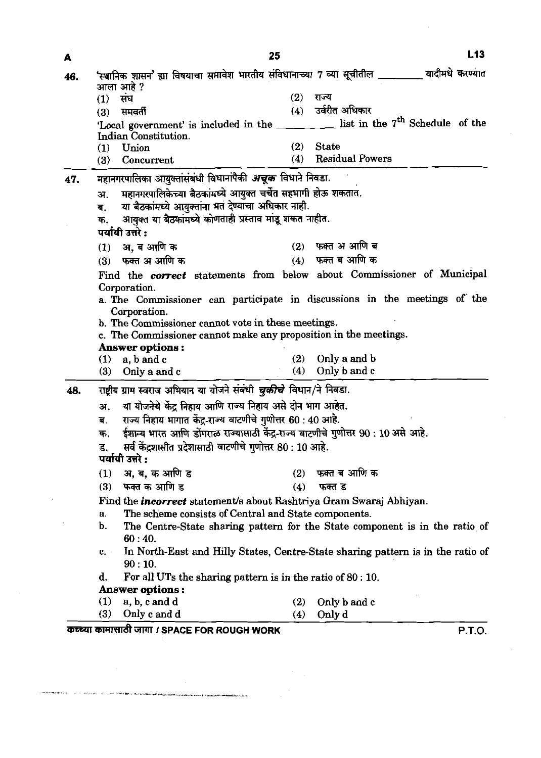| 46. |                                                                                         |     | स्थानिक शासन' ह्या विषयाचा समावेश भारतीय संविधानाच्या 7 व्या सूचीतील ________ यादीमधे करण्यात |
|-----|-----------------------------------------------------------------------------------------|-----|-----------------------------------------------------------------------------------------------|
|     | आला आहे ?                                                                               | (2) | राज्य                                                                                         |
|     | संघ<br>(1)                                                                              |     | (4) उर्वरीत अधिकार                                                                            |
|     | समवर्ती<br>(3)                                                                          |     | 'Local government' is included in the _______ list in the 7 <sup>th</sup> Schedule of the     |
|     | Indian Constitution.                                                                    |     |                                                                                               |
|     | Union<br>$\left(1\right)$                                                               | (2) | <b>State</b>                                                                                  |
|     | (3)<br>Concurrent                                                                       | (4) | <b>Residual Powers</b>                                                                        |
|     | महानगरपालिका आयुक्तांसंबंधी विधानांपैकी <i>अचूक</i> विधाने निवडा.                       |     |                                                                                               |
| 47. |                                                                                         |     |                                                                                               |
|     | महानगरपालिकेच्या बैठकांमध्ये आयुक्त चर्चेत सहभागी होऊ शकतात.<br>अ.                      |     |                                                                                               |
|     | या बैठकांमध्ये आयुक्तांना मत देण्याचा अधिकार नाही.<br>ब.                                |     |                                                                                               |
|     | आयुक्त या बैठकांमध्ये कोणताही प्रस्ताव मांडू शकत नाहीत.<br>क.<br>पर्यायी उत्तरे :       |     |                                                                                               |
|     |                                                                                         |     | $(2)$ फक्त अ आणि ब                                                                            |
|     | (1) अ, ब आणि क                                                                          |     | $(4)$ फक्त ब आणि क                                                                            |
|     | (3) फक्त अ आणि क                                                                        |     |                                                                                               |
|     |                                                                                         |     | Find the correct statements from below about Commissioner of Municipal                        |
|     | Corporation.                                                                            |     |                                                                                               |
|     |                                                                                         |     | a. The Commissioner can participate in discussions in the meetings of the                     |
|     |                                                                                         |     |                                                                                               |
|     | Corporation.                                                                            |     |                                                                                               |
|     | b. The Commissioner cannot vote in these meetings.                                      |     |                                                                                               |
|     | c. The Commissioner cannot make any proposition in the meetings.                        |     |                                                                                               |
|     | <b>Answer options:</b><br>(1)<br>a, b and c                                             | (2) | Only a and b                                                                                  |
|     | (3)<br>Only a and c                                                                     | (4) | Only b and c                                                                                  |
|     |                                                                                         |     |                                                                                               |
|     | राष्ट्रीय ग्राम स्वराज अभियान या योजने संबंधी <i>चुकीचे</i> विधान/ने निवडा.             |     |                                                                                               |
|     | या योजनेचे केंद्र निहाय आणि राज्य निहाय असे दोन भाग आहेत.<br>अ.                         |     |                                                                                               |
|     | राज्य निहाय भागात केंद्र-राज्य वाटणीचे गुणोत्तर 60 : 40 आहे.<br>ब.                      |     |                                                                                               |
| 48. | ईशान्य भारत आणि डोंगराळ राज्यासाठी केंद्र-राज्य वाटणीचे गुणोत्तर 90 : 10 असे आहे.<br>क. |     |                                                                                               |
|     | सर्व केंद्रशासीत प्रदेशासाठी वाटणीचे गुणोत्तर 80 : 10 आहे.<br>ड.                        |     |                                                                                               |
|     | पर्यायी उत्तरे :                                                                        |     |                                                                                               |
|     | अ, ब, क आणि ड<br>(1)                                                                    | (2) | फक्त ब आणि क                                                                                  |
|     | फक्त क आणि ड<br>(3)                                                                     | (4) | फक्त ड                                                                                        |
|     | Find the <i>incorrect</i> statement's about Rashtriya Gram Swaraj Abhiyan.              |     |                                                                                               |
|     | The scheme consists of Central and State components.<br>а.<br>b.                        |     |                                                                                               |
|     | 60:40.                                                                                  |     | The Centre-State sharing pattern for the State component is in the ratio of                   |
|     | $c_{\star}$ .                                                                           |     |                                                                                               |
|     | 90:10.                                                                                  |     | In North-East and Hilly States, Centre-State sharing pattern is in the ratio of               |
|     | d.                                                                                      |     |                                                                                               |
|     | For all UTs the sharing pattern is in the ratio of 80:10.<br>Answer options:            |     |                                                                                               |
|     | (1)<br>a, b, c and d                                                                    | (2) | Only b and c                                                                                  |

 $\label{eq:2} \frac{1}{\sqrt{2}}\left(\frac{1}{\sqrt{2}}\right)^{2} \left(\frac{1}{\sqrt{2}}\right)^{2} \left(\frac{1}{\sqrt{2}}\right)^{2} \left(\frac{1}{\sqrt{2}}\right)^{2} \left(\frac{1}{\sqrt{2}}\right)^{2} \left(\frac{1}{\sqrt{2}}\right)^{2} \left(\frac{1}{\sqrt{2}}\right)^{2} \left(\frac{1}{\sqrt{2}}\right)^{2} \left(\frac{1}{\sqrt{2}}\right)^{2} \left(\frac{1}{\sqrt{2}}\right)^{2} \left(\frac{1}{\sqrt{2}}\right)^{2} \left(\frac{$ 

.<br>Hanser, karter

 $\mathcal{L}^{\text{max}}_{\text{max}}$ 

 $\frac{1}{2}$ 

 $\sim 10^{-1}$ 

 $\label{eq:2.1} \mathcal{L}(\mathcal{L}^{\text{max}}_{\mathcal{L}}(\mathcal{L}^{\text{max}}_{\mathcal{L}}),\mathcal{L}^{\text{max}}_{\mathcal{L}}(\mathcal{L}^{\text{max}}_{\mathcal{L}}))$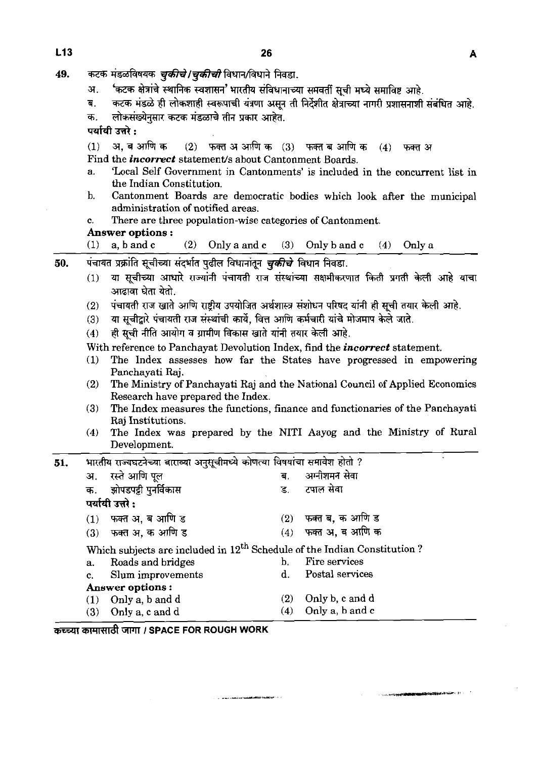| 49. | कटक मंडळविषयक <i>चुकीचे   चुकीची</i> विधान/विधाने निवडा.                        |                                                                                                     |  |
|-----|---------------------------------------------------------------------------------|-----------------------------------------------------------------------------------------------------|--|
|     | अ.                                                                              | 'कटक क्षेत्रांचे स्थानिक स्वशासन' भारतीय संविधानाच्या समवर्ती सूची मध्ये समाविष्ट आहे.              |  |
|     |                                                                                 | कटक मंडळे ही लोकशाही स्वरूपाची यंत्रणा असून ती निर्देशीत क्षेत्राच्या नागरी प्रशासनाशी संबंधित आहे. |  |
|     | लोकसंख्येनुसार कटक मंडळाचे तीन प्रकार आहेत.<br>क.                               |                                                                                                     |  |
|     | पर्यायी उत्तरे:                                                                 |                                                                                                     |  |
|     | अ. ब आणि क                                                                      | $(2)$ फक्त अ आणि क $(3)$ फक्त ब आणि क $(4)$ फक्त अ                                                  |  |
|     | Find the <i>incorrect</i> statement/s about Cantonment Boards.                  |                                                                                                     |  |
|     | the Indian Constitution.                                                        | 'Local Self Government in Cantonments' is included in the concurrent list in                        |  |
|     | D.<br>administration of notified areas.                                         | Cantonment Boards are democratic bodies which look after the municipal                              |  |
|     | There are three population-wise categories of Cantonment.                       |                                                                                                     |  |
|     | Answer options :                                                                |                                                                                                     |  |
|     | a, b and c<br>(1)<br>(2)                                                        | Only a and c $(3)$ Only b and c $(4)$ Only a                                                        |  |
|     |                                                                                 |                                                                                                     |  |
| 50. | पंचायत प्रक्रांति सूचीच्या संदर्भात पुढील विधानांतून <i>चुकीचे</i> विधान निवडा. |                                                                                                     |  |
|     | (1)<br>आढावा घेता येतो.                                                         | या सूचीच्या आधारे राज्यांनी पंचायती राज संस्थांच्या सक्षमीकरणात किती प्रगती केली आहे याचा           |  |
|     |                                                                                 | पंचायती राज खाते आणि राष्ट्रीय उपयोजित अर्थशास्त्र संशोधन परिषद यांनी ही सूची तयार केली आहे.        |  |
|     | (3)                                                                             | या सूचीद्वारे पंचायती राज संस्थांची कार्ये, वित्त आणि कर्मचारी यांचे मोजमाप केले जाते.              |  |
|     | ही सूची नीति आयोग व ग्रामीण विकास खाते यांनी तयार केली आहे.<br>(4)              |                                                                                                     |  |
|     |                                                                                 | With reference to Panchayat Devolution Index, find the <i>incorrect</i> statement.                  |  |
|     | (1)                                                                             | The Index assesses how far the States have progressed in empowering                                 |  |
|     | Panchayati Raj.                                                                 |                                                                                                     |  |
|     |                                                                                 | The Ministry of Panchayati Raj and the National Council of Applied Economics                        |  |
|     | Research have prepared the Index.                                               |                                                                                                     |  |
|     |                                                                                 | The Index measures the functions, finance and functionaries of the Panchayati                       |  |
|     | Raj Institutions.                                                               |                                                                                                     |  |
|     | (4)<br>Development.                                                             | The Index was prepared by the NITI Aayog and the Ministry of Rural                                  |  |
| 51. | भारतीय राज्यघटनेच्या बाराव्या अनुसूचीमध्ये कोणत्या विषयांचा समावेश होतो ?       |                                                                                                     |  |
|     | रस्ते आणि पूल<br>अ.                                                             | अग्नीशमन सेवा<br>ब                                                                                  |  |
|     | झोपडपट्टी पुनर्विकास<br>क.                                                      | टपाल सेवा<br>ड.                                                                                     |  |
|     | पर्यायी उत्तरे :                                                                |                                                                                                     |  |
|     | फक्त अ, ब आणि ड<br>(1)                                                          | फक्त ब, क आणि ड<br>(2)                                                                              |  |
|     | फक्त अ, क आणि ड<br>(3)                                                          | फक्त अ, ब आणि क<br>(4)                                                                              |  |
|     |                                                                                 |                                                                                                     |  |
|     |                                                                                 | Which subjects are included in 12 <sup>th</sup> Schedule of the Indian Constitution?                |  |
|     | Roads and bridges<br>a.                                                         | Fire services<br>b.                                                                                 |  |
|     | Slum improvements                                                               | Postal services                                                                                     |  |
|     | <b>Answer options:</b>                                                          | Only b, c and d<br>(2)                                                                              |  |
|     | Only a, b and d<br>(1)<br>(3)<br>Only a, c and d                                | Only a, b and c<br>(4)                                                                              |  |
|     |                                                                                 |                                                                                                     |  |

 $\label{eq:1} \mathcal{L} = \mathcal{L} = \mathcal{L} \mathcal{L} \mathcal{L} \mathcal{L} \mathcal{L} \mathcal{L} \mathcal{L} \mathcal{L} \mathcal{L} \mathcal{L} \mathcal{L} \mathcal{L} \mathcal{L} \mathcal{L} \mathcal{L} \mathcal{L} \mathcal{L} \mathcal{L} \mathcal{L} \mathcal{L} \mathcal{L} \mathcal{L} \mathcal{L} \mathcal{L} \mathcal{L} \mathcal{L} \mathcal{L} \mathcal{L} \mathcal{L} \mathcal{L} \mathcal{L} \mathcal{L} \mathcal{L} \$ 

35RRTd **1 SPACE FOR ROUGH WORK** 

e a la composició de la composició de la composició de la composició de la composició de la composició de la c<br>La composició de la composició de la composició de la composició de la composició de la composició de la compo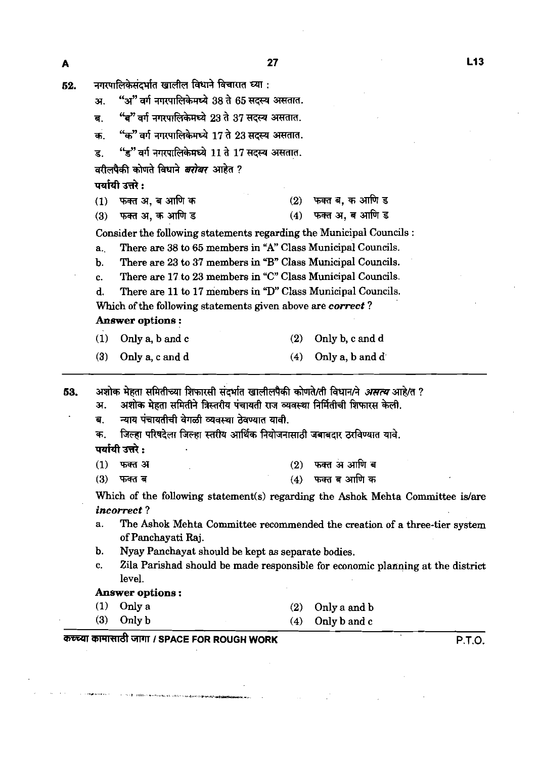| 52. | नगरपालिकेसंदर्भात खालील विधाने विचारात घ्या : |  |  |  |
|-----|-----------------------------------------------|--|--|--|
|     |                                               |  |  |  |

- "अ" वर्ग नगरपालिकेमध्ये 38 ते 65 सदस्य असतात. अ.
- "ब" वर्ग नगरपालिकेमध्ये 23 ते 37 सदस्य असतात. ब.
- "क" वर्ग नगरपालिकेमध्ये 17 ते 23 सदस्य असतात. क
- ड. "ड" वर्ग नगरपालिकेमध्ये 11 ते 17 सदस्य असतात.

ड. ड वग नगरपालिकमच्य 11 त 17<br>वरीलपैकी कोणते विधाने *बरोबर* आहेत ? वरीलपैकी कोणते <br><mark>पर्यायी उत्तरे :</mark>

- (1) mn,-&Tw (2) wma,%\*s
- (3) फक्त अ. क आणि ड (4) फक्त अ. ब आणि ड

Consider the following statements regarding the Municipal Councils :

a. There are 38 to **65** members in **"A"** Class Municipal Councils.

- b. There are 23 to 37 members in **"B"** Class Municipal Councils.
- c. There are 17 to 23 members in "C" Class Municipal Councils.

d. There are 11 to 17 members in "D" Class Municipal Councils.

Which of the following statements given above are *correct* ?

#### **Answer options** :

| $(1)$ Only a, b and c |  | $(2)$ Only b, c and d |
|-----------------------|--|-----------------------|

(3) Only a, c and d  $(4)$  Only a, b and d

अशोक मेहता समितीच्या शिफारसी संदर्भात खालीलपैकी कोणते/ती विधान/ने *असत्य* आहे/त ? 53.

अशोक मेहता समितीने त्रिस्तरीय पंचायती राज व्यवस्था निर्मितीची शिफारस केली. अ.

- न्याय पंचायतीची वेगळी व्यवस्था ठेवण्यात यावी.  $\overline{\mathbf{d}}$ .
- जिल्हा परिषदेला जिल्हा स्तरीय आर्थिक नियोजनासाठी जबाबदार ठरविण्यात यावे. क. पर्यायी उत्तरे :

- फक्त अ आणि ब  $(1)$ फक्त अ  $(2)$
- $(3)$ फक्त ब  $(4)$  फक्त ब आणि क

Which of the following statement(s) regarding the Ashok Mehta Committee **islare**  *incorrect* ?

- a. The Ashok Mehta Committee recommended the creation of a three-tier system of Panchayati Raj.
- b. Nyay Panchayat should be kept as separate bodies.
- c. Zila Parishad should be made responsible for economic planning at the district level.

#### **Answer options** :

(1) Only a  $(2)$  Only a and b (3) Only b  $(4)$  Only b and c

# **we** GTFll **I SPACE FOR ROUGH WORK P.T.O.**

A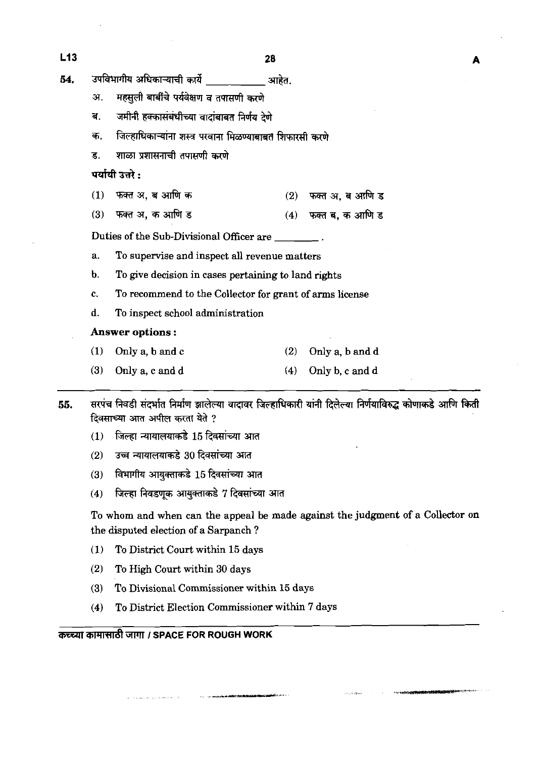| L13 | 28                                                                                                                                        |                                                          |     |                 |  |  |  |  |  |  |  |
|-----|-------------------------------------------------------------------------------------------------------------------------------------------|----------------------------------------------------------|-----|-----------------|--|--|--|--|--|--|--|
| 54. | उपविभागीय अधिकाऱ्याची कार्ये<br>आहेत.                                                                                                     |                                                          |     |                 |  |  |  |  |  |  |  |
|     | अ.                                                                                                                                        | महसूली बार्बीचे पर्यवेक्षण व तपासणी करणे                 |     |                 |  |  |  |  |  |  |  |
|     | ब.                                                                                                                                        | जमीनी हक्कासंबंधीच्या वादांबाबत निर्णय देणे              |     |                 |  |  |  |  |  |  |  |
|     | क.                                                                                                                                        | जिल्हाधिकाऱ्यांना शस्त्र परवाना मिळण्याबाबत शिफारसी करणे |     |                 |  |  |  |  |  |  |  |
|     | ड.                                                                                                                                        | शाळा प्रशासनाची तपासणी करणे                              |     |                 |  |  |  |  |  |  |  |
|     |                                                                                                                                           | पर्यायी उत्तरे :                                         |     |                 |  |  |  |  |  |  |  |
|     | (1)                                                                                                                                       | फक्त अ, ब आणि क                                          | (2) | फक्त अ, ब आणि ड |  |  |  |  |  |  |  |
|     | (3)                                                                                                                                       | फक्त अ, क आणि ड                                          | (4) | फक्त ब, क आणि ड |  |  |  |  |  |  |  |
|     |                                                                                                                                           | Duties of the Sub-Divisional Officer are                 |     |                 |  |  |  |  |  |  |  |
|     | a.                                                                                                                                        | To supervise and inspect all revenue matters             |     |                 |  |  |  |  |  |  |  |
|     | b.                                                                                                                                        | To give decision in cases pertaining to land rights      |     |                 |  |  |  |  |  |  |  |
|     | c.                                                                                                                                        | To recommend to the Collector for grant of arms license  |     |                 |  |  |  |  |  |  |  |
|     | d.                                                                                                                                        | To inspect school administration                         |     |                 |  |  |  |  |  |  |  |
|     |                                                                                                                                           | <b>Answer options:</b>                                   |     |                 |  |  |  |  |  |  |  |
|     | (1)                                                                                                                                       | Only a, b and c                                          | (2) | Only a, b and d |  |  |  |  |  |  |  |
|     | (3)                                                                                                                                       | Only a, c and d                                          | (4) | Only b, c and d |  |  |  |  |  |  |  |
| 55. | सरपंच निवडी संदर्भात निर्माण झालेल्या वादावर जिल्हाधिकारी यांनी दिलेल्या निर्णयाविरुद्ध कोणाकडे आणि किती<br>दिवसाच्या आत अपील करता येते ? |                                                          |     |                 |  |  |  |  |  |  |  |
|     | (1)                                                                                                                                       | जिल्हा न्यायालयाकडे 15 दिवसांच्या आत                     |     |                 |  |  |  |  |  |  |  |
|     | (2)                                                                                                                                       | उच्च न्यायालयाकडे 30 दिवसांच्या आत                       |     |                 |  |  |  |  |  |  |  |
|     | (3)                                                                                                                                       | विभागीय आयुक्ताकडे 15 दिवसांच्या आत                      |     |                 |  |  |  |  |  |  |  |
|     | (4)                                                                                                                                       | जिल्हा निवडणक आयुक्ताकडे 7 दिवसांच्या आत                 |     |                 |  |  |  |  |  |  |  |

To whom and when can the appeal be made against the judgment of a Collector on the disputed election of a Sarpanch ?

.<br>Martin Martin Barbadi (1970-1971)

- (1) To District Court within 15 days
- (2) To High Court within 30 days

 $1.45$ 

- (3) To Divisional commissioner within 15 days
- (4) To District Election Commissioner within 7 days

# @lW8'&m **I SPACE FOR ROUGH WORK**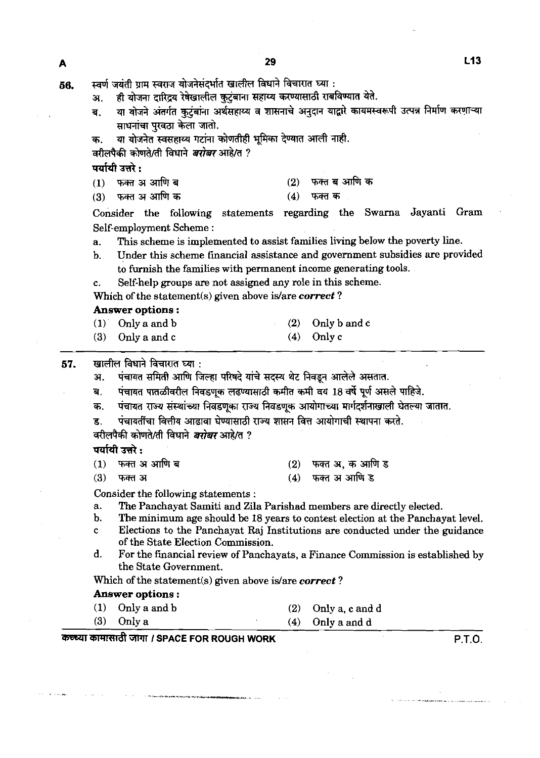स्वर्ण जयंती ग्राम स्वराज योजनेसंदर्भात खालील विधाने विचारात घ्या : 56. ही योजना दारिद्र्य रेषेखालील कुटुंबाना सहाय्य करण्यासाठी राबविण्यात येते. अ. या योजने अंतर्गत कुटुंबांना अर्थसहाय्य व शासनाचे अनुदान याद्वारे कायमस्वरूपी उत्पन्न निर्माण करणाऱ्या ब. साधनांचा परवठा केला जातो.

या योजनेत स्वसहाय्य गटांना कोणतीही भूमिका देण्यात आली नाही. क.

वरीलपैकी कोणते/ती विधाने *बरोबर* आहे/त ?

पर्यायी उत्तरे :

- फक्त ब आणि क फक्त अ आणि ब  $(2)$  $(1)$
- फक्त अ आणि क फक्त क  $(3)$  $(4)$

Consider the following statements regarding the Swarna Jayanti Gram Self-employment Scheme :

- a. This scheme is implemented to assist families living below the poverty line.
- b. Under this scheme financial assistance and government subsidies are provided to furnish the families with permanent income generating tools.

c. Self-help groups are not assigned any role in this scheme.

Which of the statement(s) given above is/are *correct* ?

#### *Answer options* :

| $(1)$ Only a and b | $(2)$ Only b and c |
|--------------------|--------------------|
| $(3)$ Only a and c | $(4)$ Only c       |

#### खालील विधाने विचारात घ्या : 57.

पंचायत समिती आणि जिल्हा परिषदे यांचे सदस्य थेट निवडून आलेले असतात. अ.

पंचायत पातळीवरील निवडणक लढण्यासाठी कमीत कमी वय 18 वर्षे पूर्ण असले पाहिजे. ब.

- पंचायत राज्य संस्थांच्या निवडणूका राज्य निवडणूक आयोगाच्या मार्गदर्शनाखाली घेतल्या जातात. क.
- पंचायतींचा वित्तीय आढ़ावा घेण्यासाठी राज्य शासन वित्त आयोगाची स्थापना करते. ड

वरीलपैकी कोणते/ती विधाने *बरोबर* आहे/त ?

पर्यायी उत्तरे :

| (1)   फक्त अ आणि ब | (2)   फक्त अ, क आणि ड |
|--------------------|-----------------------|
| (3) फक्त अ         | (4) फक्त अ आणि ड      |

Consider the following statements :

- a. The Panchayat Samiti and Zila Parishad members are directly elected.
- b. The minimum age should be 18 years **to** contest election at the Panchayat level.
- c Elections to the Panchayat **Raj** Institutions are conducted under the guidance of the State Election Commission.
- d. For the financial review of Panchayats, a Finance Commission is established by the State Government.

Which of the statement(s) given above islare **correct** ?

#### *Answer options* :

| $(1)$ Only a and b | $(2)$ Only a, c and d |
|--------------------|-----------------------|
| $(3)$ Only a       | $(4)$ Only a and d    |

### -3YWRd **I SPACE FOR ROUGH WORK P.T.O.**

A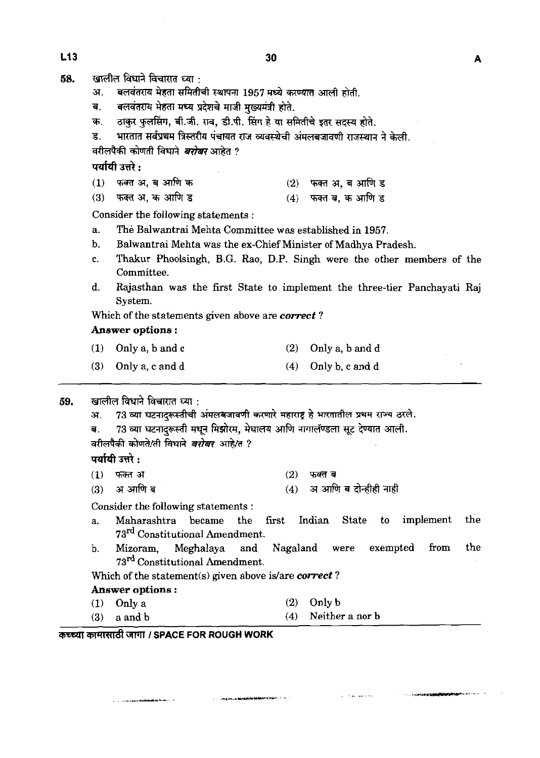A

- $58.$  **G** खालील विधाने विचारात ध्या
	- अ. बलवंतराय मेहता समितीची स्थापना 1957 मध्ये करण्यात आली होती.
	-
	- ब. बलवंतराय मेहता मध्य प्रदेशचे माजी मुख्यमंत्री होते.<br>क. ठाकुर फुलसिंग, बी.जी. राव, डी.पी. सिंग हे या समितीचे इतर सदस्य होते.
	- ड. भारतात सर्वप्रथम त्रिस्तरीय पंचायत राज व्यवस्थेची अंमलबजावणी राजस्थान ने केली.

उः स्वरस्थान सम्बन्धाः प्रस्तरसम्बद्धाः ।<br>वरीलपैकी कोणती विधाने *<mark>बरोबर</mark>* आहेत ? वरालपका काणता विधान<br>पर्यायी उत्तरे :<br>.

- <mark>पर्यायी उत्तरे :</mark><br>(1) फक्त अ, ब आणि क (2) फक्त अ, ब आणि ड<br>(3) फक्त अ, क आणि ड (4) फक्त ब, क आणि ड
- **फक्त अ, क आणि ड**

Consider the following statements :

- a. The Balwantrai Mehta Committee was established in 1957.
- b. Balwantrai Mehta was the ex-Chief Minister of Madhya Pradesh.
- c. Thakur Phoolsingh, B.G. Rao, D.P. Singh were the other members of the Committee.
- d. Rajasthan was the first State to implement the three-tier Panchayati Raj System.

Which of the statements given above are **correct** ?

#### **Answer options** :

| $(1)$ Only a, b and c | $(2)$ Only a, b and d |
|-----------------------|-----------------------|
| $(3)$ Only a, c and d | $(4)$ Only b, c and d |

खालील विधाने विचारात घ्या : 59.

> 73 व्या घटनादरूस्तीची अंमलबजावणी करणारे महाराष्ट्र हे भारतातील प्रथम राज्य ठरले. 31.

```
73 व्या घटनादरूस्ती मधून मिझोरम, मेघालय आणि नागालॅण्डला सूट देण्यात आली.
ਰ.
```
वरीलपैकी कोणते/ती विधाने *बरोबर* आहे/त ?

### पर्यायी उत्तरे :

- $(1)$  फक्त अ  $(2)$ फक्त ब
- $(4)$  अ आणि ब दोन्हीही नाही अ आणि ब  $(3)$

Consider the following statements :

- a. Maharashtra became the first Indian State to implement the 73<sup>rd</sup> Constitutional Amendment.
- b. Mizoram, Meghalaya and Nagaland were exempted from the 73<sup>rd</sup> Constitutional Amendment.

للأمانا لانكاريها فأرزان

Which of the statement(s) given above is/are *correct*?

### **Answer options** :

.<br>The constitution of the different distinction of the

**(1)** Only a (2) Only b (3) a and b  $(4)$  Neither a nor b

**Contractive Constitution of the Constitution** 

**WRZil I SPACE FOR ROUGH WORK**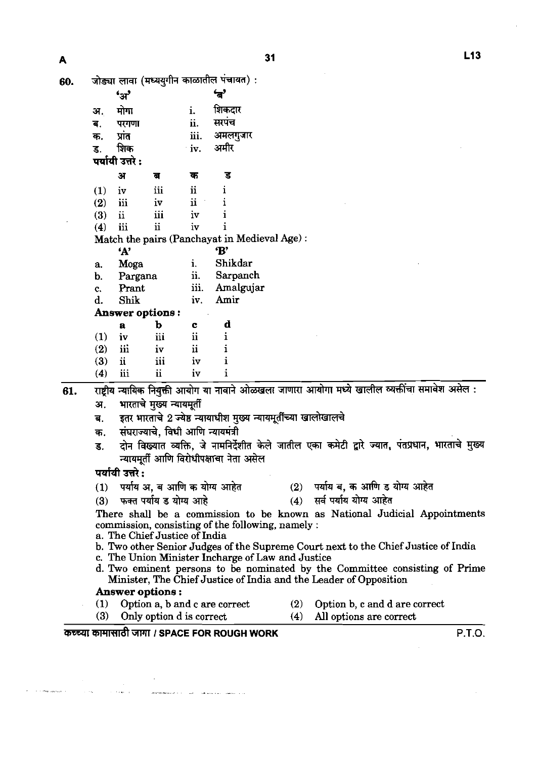|     |            | णाञ्जा राग्ना (प्रान्तु<br>$\mathbf{a}$                    |                           |                              | 'ਰੂੰ                                                            |     |                                                                   |                                                                                                   |  |  |  |
|-----|------------|------------------------------------------------------------|---------------------------|------------------------------|-----------------------------------------------------------------|-----|-------------------------------------------------------------------|---------------------------------------------------------------------------------------------------|--|--|--|
|     |            |                                                            |                           |                              | शिकदार                                                          |     |                                                                   |                                                                                                   |  |  |  |
|     | अ.         | मोगा                                                       |                           | i.                           | सरपंच                                                           |     |                                                                   |                                                                                                   |  |  |  |
|     | ब.         | परगणा                                                      |                           | ii.<br>iii.                  |                                                                 |     |                                                                   |                                                                                                   |  |  |  |
|     | क.         | प्रांत                                                     |                           |                              | अमलगुजार<br>अमीर                                                |     |                                                                   |                                                                                                   |  |  |  |
|     | ड.         | शिक<br>पर्यायी उत्तरे :                                    |                           | iv.                          |                                                                 |     |                                                                   |                                                                                                   |  |  |  |
|     |            |                                                            |                           |                              |                                                                 |     |                                                                   |                                                                                                   |  |  |  |
|     |            | अ                                                          | ब                         | क                            | ड                                                               |     |                                                                   |                                                                                                   |  |  |  |
|     | (1)        | iv                                                         | iii                       | $\ddot{\mathbf{u}}$          | ı                                                               |     |                                                                   |                                                                                                   |  |  |  |
|     | (2)        | iii                                                        | iv                        | $\ddot{\mathbf{i}}$          | <sup>1</sup>                                                    |     |                                                                   |                                                                                                   |  |  |  |
|     | (3)        | ii                                                         | iii                       | iv                           |                                                                 |     |                                                                   |                                                                                                   |  |  |  |
|     | (4)        | iii                                                        | $\ddot{\mathbf{i}}$       | iv                           |                                                                 |     |                                                                   |                                                                                                   |  |  |  |
|     |            |                                                            |                           |                              | Match the pairs (Panchayat in Medieval Age):                    |     |                                                                   |                                                                                                   |  |  |  |
|     |            | 'А'                                                        |                           |                              | 'B'                                                             |     |                                                                   |                                                                                                   |  |  |  |
|     | а.         | Moga                                                       |                           | i.                           | Shikdar                                                         |     |                                                                   |                                                                                                   |  |  |  |
|     | b.         | Pargana                                                    |                           | ii.                          | Sarpanch                                                        |     |                                                                   |                                                                                                   |  |  |  |
|     | c.         | Prant<br>Shik                                              |                           | iii.                         | Amalgujar                                                       |     |                                                                   |                                                                                                   |  |  |  |
|     | d.         |                                                            |                           | iv.                          | Amir                                                            |     |                                                                   |                                                                                                   |  |  |  |
|     |            | Answer options:                                            |                           |                              |                                                                 |     |                                                                   |                                                                                                   |  |  |  |
|     |            | $\mathbf a$                                                | b<br>iii                  | $\mathbf c$<br>$\mathbf{ii}$ | d<br>$\mathbf{i}$                                               |     |                                                                   |                                                                                                   |  |  |  |
|     | (1)        | iv<br>iii                                                  | iv                        | $\ddot{\mathbf{u}}$          |                                                                 |     |                                                                   |                                                                                                   |  |  |  |
|     | (2)<br>(3) | $\ddot{\mathbf{u}}$                                        | iii                       | iv                           | 1<br>$\mathbf{i}$                                               |     |                                                                   |                                                                                                   |  |  |  |
|     | (4)        | iii                                                        | ii                        | iv                           | i                                                               |     |                                                                   |                                                                                                   |  |  |  |
|     |            |                                                            |                           |                              |                                                                 |     |                                                                   |                                                                                                   |  |  |  |
| 61. |            |                                                            |                           |                              |                                                                 |     |                                                                   | राष्ट्रीय न्यायिक नियुक्ती आयोग या नावाने ओळखला जाणारा आयोगा मध्ये खालील व्यक्तींचा समावेश असेल : |  |  |  |
|     | अ.         |                                                            | भारताचे मुख्य न्यायमूर्ती |                              |                                                                 |     |                                                                   |                                                                                                   |  |  |  |
|     | ब.         |                                                            |                           |                              | इतर भारताचे 2 ज्येष्ठ न्यायाधीश मुख्य न्यायमूर्तीच्या खालोखालचे |     |                                                                   |                                                                                                   |  |  |  |
|     | क.         |                                                            |                           |                              | संघराज्याचे, विधी आणि न्यायमंत्री                               |     |                                                                   |                                                                                                   |  |  |  |
|     | ड.         |                                                            |                           |                              |                                                                 |     |                                                                   | दोन विख्यात व्यक्ति, जे नामनिर्देशीत केले जातील एका कमेटी द्वारे ज्यात, पंतप्रधान, भारताचे मुख्य  |  |  |  |
|     |            | न्यायमूर्ती आणि विरोधीपक्षाचा नेता असेल<br>पर्यायी उत्तरे: |                           |                              |                                                                 |     |                                                                   |                                                                                                   |  |  |  |
|     |            |                                                            |                           |                              | (1) पर्याय अ, ब आणि क योग्य आहेत                                |     | (2) पर्याय ब, क आणि ड योग्य आहेत                                  |                                                                                                   |  |  |  |
|     |            | (3) फक्त पर्याय ड योग्य आहे                                |                           |                              |                                                                 |     | (4) सर्व पर्याय योग्य आहेत                                        |                                                                                                   |  |  |  |
|     |            |                                                            |                           |                              |                                                                 |     |                                                                   | There shall be a commission to be known as National Judicial Appointments                         |  |  |  |
|     |            |                                                            |                           |                              | commission, consisting of the following, namely :               |     |                                                                   |                                                                                                   |  |  |  |
|     |            | a. The Chief Justice of India                              |                           |                              |                                                                 |     |                                                                   |                                                                                                   |  |  |  |
|     |            |                                                            |                           |                              |                                                                 |     |                                                                   | b. Two other Senior Judges of the Supreme Court next to the Chief Justice of India                |  |  |  |
|     |            |                                                            |                           |                              | c. The Union Minister Incharge of Law and Justice               |     |                                                                   |                                                                                                   |  |  |  |
|     |            |                                                            |                           |                              |                                                                 |     | Minister, The Chief Justice of India and the Leader of Opposition | d. Two eminent persons to be nominated by the Committee consisting of Prime                       |  |  |  |
|     |            | <b>Answer options:</b>                                     |                           |                              |                                                                 |     |                                                                   |                                                                                                   |  |  |  |
|     | (1)        |                                                            |                           |                              | Option a, b and c are correct                                   | (2) |                                                                   | Option b, c and d are correct                                                                     |  |  |  |
|     | (3)        |                                                            | Only option d is correct  |                              |                                                                 | (4) | All options are correct                                           |                                                                                                   |  |  |  |

# ~~ **I SPACE FOR ROUGH WORK P.T.O.**

 $\label{eq:3} \text{d} \theta \left( \mathcal{C} \text{d} \theta \text{d} \theta \text{d} \theta \text{d} \phi \right) \neq \left( \theta \right) \left( \theta \right) \text{d} \theta \text{d} \phi \text{d} \phi \text{d} \phi \text{d} \phi \text{d} \phi \text{d} \phi \text{d} \phi \text{d} \phi \text{d} \phi \text{d} \phi \text{d} \phi \text{d} \phi \text{d} \phi \text{d} \phi \text{d} \phi \text{d} \phi \text{d} \phi \text{d} \phi \text{d} \phi \text{d} \phi$ 

 $\sim$ 

 $\sim$  0.000  $\pm$ 

 $\tau_{\rm eff}$  ,  $\tau_{\rm eq}$ 

 $\epsilon = -\omega$  , which<br>also  $\omega$  .

 $\blacktriangle$ 

**60.** जोड्या लावा (मध्ययुगीन काळात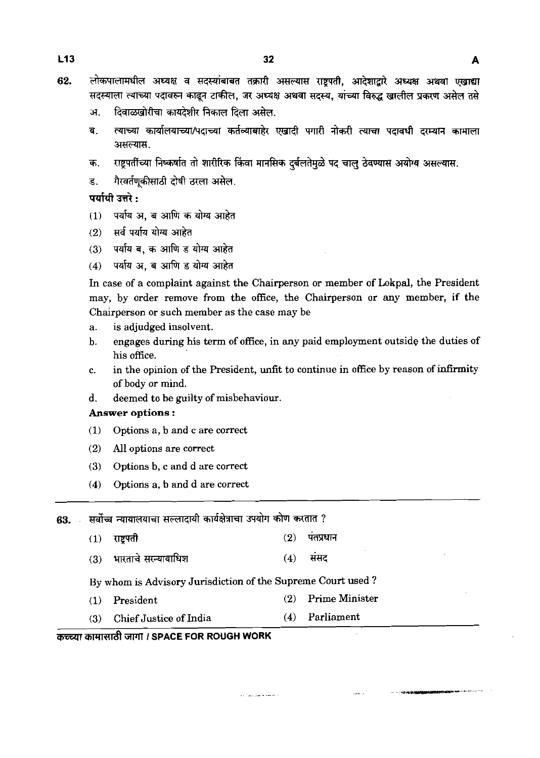- $113$
- 62. लोकपालामधील अध्यक्ष व सदस्यांबाबत तक्रारी असल्यास राष्टपती, आदेशाद्वारे अध्यक्ष अथवा एखाद्या सदस्याला त्याच्या पदावरुन काढून टाकील, जर अध्यक्ष अथवा सदस्य, यांच्या विरुद्ध खालील प्रकरण असेल तसे
	- दिवाळखोरीचा कायदेशीर निकाल दिला असेल. .<br>अ
	- त्याच्या कार्यालयाच्या/पदाच्या कर्तव्याबाहेर एखादी पगारी नोकरी त्याचा पदावधी दरम्यान कामाला ब. असल्यास.
	- क. राष्ट्रपतींच्या निष्कर्षात तो शारीरिक किंवा मानसिक दर्बलतेमुळे पद चालु ठेवण्यास अयोग्य असल्यास.
	- गैरवर्तणकीसाठी दोषी ठरला असेल. ड.

### पर्यायी उत्तरे :

- पर्याय अ. ब आणि क योग्य आहेत  $(1)$
- सर्व पर्याय योग्य आहेत  $(2)$
- पर्याय ब. क आणि ड योग्य आहेत  $(3)$
- पर्याय अ. ब आणि ड योग्य आहेत  $(4)$

In case of a complaint against the Chairperson or member of Lokpal, the President may, by order remove from the office, the Chairperson or any member, if the Chairperson or such member as the case may be

- a. is adjudged insolvent.
- b. engages during his term of office, in any paid employment outside the duties of his office.
- c. in the opinion of the President, unfit to continue in office by reason of infirmity of body or mind.

 $_{\rm{out}}$  .

d. deemed to be guilty of misbehaviour.

#### Answer options :

- **(1)** Options a, b and c are correct
- **(2) All** options are correct
- **(3)** Options b, c and d are correct
- **(4)** Options a, b and d are correct

सर्वोच्च न्यायालयाचा सल्लादायी कार्यक्षेत्राचा उपयोग कोण करतात ? 63.

- पंतप्रधान राष्ट्रपती  $(2)$  $(1)$
- भारताचे सस्यायाधिश संसद  $(4)$  $(3)$

By whom is Advisory Jurisdiction of the Supreme Court used ?

**(1)** President **(2)** Prime Minister

 $\hat{A}$  is a simple procedure of  $\hat{A}$ 

(3) Chief Justice of India **(4)** Parliament

#### **mrmtndt** TIT **1 SPACE FOR ROUGH WORK**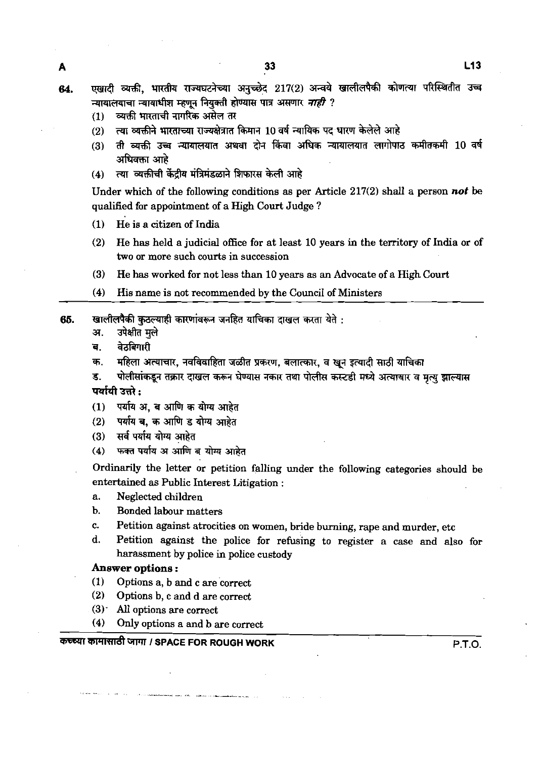एखादी व्यक्ती. भारतीय राज्यघटनेच्या अनच्छेद 217(2) अन्वये खालीलपैकी कोणत्या परिस्थितीत उच्च 64. न्यायालयाचा न्यायाधीश म्हणून नियुक्ती होण्यास पात्र असणार *नाही* ?

- व्यक्ती भारताची नागरिक असेल तर  $(1)$
- ्त्या व्यक्तीने भारताच्या राज्यक्षेत्रात किमान 10 वर्ष न्यायिक पद धारण केलेले आहे  $(2)$
- ती व्यक्ती उच्च न्यायालयात अथवा दोन किंवा अधिक न्यायालयात लागोपाठ कमीतकमी 10 वर्ष  $(3)$ अधिवक्ता आहे
- त्या व्यक्तीची केंदीय मंत्रिमंडळाने शिफारस केली आहे  $(4)$

Under which of the following conditions as per Article  $217(2)$  shall a person not be qualified for appointment of a High Court Judge ?

- (1) He is a citizen of India
- (2) He has held a judicial office for at least 10 years in the territory of India or of two or more such courts in succession
- **(3)** He has worked for not less than 10 years as an Advocate of a High Court
- (4) His name is not recommended by the Council of Ministers
- **65. ~~%lTIhWd&7\*WtTW?il\*: 7.** m
	- **a. Jam\***
	-
	- ब. वेठबिगारी<br>क. महिला अत्याचार, नवविवाहिता जळीत प्रकरण, बलात्कार, व खुन इत्यादी साठी याचिका
	- ड. पोलीसांकडून तक्रार दाखल करून घेण्यास नकार तथा पोलीस कस्टडी मध्ये अत्याचार व मृत्यू <del>द्रा</del>ल्यास पर्यायी उत्तरे :
	- (1) पर्याय अ. ब आणि क योग्य आहेत
	- (2) पर्याय ब. क आणि ड योग्य आहेत
	- (3) सर्व पर्याय योग्य आहेत<br>(4) फ<del>क्</del>त पर्याय अ आणि <sup>त</sup>
	- **फक्त पर्याय अ आणि ब योग्य आहेत**

Ordinarily the letter or petition falling under the following categories should be entertained as Public Interest Litigation :

- a. Neglected children
- b. Bonded labour matters
- c. Petition against atrocities on women, bride burning, rape and murder, etc
- d. Petition against the police for refusing to register a case and also for harassment by police in police custody

#### **Answer options** :

- (1) Options a, b and c are correct
- (2) Options b, c and d are correct
- (3)- **All** options are correct
- (4) Only options a and b are correct

#### कच्च्या कामासाठी जागा / SPACE FOR ROUGH WORK **International P.T.O.** P.T.O.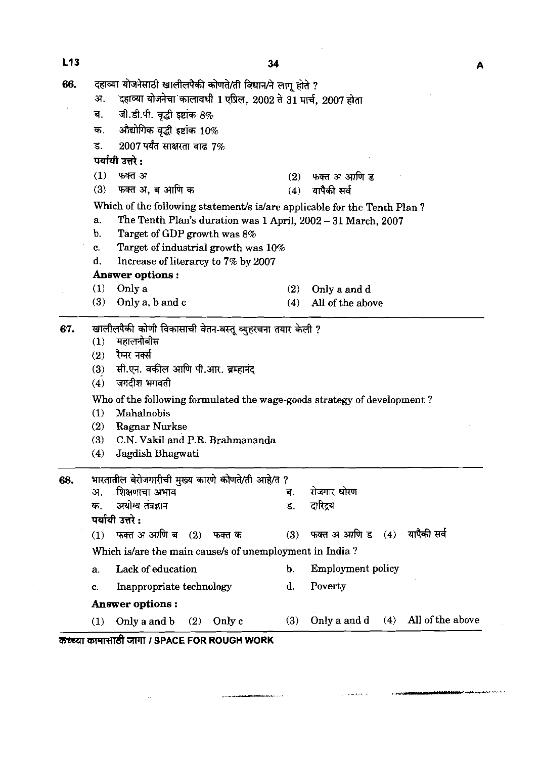| 66. | दहाव्या योजनेसाठी खालीलपैकी कोणते/ती विधान/ने लागू होते ?               |                                                                          |               |                                         |  |  |  |  |  |  |  |  |  |
|-----|-------------------------------------------------------------------------|--------------------------------------------------------------------------|---------------|-----------------------------------------|--|--|--|--|--|--|--|--|--|
|     | अ.                                                                      | दहाव्या योजनेचा कालावधी 1 एप्रिल, 2002 ते 31 मार्च, 2007 होता            |               |                                         |  |  |  |  |  |  |  |  |  |
|     | ब.                                                                      | जी.डी.पी. वृद्धी इष्टांक $8\%$                                           |               |                                         |  |  |  |  |  |  |  |  |  |
|     | क.                                                                      | औद्योगिक वृद्धी इष्टांक $10\%$                                           |               |                                         |  |  |  |  |  |  |  |  |  |
|     | ड.                                                                      | $2007$ पर्यंत साक्षरता वाढ $7\%$                                         |               |                                         |  |  |  |  |  |  |  |  |  |
|     | पर्यायी उत्तरे :                                                        |                                                                          |               |                                         |  |  |  |  |  |  |  |  |  |
|     | (1)                                                                     | फक्त अ                                                                   | (2)           | फक्त अ आणि ड                            |  |  |  |  |  |  |  |  |  |
|     | (3)                                                                     | फक्त अ. ब आणि क                                                          |               | $(4)$ यापैकी सर्व                       |  |  |  |  |  |  |  |  |  |
|     |                                                                         | Which of the following statement/s is/are applicable for the Tenth Plan? |               |                                         |  |  |  |  |  |  |  |  |  |
|     | The Tenth Plan's duration was 1 April, 2002 - 31 March, 2007<br>a.      |                                                                          |               |                                         |  |  |  |  |  |  |  |  |  |
|     | b.<br>Target of GDP growth was 8%                                       |                                                                          |               |                                         |  |  |  |  |  |  |  |  |  |
|     | c.                                                                      | Target of industrial growth was 10%                                      |               |                                         |  |  |  |  |  |  |  |  |  |
|     | d.                                                                      | Increase of literarcy to 7% by 2007                                      |               |                                         |  |  |  |  |  |  |  |  |  |
|     |                                                                         | Answer options:                                                          |               |                                         |  |  |  |  |  |  |  |  |  |
|     | (1)                                                                     | Only a                                                                   | (2)           | Only a and d                            |  |  |  |  |  |  |  |  |  |
|     | (3)                                                                     | Only a, b and c                                                          | (4)           | All of the above                        |  |  |  |  |  |  |  |  |  |
| 67. |                                                                         | खालीलपैकी कोणी विकासाची वेतन-वस्तू व्युहरचना तयार केली ?                 |               |                                         |  |  |  |  |  |  |  |  |  |
|     | (1)                                                                     | महालनोबीस                                                                |               |                                         |  |  |  |  |  |  |  |  |  |
|     | (2)                                                                     | रैम्नर नक्सी                                                             |               |                                         |  |  |  |  |  |  |  |  |  |
|     | (3)                                                                     | सी.एन. वकील आणि पी.आर. ब्रम्हानंद                                        |               |                                         |  |  |  |  |  |  |  |  |  |
|     | (4)                                                                     | जगदीश भगवती                                                              |               |                                         |  |  |  |  |  |  |  |  |  |
|     | Who of the following formulated the wage-goods strategy of development? |                                                                          |               |                                         |  |  |  |  |  |  |  |  |  |
|     | (1)<br>Mahalnobis                                                       |                                                                          |               |                                         |  |  |  |  |  |  |  |  |  |
|     | (2)                                                                     | Ragnar Nurkse                                                            |               |                                         |  |  |  |  |  |  |  |  |  |
|     | (3)                                                                     | C.N. Vakil and P.R. Brahmananda                                          |               |                                         |  |  |  |  |  |  |  |  |  |
|     | (4)                                                                     | Jagdish Bhagwati                                                         |               |                                         |  |  |  |  |  |  |  |  |  |
| 68. |                                                                         | भारतातील बेरोजगारीची मुख्य कारणे कोणते/ती आहे/त ?                        |               |                                         |  |  |  |  |  |  |  |  |  |
|     | अ.                                                                      | शिक्षणाचा अभाव                                                           | ब.            | रोजगार धोरण                             |  |  |  |  |  |  |  |  |  |
|     | क.                                                                      | अयोग्य तंत्रज्ञान                                                        | ड.            | दारिद्रय                                |  |  |  |  |  |  |  |  |  |
|     |                                                                         | पर्यायी उत्तरे :                                                         |               |                                         |  |  |  |  |  |  |  |  |  |
|     | (1)                                                                     | फक्त अ आणि ब<br>(2)<br>फक्त क                                            | (3)           | यापैकी सर्व<br>फक्त अ आणि ड   (4)       |  |  |  |  |  |  |  |  |  |
|     | Which is/are the main cause/s of unemployment in India?                 |                                                                          |               |                                         |  |  |  |  |  |  |  |  |  |
|     | a.                                                                      | Lack of education                                                        | $\mathbf b$ . | Employment policy                       |  |  |  |  |  |  |  |  |  |
|     | C.                                                                      | Inappropriate technology                                                 | d.            | Poverty                                 |  |  |  |  |  |  |  |  |  |
|     | <b>Answer options:</b>                                                  |                                                                          |               |                                         |  |  |  |  |  |  |  |  |  |
|     | (1)                                                                     | Only c<br>Only a and b<br>(2)                                            | (3)           | All of the above<br>Only a and d<br>(4) |  |  |  |  |  |  |  |  |  |

**Second policy Control** 

والأستد

Z5ZWJl **mmnrrdt** *7lTl* **I SPACE FOR ROUGH WORK** 

J.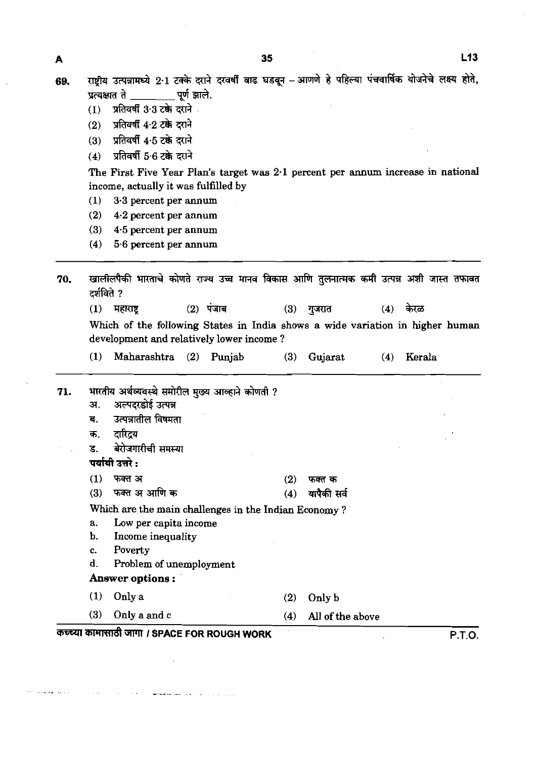69. राष्ट्रीय उत्पन्नामध्ये 2·1 टक्के दराने दरवर्षी वाढ घडवून – आणणे हे पहिल्या पंचवार्षिक योजनेचे लक्ष्य होते, राद्रान उत्पन्नानस्द 2 1 टनगर दत्ता द<br>प्रत्यक्षात ते \_\_\_\_\_\_\_\_\_ पूर्ण झाले.<br>(1) प्रतिवर्षी 3 3 टक्के दराने <mark>(ाष्ट्रीय उत्पन्नामध्ये 2<sup>.</sup>1 टक्के दरा<br>प्रत्यक्षात ते \_\_\_\_\_\_\_\_\_\_ पूर्ण झार्त<br>(1) प्रतिवर्षी 3<sup>.</sup>3 टक्के दराने<br>(2) प्रतिवर्षी 4<sup>.</sup>2 टक्के दराने<br>(3) प्रतिवर्षी 4.5 टके दराने</mark>

- 
- 
- (2) प्रतिवर्षी 4·2 टक्के दराने<br>(3) प्रतिवर्षी 4·5 टक्के दराने<br>(4) प्रतिवर्षी 5·6 टक्के दराने
- **X** प्रतिवर्षी 5.6 टके दराने

The First Five Year Plan's target was **2.1** percent per annum increase in national income, actually it was fulfilled by

- **(1) 3.3** percent per mum
- **(2) 4.2** percent per annum
- **(3) 4.5** percent per annum
- **(4) 5.6** percent per annum

70. खालीलपैकी भारताचे कोणते राज्य उच्च मानव विकास आणि तुलनात्मक कमी उत्पन्न अशी जास्त तफावत  $\vec{z}$ र्शविते ? <sub>दशायत</sub> :<br>(1) महाराष्ट्र (2) पंजाब (3) गुजरात (4) केरळ

Which of the following States in India shows a wide variation in higher human development and relatively lower income ?

**(1)** Maharashtra **(2)** Punjab **(3)** Gujarat **(4)** Kerala

भारतीय अर्थव्यवस्थे समोरील मुख्य आव्हाने कोणती ? 71. अल्पदरडोई उत्पन्न अ. ब. उत्पन्नातील विषमता दारिदय क. बेरोजगारीची समस्या ड. पर्यायी उत्तरे : फक्त अ  $(1)$  $(2)$ फक्त क फक्त अ आणि क  $(4)$  यापैकी सर्व  $(3)$ Which are the main challenges in the Indian Economy ? a. Low per capita income b. Income inequality c. Poverty d. Problem of unemployment **Answer options** : **(1)** Only a **(2)** Only b **(3)** Only a and c **(4)** All of the above **WWl mrmTndt** WT **I SPACE FOR ROUGH WORK P.T.O.**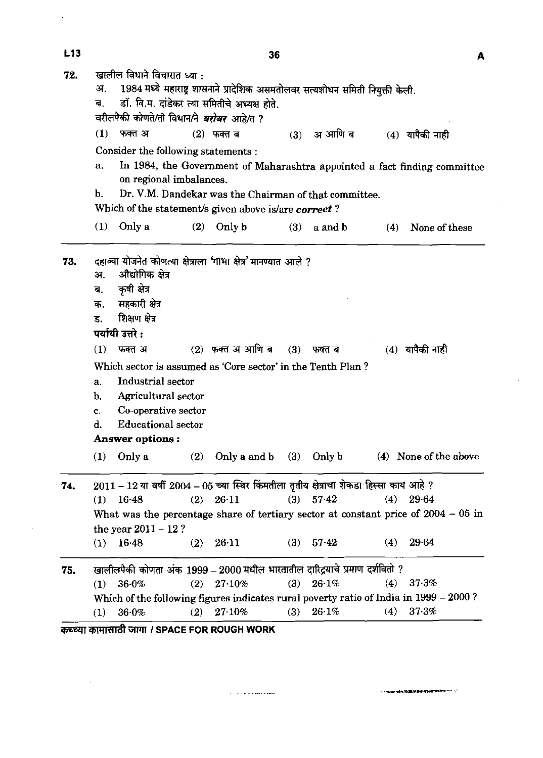| L <sub>13</sub> |                                                                                                                                                                                                                               | 36                            |     |               |     |                   | A                     |
|-----------------|-------------------------------------------------------------------------------------------------------------------------------------------------------------------------------------------------------------------------------|-------------------------------|-----|---------------|-----|-------------------|-----------------------|
| 72.             | खालील विधाने विचारात घ्या :<br>1984 मध्ये महाराष्ट्र शासनाने प्रादेशिक असमतोलवर सत्यशोधन समिती नियुक्ती केली.<br>अ.<br>डॉ. वि.म. दांडेकर त्या समितीचे अध्यक्ष होते.<br>ब.<br>वरीलपैकी कोणते/ती विधान/ने <i>बरोबर आहे/</i> त ? |                               |     |               |     |                   |                       |
|                 | (1)<br>फक्त अ                                                                                                                                                                                                                 | $(2)$ फक्त ब                  | (3) | अ आणि ब       |     | $(4)$ यापैकी नाही |                       |
|                 | Consider the following statements :                                                                                                                                                                                           |                               |     |               |     |                   |                       |
|                 | In 1984, the Government of Maharashtra appointed a fact finding committee<br>a.                                                                                                                                               |                               |     |               |     |                   |                       |
|                 | on regional imbalances.                                                                                                                                                                                                       |                               |     |               |     |                   |                       |
|                 | Dr. V.M. Dandekar was the Chairman of that committee.<br>b.                                                                                                                                                                   |                               |     |               |     |                   |                       |
|                 | Which of the statement/s given above is/are correct?                                                                                                                                                                          |                               |     |               |     |                   |                       |
|                 | Only a<br>(1)                                                                                                                                                                                                                 | $(2)$ Only b                  | (3) | a and b       | (4) |                   | None of these         |
|                 |                                                                                                                                                                                                                               |                               |     |               |     |                   |                       |
| 73.             | योजनेत कोणत्या क्षेत्राला 'गाभा क्षेत्र' मानण्यात आले ?<br>दहाव्या<br>औद्योगिक क्षेत्र                                                                                                                                        |                               |     |               |     |                   |                       |
|                 | अ.<br>कृषी क्षेत्र<br>ब.                                                                                                                                                                                                      |                               |     |               |     |                   |                       |
|                 | सहकारी क्षेत्र<br>क.                                                                                                                                                                                                          |                               |     |               |     |                   |                       |
|                 | शिक्षण क्षेत्र<br>ड.                                                                                                                                                                                                          |                               |     |               |     |                   |                       |
|                 | पर्यायी उत्तरे :                                                                                                                                                                                                              |                               |     |               |     |                   |                       |
|                 | (1)<br>फक्त अ                                                                                                                                                                                                                 | $(2)$ फक्त अ आणि ब            | (3) | फक्त ब        |     | (4) यापैकी नाही   |                       |
|                 | Which sector is assumed as 'Core sector' in the Tenth Plan?                                                                                                                                                                   |                               |     |               |     |                   |                       |
|                 | Industrial sector<br>a.                                                                                                                                                                                                       |                               |     |               |     |                   |                       |
|                 | Agricultural sector<br>b.                                                                                                                                                                                                     |                               |     |               |     |                   |                       |
|                 | Co-operative sector<br>c.                                                                                                                                                                                                     |                               |     |               |     |                   |                       |
|                 | <b>Educational sector</b><br>d.                                                                                                                                                                                               |                               |     |               |     |                   |                       |
|                 | Answer options :                                                                                                                                                                                                              |                               |     |               |     |                   |                       |
|                 | $(1)$ Only a                                                                                                                                                                                                                  | (2) Only a and b $(3)$ Only b |     |               |     |                   | (4) None of the above |
|                 |                                                                                                                                                                                                                               |                               |     |               |     |                   |                       |
| 74.             | $2011 - 12$ या वर्षी $2004 - 05$ च्या स्थिर किंमतीला तृतीय क्षेत्राचा शेकडा हिस्सा काय आहे ?                                                                                                                                  |                               |     |               |     |                   |                       |
|                 | $(1)$ 16.48                                                                                                                                                                                                                   | $(2)$ 26.11                   |     | $(3)$ $57.42$ |     | $(4)$ 29.64       |                       |
|                 | What was the percentage share of tertiary sector at constant price of $2004 - 05$ in                                                                                                                                          |                               |     |               |     |                   |                       |
|                 | the year $2011 - 12$ ?<br>$(1)$ 16.48                                                                                                                                                                                         | $(2)$ 26.11                   |     | $(3)$ 57.42   |     | $(4)$ 29.64       |                       |
|                 |                                                                                                                                                                                                                               |                               |     |               |     |                   |                       |
| 75.             | खालीलपैकी कोणता अंक 1999 – 2000 मधील भारतातील दारिद्रयाचे प्रमाण दर्शवितो ?                                                                                                                                                   |                               |     |               |     |                   |                       |
|                 | $(1)$ 36.0%                                                                                                                                                                                                                   | $(2)$ 27.10%                  |     | $(3)$ 26.1%   |     | (4) $37.3%$       |                       |
|                 | Which of the following figures indicates rural poverty ratio of India in 1999 - 2000?                                                                                                                                         |                               |     |               |     |                   |                       |
|                 | $(1)$ 36.0%                                                                                                                                                                                                                   | $(2)$ 27.10%                  |     | (3) $26.1\%$  |     | $(4)$ 37.3%       |                       |

 $\hat{\alpha}$  , and the continuous form  $\hat{\beta}$ 

 $\Delta \sim 10^4$ 

 $\label{eq:2.1} \frac{1}{\sqrt{2}}\left(\frac{1}{\sqrt{2}}\right)^{2} \left(\frac{1}{\sqrt{2}}\right)^{2} \left(\frac{1}{\sqrt{2}}\right)^{2} \left(\frac{1}{\sqrt{2}}\right)^{2} \left(\frac{1}{\sqrt{2}}\right)^{2} \left(\frac{1}{\sqrt{2}}\right)^{2} \left(\frac{1}{\sqrt{2}}\right)^{2} \left(\frac{1}{\sqrt{2}}\right)^{2} \left(\frac{1}{\sqrt{2}}\right)^{2} \left(\frac{1}{\sqrt{2}}\right)^{2} \left(\frac{1}{\sqrt{2}}\right)^{2} \left(\$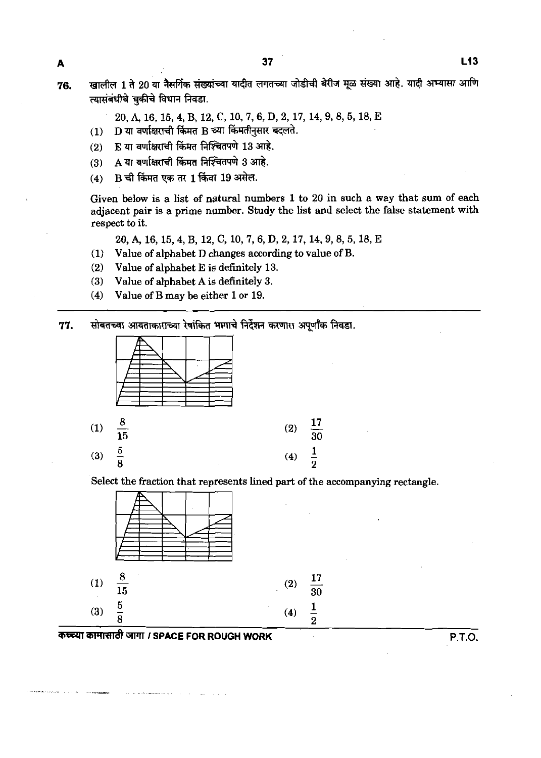A

 $L$ 13

खालील 1 ते 20 या नैसर्गिक संख्यांच्या यादीत लगतच्या जोडीची बेरीज मूळ संख्या आहे. यादी अभ्यासा आणि 76. त्यासंबंधीचे चकीचे विधान निवडा.

20, A, 16, 15, 4, B, 12, C, 10, 7, 6, D, 2, 17, 14, 9, 8, 5, 18, E

- D या वर्णाक्षराची किंमत B च्या किंमतीनसार बदलते.  $(1)$
- E या वर्णाक्षराची किंमत निश्चितपणे 13 आहे.  $(2)$
- A या वर्णाक्षराची किंमत निश्चितपणे 3 आहे.  $(3)$
- B ची किंमत एक तर 1 किंवा 19 असेल.  $(4)$

Given below is a list of natural numbers **1** to **20** in such a way that sum of each adjacent pair is a prime number. Study the list and select the false statement with respect to it.

**20,416,15,4,B,12,C,10,7,6,D,2,17,14,9,8,5,18,E** 

- **(1)** Value of alphabet D changes according to value of B.
- **(2)** Value of alphabet E is definitely **13.**
- **(3)** Value of alphabet A is definitely **3.**
- **(4)** Value of B may be either **1** or **19.**

सोबतच्या आयताकाराच्या रेषांकित भागाचे निर्देशन करणारा अपूर्णांक निवडा. 77.



Select the fraction that represents lined part of the accompanying rectangle.

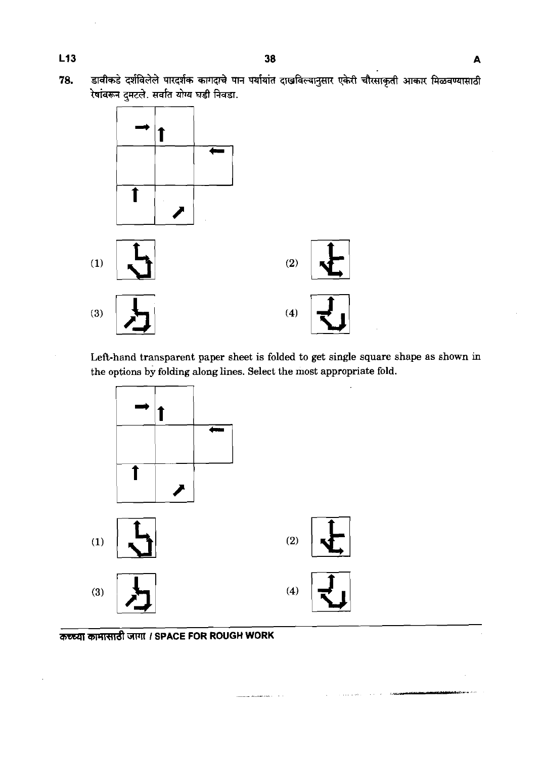.<br>डावीकडे दर्शविलेले पारदर्शक कागदाचे पान पर्यायांत दाखविल्यानुसार एकेरी चौरसाकृती आकार मिळवण्यासाठी 78. रेषांवरून दुमटले. सर्वात योग्य घडी निवडा.



Left-hand transparent paper sheet is folded to get single square shape as shown in the options by folding along lines. Select the most appropriate fold.

 $\hat{z}$  , and an association of  $\hat{z}$  ,  $\hat{z}$  ,  $\hat{z}$ 

 $\sim$   $\sim$  0.000  $\mu$ 



.<br>De antonio de la contexte de la contexte de la contexte de la contexte de la contexte de la contexte de la con

कच्च्या कामासाठी जागा । SPACE FOR ROUGH WORK

L<sub>13</sub>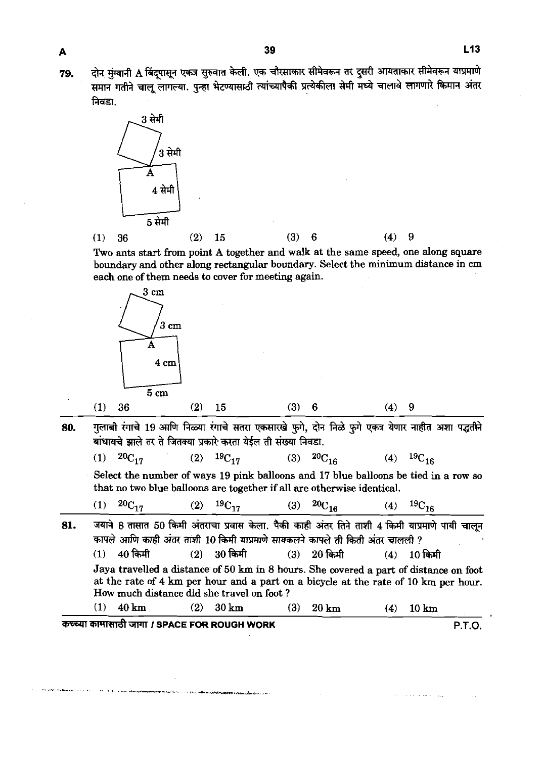79.

दोन मुंग्यानी A बिंदूपासून एकत्र सुरुवात केली. एक चौरसाकार सीमेवरून तर दुसरी आयताकार सीमेवरून याप्रमाणे समान गतीने चालू लागल्या. पुन्हा भेटण्यासाठी त्यांच्यापैकी प्रत्येकीला सेमी मध्ये चालावे लागणारे किमान अंतर निवडा





Two ants start from point A together and walk at the same speed, one along square boundary and other along rectangular boundary. Select the minimum distance in cm each one of them needs to cover for meeting again.



गुलाबी रंगाचे 19 आणि निळ्या रंगाचे सतरा एकसारखे फुगे, दोन निळे फुगे एकत्र येणार नाहीत अशा पद्धतीने 80. बांधायचे झाले तर ते जितक्या प्रकारे करता येईल ती संख्या निवडा.

| (1) ${}^{20}C_{17}$ | (2) ${}^{19}C_{17}$ | (3) ${}^{20}C_{16}$ | (4) ${}^{19}C_{16}$ |
|---------------------|---------------------|---------------------|---------------------|
|                     |                     |                     |                     |

Select the number of ways **19** pink balloons and **17** blue balloons be tied in a row so that no two blue balloons are together if all are otherwise identical.

| (1) $20C_{17}$ |  | (2) ${}^{19}C_{17}$ |  | (3) ${}^{20}C_{16}$ |  | (4) $^{19}C_{16}$ |
|----------------|--|---------------------|--|---------------------|--|-------------------|
|----------------|--|---------------------|--|---------------------|--|-------------------|

जयाने 8 तासात 50 किमी अंतराचा प्रवास केला. पैकी काही अंतर तिने ताशी 4 किमी याप्रमाणे पायी चालून 81. कापले आणि काही अंतर ताशी 10 किमी याप्रमाणे सायकलने कापले ती किती अंतर चालली ?  $40$  किमी  $(1)$  $30 \overline{a}$ मी  $20$  किमी  $10$  किमी  $(2)$  $(3)$  $(4)$ Jaya travelled a distance of **50 km** in **8** hours. She covered a part of distance on foot at the rate of **4 km** per hour and a part on a bicycle at the rate of **10 km** per hour. How much distance did she travel on foot ?  $(1)$ 40 km  $(2)$  $30 \mathrm{km}$  $(3)$ 20 km  $10 \text{ km}$  $(4)$ 

**mmnrrdt** *I* **SPACE FOR ROUGH WORK P.T.O.**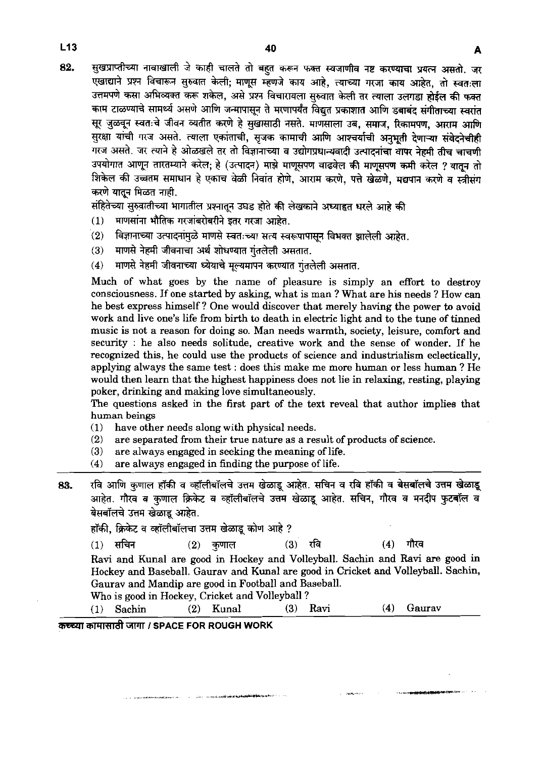सुखप्राप्तीच्या नावाखाली जे काही चालते तो बहुत करून फक्त स्वजाणीव नष्ट करण्याचा प्रयत्न असतो. जर 82. एखाद्याने प्रश्न विचारून सुरुवात केली; माणूस म्हणजे काय आहे. त्याच्या गरजा काय आहेत, तो स्वतःला उत्तमपणे कसा अभिव्यक्त करू शकेल, असे प्रश्न विचारायला सुरुवात केली तर त्याला उलगड़ा होईल की फक्त काम टाळण्याचे सामर्थ्य असणे आणि जन्मापासून ते मरणापर्यंत विद्युत प्रकाशात आणि डबाबंद संगीताच्या स्वरांत सूर जुळवून स्वतःचे जीवन व्यतीत करणे हे सुखासाठी नसते. माणसाला उब, समाज, रिकामपण, आराम आणि गरज असते. जर त्याने हे ओळखले तर तो विज्ञानाच्या व उद्योगप्रधान्यवादी उत्पादनांचा वापर नेहमी तीच चाचणी उपयोगात आणून तारतम्याने करेल; हे (उत्पादन) माझे माणुसपण वाढवेल की माणसपण कमी करेल ? यातन तो शिकेल की उच्चतम समाधान हे एकाच वेळी निवांत होणे. आराम करणे. पत्ते खेळणे. मद्यपान करणे व स्त्रीसंग करणे यातून मिळत नाही.

संहितेच्या सुरुवातीच्या भागातील प्रश्नातून उघड होते की लेखकाने अध्याहृत धरले आहे की

- माणसांना भौतिक गरजांबरोबरीने इतर गरजा आहेत.  $(1)$
- विज्ञानाच्या उत्पादनांमुळे माणसे स्वतःच्या सत्य स्वरूपापासून विभक्त झालेली आहेत.  $(2)$
- माणसे नेहमी जीवनाचा अर्थ शोधण्यात गंतलेली असतात.  $(3)$
- $(4)$ माणसे नेहमी जीवनाच्या ध्येयाचे मूल्यमापन करण्यात गंतलेली असतात.

Much of what goes by the name of pleasure is simply an effort to destroy consciousness. If one started by asking, what is man ? What are his needs ? How can he best express himself? One would discover that merely having the power to avoid work and live one's life from birth to death in electric light and to the tune of tinned music is not a reason for doing so. Man needs warmth, society, leisure, comfort and security : he also needs solitude, creative work and the sense of wonder. If he recognized this, he could use the products of science and industrialism eclectically, applying always the same test : does this make me more human or less human? He would then learn that the highest happiness does not lie in relaxing, resting, playing poker, drinking and making love simultaneously.

The questions asked in the first part of the text reveal that author implies that human beings

- **(1)** have other needs along with physical needs.
- are separated from their true nature as a result of products of science.
- **(3)** are always engaged in seeking the meaning of life.
- **(4)** are always engaged in finding the purpose of life.
- रवि आणि कृणाल हॉकी व व्हॉलीबॉलचे उत्तम खेळाडू आहेत. सचिन व रवि हॉकी व बेसबॉलचे उत्तम खेळाडू 83. आहत. गारव व कुणाल क्रिकट व व्हालाबालच उत्तम खळाडू आहत. सायन, गारव व मनदान कुटबाल व<br>बेसबॉलचे उत्तम खेळाडू आहेत.<br>हॉकी, क्रिकेट व व्हॉलीबॉलचा उत्तम खेळाडू कोण आहे ?<br>(1) सचिन (2) कुणाल (3) र

Hockey and Baseball. Gaurav and Kunal are good in Cricket and Volleyball. Sachin, Gaurav and Mandip are good in Football and Baseball.

**Andrews** 

Who is good in Hockey, Cricket and Volleyball ?

**(1)** Sachin **(2)** Kunal **(3)** Ravi **(4)** Gaurav

**mrm3ndt** GWll **I SPACE FOR ROUGH WORK** 

 $L13$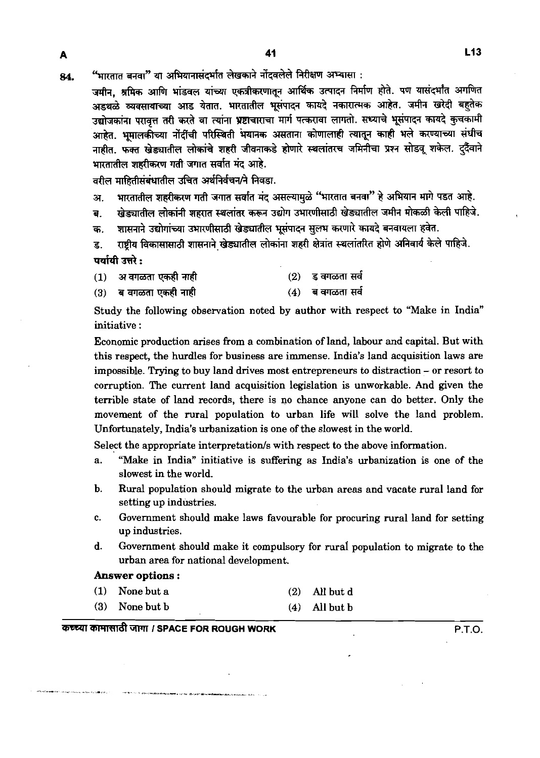84. **"भारतात बनवा"** या अभियानासंदर्भात लेखकाने नोंदवलेले निरीक्षण अभ्यासा :

जमीन, श्रमिक आणि भांडवल यांच्या एकत्रीकरणातून आर्थिक उत्पादन निर्माण होते. पण यासंदर्भांत अगणित अडथळे व्यवसायाच्या आड येतात. भारतातील भूसंपादन कायदे नकारात्मक आहेत. जमीन खरेदी बहुतेक उद्योजकांना परावत्त तरी करते वा त्यांना **भ्रष्टा**चाराचा मार्ग पत्करावा लागतो. सध्याचे भूसंपादन कायदे कुचकामी आहेत. भूमालकीच्या नोंदींची परिस्थिती भयानक असताना कोणालाही त्यातून काही भले करण्याच्या संधीच नाहीत. फुक्त खेड्यातील लोकांचे शहरी जीवनाकडे होणारे स्थलांतरच जमिनीचा प्रश्न सोडवू शकेल. दुर्दैवाने भारतातील शहरीकरण गती जगात सर्वात मंद आहे.

वरील माहितीसंबंधातील उचित अर्थनिर्वचन/ने निवडा.

A

अ. भारतातील शहरीकरण गती जगात सर्वात मंद असल्यामुळे "भारतात बनवा" हे अभियान मागे पडत आहे.

ब. खेड्यातील लोकांनी शहरात स्थलांतर करून उद्योग उभारणीसाठी खेड्यातील जमीन मोकळी केली पाहिजे.

क. शासनाने उद्योगांच्या उभारणीसाठी खेड्यातील भूसंपादन सूलभ करणारे कायदे बनवायला हवेत.

ड. राष्ट्रीय विकासासाठी शासनाने खेड्यातील लोकांना शहरी क्षेत्रांत स्थलांतरित होणे अनिवार्य केले पाहिजे. पर्यायी उत्तरे :

- **(1) ~~~-3 (2) sm-amd**
- **(3)** is~~;Ilft **(4) 8=miWId**

Study the following observation noted by author with respect to "Make in India" initiative :

Economic production arises from a combination of land, labour and capital. But with this respect, the hurdles for business are immense. India's land acquisition laws are impossible. Trying to buy land drives most entrepreneurs to distraction - or resort to corruption. The current land acquisition legislation is unworkable. And given the terrible state of land records, there is no chance anyone can do better. Only the movement of the rural population to urban life will solve the land problem. Unfortunately, India's urbanization is one of the slowest in the world.

Select the appropriate interpretation/s with respect to the above information.

- a. "Make in India" initiative is suffering as India's urbanization is one of the slowest in the world.
- b. Rural population should migrate to the urban areas and vacate rural land for setting up industries.
- C. Government should make laws favourable for procuring rural land for setting up industries.
- d. Government should make it compulsory for rural population to migrate to the urban area for national development.

#### **Answer options** :

- **(1)** None but a **(2)** All but d
- **(3)** None but b **(4)** All but b

# **TlWFd** WJlT **1 SPACE FOR ROUGH WORK P.T.O.**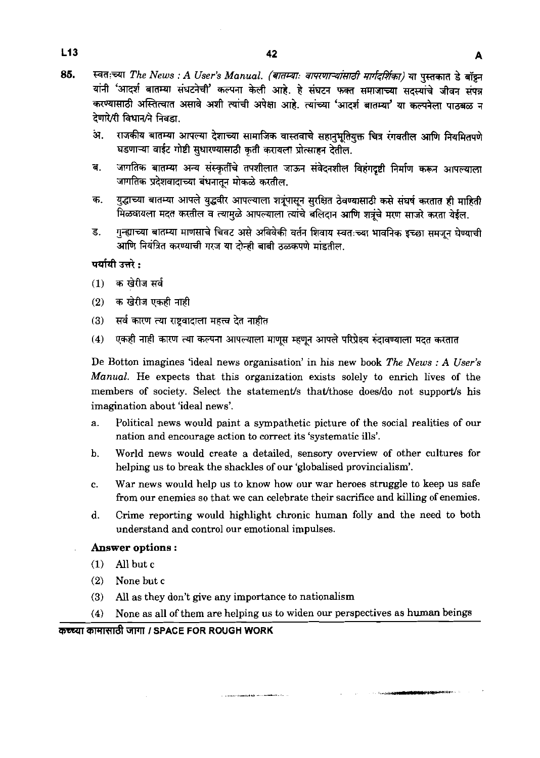- 85. स्वतःच्या The News : A User's Manual. (बातम्याः वापरणाऱ्यांसाठी मार्गदर्शिका) या पस्तकात डे बॉझ्न यांनी 'आदर्श बातम्या संघटनेची' कल्पना केली आहे. हे संघटन फक्त समाजाच्या सदस्यांचे जीवन संपन्न करण्यासाठी अस्तित्वात असावे अशी त्यांची अपेक्षा आहे. त्यांच्या 'आदर्श बातम्या' या कल्पनेला पाठबळ न देणारे/री विधान/ने निवडा.
	- . सजकीय बातम्या आपल्या देशाच्या सामाजिक वास्तवाचे सहानुभूतियुक्त चित्र रंगवतील आणि नियमितपणे घडणाऱ्या वाईट गोष्टी सुधारण्यासाठी कृती करायला प्रोत्साहन देतील.
	- जागतिक बातम्या अन्य संस्कृतींचे तपशीलात जाऊन संवेदनशील विहंगदृष्टी निर्माण करून आपल्याला ब. जागतिक प्रदेशवादाच्या बंधनातून मोकळे करतील.
	- युद्धाच्या बातम्या आपले युद्धवीर आपल्याला शत्रुंपासून सुरक्षित ठेवण्यासाठी कसे संघर्ष करतात ही माहिती क. मिळवायला मदत करतील व त्यामुळे आपल्याला त्यांचे बलिदान आणि शत्रुंचे मरण साजरे करता येईल.
	- गुन्ह्याच्या बातम्या माणसाचे चिवट असे अविवेकी वर्तन शिवाय स्वतःच्या भावनिक इच्छा समजून घेण्याची ड. आणि नियंत्रित करण्याची गरज या टोन्ही बाबी ठळकपणे मांडतील.

#### पर्यायी उत्तरे :

- $(1)$  क खेरीज सर्व
- $(2)$ क खेरीज एकही नाही
- सर्व कारण त्या राष्ट्रवादाला महत्त्व देत नाहीत  $(3)$
- एकही नाही कारण त्या कल्पना आपल्याला माणूस म्हणून आपले परिप्रेक्ष्य रुंदावण्याला मदत करतात  $(4)$

De Botton imagines 'ideal news organisation' in his new book *The News* : *A User's Manual.* He expects that this organization exists solely to enrich lives of the members of society. Select the statement/s that/those does/do not support/s his imagination about 'ideal news'.

- a. Political news would paint a sympathetic picture of the social realities of our nation and encourage action to correct its 'systematic ills'.
- b. World news would create a detailed, sensory overview of other cultures for helping us to break the shackles of our 'globalised provincialism'.
- c. War news would help us to know how our war heroes struggle to keep us safe from our enemies so that we can celebrate their sacrifice and killing of enemies.
- d. Crime reporting would highlight chronic human folly and the need to both understand and control our emotional impulses.

#### **Answer options** :

- **(1) All** but c
- **(2)** None but c
- **(3)** All as they don't give any importance to nationalism
- **(4)** None as all of them are helping us to widen our perspectives as human beings

#### marql *aVTIW8* **iirrm I SPACE FOR ROUGH WORK**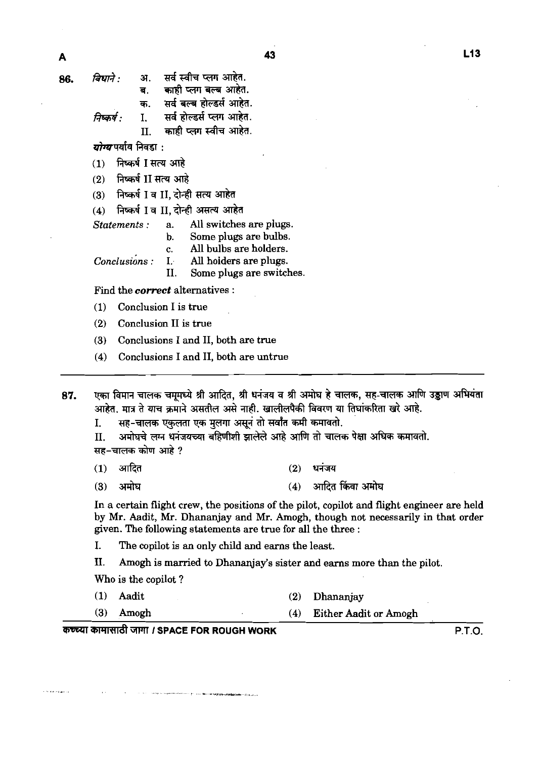सर्व स्वीच प्लग आहेत. विधाने :  $\overline{u}$ 86. काही प्लग बल्ब आहेत. **ਰ** 

सर्व बल्ब होल्डर्स आहेत. क.

सर्व होल्डर्स प्लग आहेत.

 $\mathbf{T}$ निष्कर्ष • काही प्लग स्वीच आहेत.  $\mathbf{H}$ 

*योग्य* पर्याय निवडा<sub>ं</sub>

- निष्कर्ष I सत्य आहे  $(1)$
- निष्कर्ष II सत्य आहे  $(2)$

निष्कर्ष I व II, दोन्ही सत्य आहेत  $(3)$ 

*Statements* : a. All switches are plugs.

- Some plugs are bulbs.
- c. All bulbs are holders.

*Conclusions* : I. All holders are plugs.<br>II. Some plugs are switch

Some plugs are switches.

Find the **correct** alternatives :

(1) Conclusion I is true

**(2)** Conclusion I1 is true

**(3)** Conclusions I and 11, both are true

**(4)** Conclusions I and 11, both are untrue

एका विमान चालक चमूमध्ये श्री आदित, श्री धनंजय व श्री अमोघ हे चालक, सह-चालक आणि उड्डाण अभियंता 87. आहेत. मात्र ते याच क्रमाने असतील असे नाही. खालीलपैकी विवरण या तिघांकरिता खरे आहे.

सह-चालक एकलता एक मूलगा असून तो सर्वांत कमी कमावतो.  $\mathbf{I}$ .

अमोघचे लग्न धनंजयच्या बहिणीशी झालेले आहे आणि तो चालक पेक्षा अधिक कमावतो.  $\Pi$ . सह–चालक कोण आहे ?

आदित धनजय  $(1)$  $(2)$ 

आदित किंवा अमोघ  $(3)$ अमोघ  $(4)$ 

In a certain flight crew, the positions of the pilot, copilot and flight engineer are held by Mr. Aadit, Mr. Dhananjay and Mr. Amogh, though not necessarily in that order given. The following statements are true for all the three :

I. The copilot is an only child and earns the least.

**11.** Amogh is married to Dhananjay's sister and earns more than the pilot.

Who is the copilot ?

**(1)** Aadit **(2)** Dhananjay **(3)** Amogh **(4)** Either Aadit or Amogh

**we jrmr I SPACE FOR ROUGH WORK P.T.O.**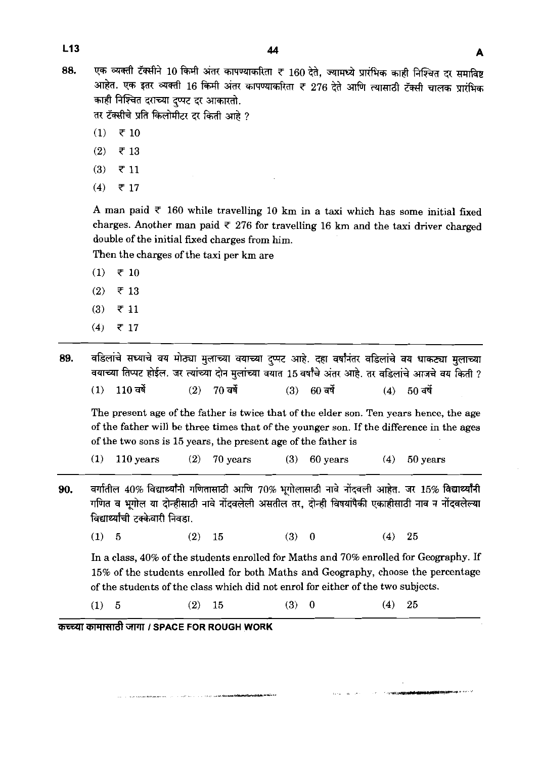एक व्यक्ती टॅक्सीने 10 किमी अंतर कापण्याकरिता ₹ 160 देते, ज्यामध्ये प्रारंभिक काही निश्चित दर समाविष्ट 88. आहेत. एक इतर व्यक्ती 16 किमी अंतर कापण्याकरिता ₹ 276 देते आणि त्यासाठी टॅक्सी चालक प्रारंभिक काही निश्चित दराच्या दप्पट दर आकारतो.

तर टॅक्सीचे प्रति किलोमीटर दर किती आहे ?

- $(1)$  $\overline{\tau}$  10
- $(2)$  $\overline{5}$  13
- $(3)$  $\overline{5}$  11
- $(4)$ ₹ 17

A man paid  $\overline{\tau}$  160 while travelling 10 km in a taxi which has some initial fixed charges. Another man paid  $\bar{\tau}$  276 for travelling 16 km and the taxi driver charged double of the initial fixed charges from him.

Then the charges of the taxi per **km** are

- $(1)$  ₹ 10
- $(2)$  $\overline{5}$  13
- $(3)$  $\overline{5}$  11
- $(4)$ ₹ 17

वडिलांचे सध्याचे वय मोठ्या मुलाच्या वयाच्या दुप्पट आहे. दहा वर्षांनंतर वडिलांचे वय धाकट्या मुलाच्या 89. वयाच्या तिप्पट होईल. जर त्यांच्या दोन मुलांच्या वयात 15 वर्षांचे अंतर आहे. तर वडिलांचे आजचे वयु किती ?  $(1)$ 110 ਕਖੋਂ  $(2)$  $70$  वर्षे  $(3)$  $60$  वर्षे  $(4)$  50 वर्षे

The present age of the father is twice that of the elder son. Ten years hence, the age of the father will be three times that of the younger son. If the difference in the ages of the two sons is **15** years, the present age of the father is

**(1) 110** years **(2) 70** years **(3) 60** years **(4) 50** years

- **90.** aर्गातील 40% विद्यार्थ्यांनी गणितासाठी आणि 70% भगोलासाठी नावे नोंदवली आहेत. जर 15% विद्यार्थ्यांनी गणित व भूगोल या दोन्हीसाठी नावे नोंदवलेली असतील तर, दोन्ही विषयांपैकी एकाहीसाठी नाव न नोंदवलेल्या वंगाताल 40% विद्यार्थ्यांना गाणतासाठा आाण 70% भूगालासाठा नाव नादवला आहत. जर 15% विद्यार्थ्यांना<br>गणित व भूगोल या दोन्हीसाठी नावे नोंदवलेली असतील तर, दोन्ही विषयांपैकी एकाहीसाठी नाव न नोंदवलेल्या<br>विद्यार्थ्यांची टक्केवारी न
	- **(1) 5 (2) 15 (3) 0 (4) 25**

In a class, **40%** of the students enrolled for Maths and **70%** enrolled for Geography. If **15%** of the students enrolled for both Maths and Geography, choose the percentage of the students of the class which did not enrol for either of the two subjects.

**(1) 5 (2) 15 (3) 0 (4) 25** 

**swl** WFiRd GWTl **I SPACE FOR ROUGH WORK**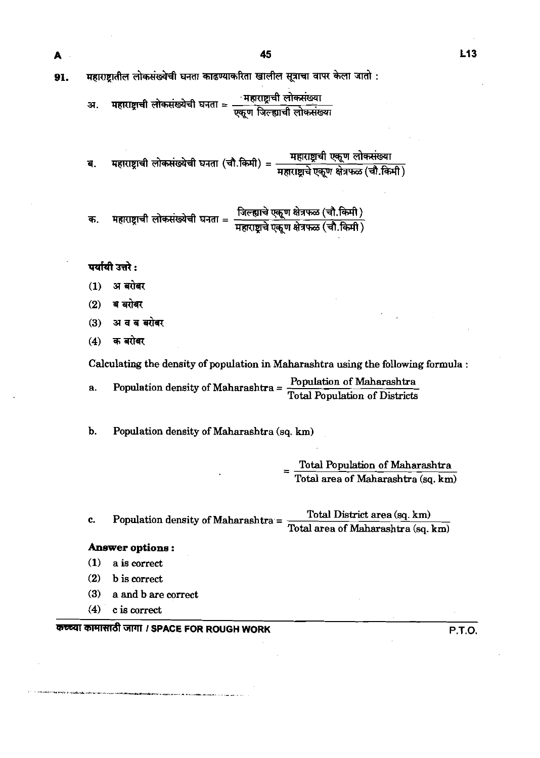महाराष्ट्रातील लोकसंख्येची घनता काढण्याकरिता खालील सूत्राचा वापर केला जातो : 91.

> महाराष्ट्राची लोकसंख्येची घनता = सहाराष्ट्राची लोकसंख्या<br>एकूण जिल्ह्याची लोकसंख्या अ.

महाराष्ट्राची लोकसंख्येची घनता (चौ.किमी) = महाराष्ट्राची एकूण लोकसंख्या<br>महाराष्ट्राची लोकसंख्येची घनता (चौ.किमी) = महाराष्ट्राचे एकूण क्षेत्रफळ (चौ.किमी) ब.

महाराष्ट्राची लोकसंख्येची घनता = जिल्ह्याचे एकूण क्षेत्रफळ (चौ.किमी)<br>महाराष्ट्राची लोकसंख्येची घनता = महाराष्ट्राचे एकूण क्षेत्रफळ (चौ.किमी) क.

#### पर्यायी उत्तरे:

A

- अ बरोबर  $(1)$
- ब बरोबर  $(2)$
- अ व ब बरोबर  $(3)$
- क बरोबर  $(4)$

Calculating the density of population in. Maharashtra using the following formula :

a. Population density of Maharashtra =  $\frac{\text{Population of Maharashtra}}{\text{Total Population of Distributions}}$ 

**b.** Population density of Maharashtra (sq. **km)** 

Total Population of Maharashtra Total area of Maharashtra (sq. **km)** 

c. Population density of Maharashtra =  $\frac{\text{Total District area (sq. km)}}{\text{Total District area (sq. km)}}$ Total area of Maharashtra **(sq. km)** 

#### **Answer options** :

- **(1)** a is correct
- **(2)** b is correct
- **(3)** a and b are correct
- **(4)** cis correct

# कच्च्या कामासाठी जागा *।* SPACE FOR ROUGH WORK बाल का सामान्य प्रकार का सामान्य प्रकार का सामान्य प्रकार का सामान्य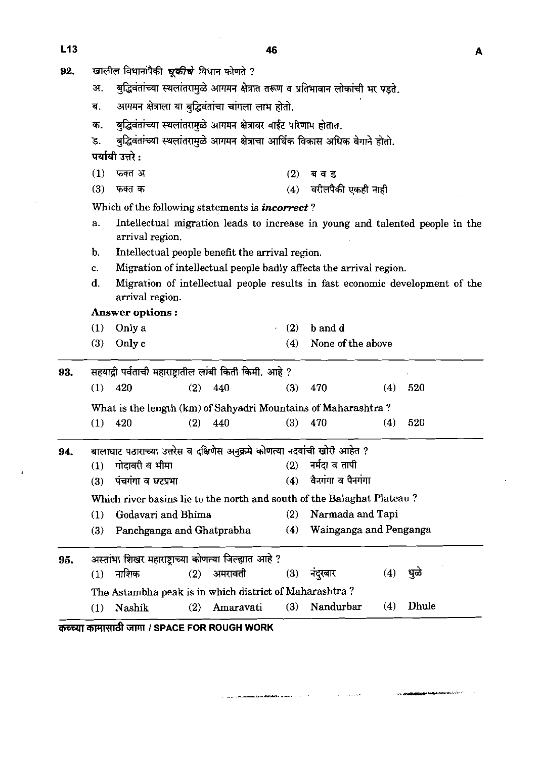J.

| 92. | खालील विधानांपैकी <i>चूकीचे</i> विधान कोणते ?                                                         |                                                                  |     |                                                                              |     |                        |     |       |  |  |  |  |  |
|-----|-------------------------------------------------------------------------------------------------------|------------------------------------------------------------------|-----|------------------------------------------------------------------------------|-----|------------------------|-----|-------|--|--|--|--|--|
|     | बुद्धिवंतांच्या स्थलांतरामुळे आगमन क्षेत्रात तरूण व प्रतिभावान लोकांची भर पड़ते.<br>अ.                |                                                                  |     |                                                                              |     |                        |     |       |  |  |  |  |  |
|     | ब.                                                                                                    |                                                                  |     | आगमन क्षेत्राला या बुद्धिवंतांचा चांगला लाभ होतो.                            |     |                        |     |       |  |  |  |  |  |
|     | क.                                                                                                    | बुद्धिवंतांच्या स्थलांतरामुळे आगमन क्षेत्रावर वाईट परिणाम होतात. |     |                                                                              |     |                        |     |       |  |  |  |  |  |
|     | ड.                                                                                                    |                                                                  |     | बुद्धिवंतांच्या स्थलांतरामुळे आगमन क्षेत्राचा आर्थिक विकास अधिक वेगाने होतो. |     |                        |     |       |  |  |  |  |  |
|     |                                                                                                       | पर्यायी उत्तरे :                                                 |     |                                                                              |     |                        |     |       |  |  |  |  |  |
|     | (1)                                                                                                   | फक्त अ                                                           |     |                                                                              | (2) | ब व ड                  |     |       |  |  |  |  |  |
|     | (3)                                                                                                   | फक्त क                                                           |     |                                                                              | (4) | वरीलपैकी एकही नाही     |     |       |  |  |  |  |  |
|     | Which of the following statements is <i>incorrect</i> ?                                               |                                                                  |     |                                                                              |     |                        |     |       |  |  |  |  |  |
|     | Intellectual migration leads to increase in young and talented people in the<br>a.<br>arrival region. |                                                                  |     |                                                                              |     |                        |     |       |  |  |  |  |  |
|     | Intellectual people benefit the arrival region.<br>b.                                                 |                                                                  |     |                                                                              |     |                        |     |       |  |  |  |  |  |
|     | Migration of intellectual people badly affects the arrival region.<br>c.                              |                                                                  |     |                                                                              |     |                        |     |       |  |  |  |  |  |
|     | Migration of intellectual people results in fast economic development of the<br>d.<br>arrival region. |                                                                  |     |                                                                              |     |                        |     |       |  |  |  |  |  |
|     | Answer options:                                                                                       |                                                                  |     |                                                                              |     |                        |     |       |  |  |  |  |  |
|     | (1)                                                                                                   | Only a                                                           |     |                                                                              | (2) | b and d                |     |       |  |  |  |  |  |
|     | (3)                                                                                                   | Only c                                                           |     |                                                                              | (4) | None of the above      |     |       |  |  |  |  |  |
| 93. | सहयाद्री पर्वताची महाराष्ट्रातील लांबी किती किमी. आहे ?                                               |                                                                  |     |                                                                              |     |                        |     |       |  |  |  |  |  |
|     | (1)                                                                                                   | 420                                                              | (2) | 440                                                                          | (3) | 470                    | (4) | 520   |  |  |  |  |  |
|     |                                                                                                       |                                                                  |     |                                                                              |     |                        |     |       |  |  |  |  |  |
|     | (1)                                                                                                   | 420                                                              | (2) | What is the length (km) of Sahyadri Mountains of Maharashtra?<br>440         | (3) | 470                    | (4) | 520   |  |  |  |  |  |
|     |                                                                                                       |                                                                  |     |                                                                              |     |                        |     |       |  |  |  |  |  |
| 94. |                                                                                                       |                                                                  |     | बालाघाट पठाराच्या उत्तरेस व दक्षिणेस अनुक्रमे कोणत्या नदयांची खोरी आहेत ?    |     |                        |     |       |  |  |  |  |  |
|     | (1)                                                                                                   | गोदावरी व भीमा                                                   |     |                                                                              | (2) | नर्मदा व तापी          |     |       |  |  |  |  |  |
|     | (3)                                                                                                   | पंचगंगा व घटप्रभा                                                |     |                                                                              | (4) | वैनगंगा व पैनगंगा      |     |       |  |  |  |  |  |
|     | Which river basins lie to the north and south of the Balaghat Plateau?                                |                                                                  |     |                                                                              |     |                        |     |       |  |  |  |  |  |
|     | (1)                                                                                                   | Godavari and Bhima                                               |     |                                                                              | (2) | Narmada and Tapi       |     |       |  |  |  |  |  |
|     | (3)                                                                                                   | Panchganga and Ghatprabha                                        |     |                                                                              | (4) | Wainganga and Penganga |     |       |  |  |  |  |  |
| 95. | अस्तांभा शिखर महाराष्ट्राच्या कोणत्या जिल्ह्यात आहे ?                                                 |                                                                  |     |                                                                              |     |                        |     |       |  |  |  |  |  |
|     | (1)                                                                                                   | नाशिक                                                            | (2) | अमरावती                                                                      | (3) | नंदुरबार               | (4) | धुळे  |  |  |  |  |  |
|     |                                                                                                       |                                                                  |     | The Astambha peak is in which district of Maharashtra?                       |     |                        |     |       |  |  |  |  |  |
|     |                                                                                                       |                                                                  |     |                                                                              | (3) | Nandurbar              | (4) | Dhule |  |  |  |  |  |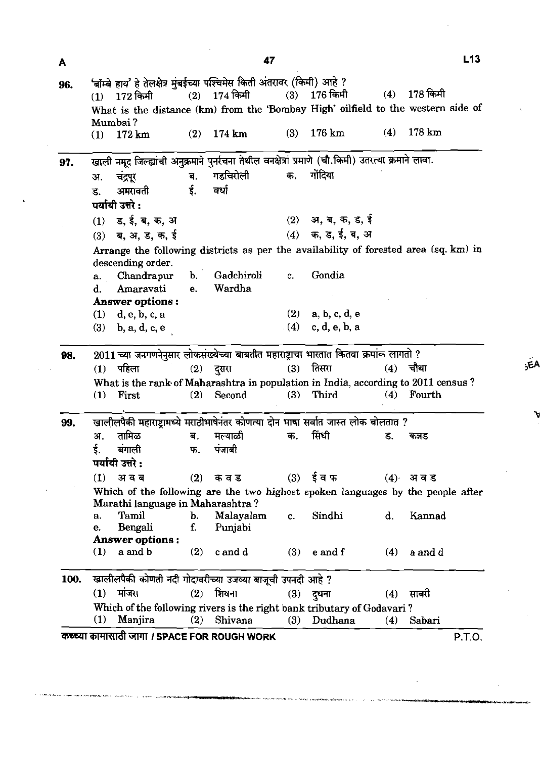| A    |                                                                                                                     |                        |                      | 47             |     |                     |     | L13                                                                               |  |  |  |  |  |  |
|------|---------------------------------------------------------------------------------------------------------------------|------------------------|----------------------|----------------|-----|---------------------|-----|-----------------------------------------------------------------------------------|--|--|--|--|--|--|
| 96.  | 'बॉम्बे हाय' हे तेलक्षेत्र मुंबईच्या पश्चिमेस किती अंतरावर (किमी) आहे ?                                             |                        |                      |                |     |                     |     |                                                                                   |  |  |  |  |  |  |
|      | (1)                                                                                                                 | 172 किमी               |                      | $(2)$ 174 किमी | (3) | 176 किमी            |     | $(4)$ 178 किमी                                                                    |  |  |  |  |  |  |
|      |                                                                                                                     | Mumbai?                |                      |                |     |                     |     | What is the distance (km) from the 'Bombay High' oilfield to the western side of  |  |  |  |  |  |  |
|      | (1)                                                                                                                 | $172 \mathrm{km}$      | (2)                  | 174 km         | (3) | $176 \mathrm{km}$   | (4) | $178 \mathrm{km}$                                                                 |  |  |  |  |  |  |
| 97.  | खाली नमूद जिल्ह्यांची अनुक्रमाने पुनर्रचना तेथील वनक्षेत्रां प्रमाणे (चौ.किमी) उतरत्या क्रमाने लावा.                |                        |                      |                |     |                     |     |                                                                                   |  |  |  |  |  |  |
|      | अ.                                                                                                                  | चंद्रपूर               | ब.                   | गडचिरोली       | क.  | गोंदिया             |     |                                                                                   |  |  |  |  |  |  |
|      | ड.                                                                                                                  | अमरावती                | $\dot{\mathbf{5}}$ . | ਕਪੀ            |     |                     |     |                                                                                   |  |  |  |  |  |  |
|      |                                                                                                                     | पर्यायी उत्तरे :       |                      |                |     |                     |     |                                                                                   |  |  |  |  |  |  |
|      |                                                                                                                     | $(1)$ ड, ई, ब, क, अ    |                      |                |     | $(2)$ अ, ब, क, ड, ई |     |                                                                                   |  |  |  |  |  |  |
|      |                                                                                                                     | $(3)$ ब, अ, ड, क, ई    |                      |                |     | $(4)$ क, ड, ई, ब, अ |     |                                                                                   |  |  |  |  |  |  |
|      |                                                                                                                     |                        |                      |                |     |                     |     |                                                                                   |  |  |  |  |  |  |
|      | Arrange the following districts as per the availability of forested area (sq. km) in<br>descending order.           |                        |                      |                |     |                     |     |                                                                                   |  |  |  |  |  |  |
|      | a.                                                                                                                  | Chandrapur             | <b>b</b> .           | Gadchiroli     | c.  | Gondia              |     |                                                                                   |  |  |  |  |  |  |
|      | d.                                                                                                                  | Amaravati              | e.                   | Wardha         |     |                     |     |                                                                                   |  |  |  |  |  |  |
|      |                                                                                                                     | Answer options:        |                      |                |     |                     |     |                                                                                   |  |  |  |  |  |  |
|      |                                                                                                                     | $(1)$ d, e, b, c, a    |                      |                |     | $(2)$ a, b, c, d, e |     |                                                                                   |  |  |  |  |  |  |
|      |                                                                                                                     | $(3)$ b, a, d, c, e    |                      |                |     | $(4)$ c, d, e, b, a |     |                                                                                   |  |  |  |  |  |  |
| 98.  | 2011 च्या जनगणनेनुसार लोकसंख्येच्या बाबतीत महाराष्ट्राचा भारतात कितवा क्रमांक लागतो ?                               |                        |                      |                |     |                     |     |                                                                                   |  |  |  |  |  |  |
|      | (1)                                                                                                                 | पहिला                  |                      | $(2)$ दुसरा    | (3) | तिसरा               | (4) | चौथा                                                                              |  |  |  |  |  |  |
|      |                                                                                                                     |                        |                      |                |     |                     |     | What is the rank of Maharashtra in population in India, according to 2011 census? |  |  |  |  |  |  |
|      | (1)                                                                                                                 | First                  | (2)                  | Second         | (3) | Third               | (4) | Fourth                                                                            |  |  |  |  |  |  |
| 99.  | खालीलपैकी महाराष्ट्रामध्ये मराठीभाषेनंतर कोणत्या दोन भाषा सर्वात जास्त लोक बोलतात ?                                 |                        |                      |                |     |                     |     |                                                                                   |  |  |  |  |  |  |
|      | зт.                                                                                                                 | तामिळ                  | ब.                   | मल्याळी        | क.  | सिंधी               | ड.  | कनड                                                                               |  |  |  |  |  |  |
|      | ई.                                                                                                                  | बंगाली                 | फ.                   | पंजाबी         |     |                     |     |                                                                                   |  |  |  |  |  |  |
|      | पर्यायी उत्तरे :                                                                                                    |                        |                      |                |     |                     |     |                                                                                   |  |  |  |  |  |  |
|      | (1)                                                                                                                 | अ व ब                  | (2)                  | क व ड          |     | $(3)$ ईवफ           |     | (4) अवड                                                                           |  |  |  |  |  |  |
|      | Which of the following are the two highest spoken languages by the people after<br>Marathi language in Maharashtra? |                        |                      |                |     |                     |     |                                                                                   |  |  |  |  |  |  |
|      | a.                                                                                                                  | Tamil                  | b.                   | Malayalam      | c.  | Sindhi              | d.  | Kannad                                                                            |  |  |  |  |  |  |
|      | e.                                                                                                                  | Bengali                | f.                   | Punjabi        |     |                     |     |                                                                                   |  |  |  |  |  |  |
|      |                                                                                                                     | <b>Answer options:</b> |                      |                |     |                     |     |                                                                                   |  |  |  |  |  |  |
|      | (1)                                                                                                                 | a and b                | (2)                  | c and d        | (3) | e and f             | (4) | a and d                                                                           |  |  |  |  |  |  |
| 100. | खालीलपैकी कोणती नदी गोदावरीच्या उजव्या बाजूची उपनदी आहे ?                                                           |                        |                      |                |     |                     |     |                                                                                   |  |  |  |  |  |  |
|      | (1)                                                                                                                 | मांजरा                 | (2)                  | शिवना          | (3) | दुधना               | (4) | सावरी                                                                             |  |  |  |  |  |  |
|      | Which of the following rivers is the right bank tributary of Godavari?                                              |                        |                      |                |     |                     |     |                                                                                   |  |  |  |  |  |  |
|      | (1)                                                                                                                 | Manjira                | (2)                  | Shivana        | (3) | Dudhana             | (4) | Sabari                                                                            |  |  |  |  |  |  |

47

.<br>A